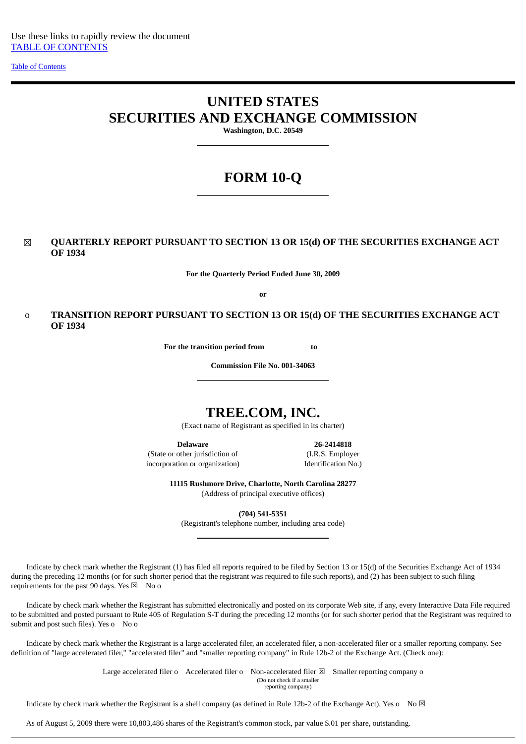[Table of Contents](#page-2-0)

# **UNITED STATES SECURITIES AND EXCHANGE COMMISSION**

**Washington, D.C. 20549**

# **FORM 10-Q**

## ☒ **QUARTERLY REPORT PURSUANT TO SECTION 13 OR 15(d) OF THE SECURITIES EXCHANGE ACT OF 1934**

**For the Quarterly Period Ended June 30, 2009**

**or**

## o **TRANSITION REPORT PURSUANT TO SECTION 13 OR 15(d) OF THE SECURITIES EXCHANGE ACT OF 1934**

**For the transition period from to** 

**Commission File No. 001-34063**

# **TREE.COM, INC.**

(Exact name of Registrant as specified in its charter)

**Delaware** (State or other jurisdiction of

incorporation or organization)

**26-2414818** (I.R.S. Employer Identification No.)

**11115 Rushmore Drive, Charlotte, North Carolina 28277** (Address of principal executive offices)

**(704) 541-5351**

(Registrant's telephone number, including area code)

 Indicate by check mark whether the Registrant (1) has filed all reports required to be filed by Section 13 or 15(d) of the Securities Exchange Act of 1934 during the preceding 12 months (or for such shorter period that the registrant was required to file such reports), and (2) has been subject to such filing requirements for the past 90 days. Yes  $\boxtimes$  No o

 Indicate by check mark whether the Registrant has submitted electronically and posted on its corporate Web site, if any, every Interactive Data File required to be submitted and posted pursuant to Rule 405 of Regulation S-T during the preceding 12 months (or for such shorter period that the Registrant was required to submit and post such files). Yes o No o

 Indicate by check mark whether the Registrant is a large accelerated filer, an accelerated filer, a non-accelerated filer or a smaller reporting company. See definition of "large accelerated filer," "accelerated filer" and "smaller reporting company" in Rule 12b-2 of the Exchange Act. (Check one):

> Large accelerated filer  $\circ$  Accelerated filer  $\circ$  Non-accelerated filer  $\boxtimes$  Smaller reporting company  $\circ$ (Do not check if a smaller reporting company)

Indicate by check mark whether the Registrant is a shell company (as defined in Rule 12b-2 of the Exchange Act). Yes o No  $\boxtimes$ 

As of August 5, 2009 there were 10,803,486 shares of the Registrant's common stock, par value \$.01 per share, outstanding.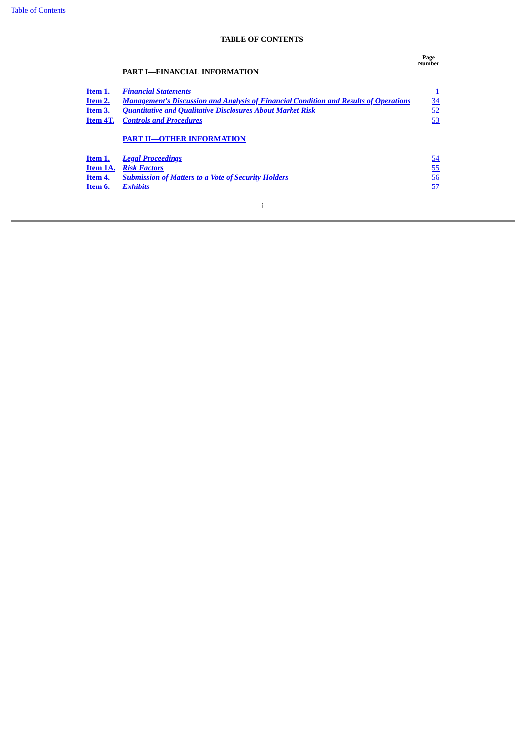## **TABLE OF CONTENTS**

## **Page Number**

## **PART I—FINANCIAL INFORMATION**

<span id="page-2-0"></span>

| Item 1.<br>Item 2.<br>Item 3.<br>Item 4T. | <b>Financial Statements</b><br><b>Management's Discussion and Analysis of Financial Condition and Results of Operations</b><br><b>Quantitative and Qualitative Disclosures About Market Risk</b><br><b>Controls and Procedures</b><br><b>PART II-OTHER INFORMATION</b> | <u>34</u><br>52<br>53 |
|-------------------------------------------|------------------------------------------------------------------------------------------------------------------------------------------------------------------------------------------------------------------------------------------------------------------------|-----------------------|
| Item 1.                                   | <b>Legal Proceedings</b>                                                                                                                                                                                                                                               | <u>54</u>             |
| Item 1A.                                  | <b>Risk Factors</b>                                                                                                                                                                                                                                                    | 55                    |
| Item 4.                                   | <b>Submission of Matters to a Vote of Security Holders</b>                                                                                                                                                                                                             | 56                    |
| Item 6.                                   | <b>Exhibits</b>                                                                                                                                                                                                                                                        | 57                    |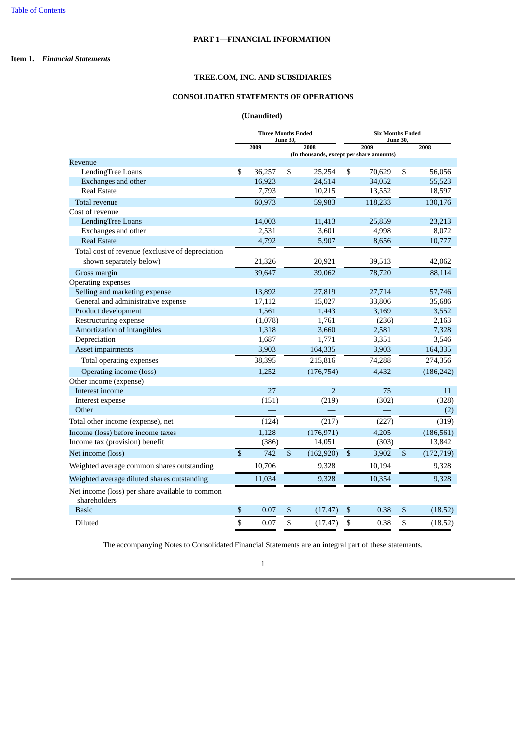## **PART 1—FINANCIAL INFORMATION**

## <span id="page-3-0"></span>**Item 1.** *Financial Statements*

## **TREE.COM, INC. AND SUBSIDIARIES**

## **CONSOLIDATED STATEMENTS OF OPERATIONS**

## **(Unaudited)**

|                                                                 | <b>Three Months Ended</b><br><b>June 30,</b> |         |               |                                          | <b>Six Months Ended</b><br><b>June 30,</b> |         |                           |            |
|-----------------------------------------------------------------|----------------------------------------------|---------|---------------|------------------------------------------|--------------------------------------------|---------|---------------------------|------------|
|                                                                 |                                              | 2009    |               | 2008                                     |                                            | 2009    |                           | 2008       |
| Revenue                                                         |                                              |         |               | (In thousands, except per share amounts) |                                            |         |                           |            |
| LendingTree Loans                                               | \$                                           | 36,257  | \$            | 25,254                                   | \$                                         | 70,629  | \$                        | 56,056     |
| Exchanges and other                                             |                                              | 16,923  |               | 24,514                                   |                                            | 34,052  |                           | 55,523     |
| <b>Real Estate</b>                                              |                                              | 7,793   |               | 10,215                                   |                                            | 13,552  |                           | 18,597     |
| <b>Total revenue</b>                                            |                                              | 60,973  |               | 59,983                                   |                                            | 118,233 |                           | 130,176    |
| Cost of revenue                                                 |                                              |         |               |                                          |                                            |         |                           |            |
| LendingTree Loans                                               |                                              | 14,003  |               | 11,413                                   |                                            | 25,859  |                           | 23,213     |
| Exchanges and other                                             |                                              | 2,531   |               | 3,601                                    |                                            | 4,998   |                           | 8,072      |
| <b>Real Estate</b>                                              |                                              | 4,792   |               | 5,907                                    |                                            | 8,656   |                           | 10,777     |
| Total cost of revenue (exclusive of depreciation                |                                              |         |               |                                          |                                            |         |                           |            |
| shown separately below)                                         |                                              | 21,326  |               | 20,921                                   |                                            | 39,513  |                           | 42,062     |
| Gross margin                                                    |                                              | 39,647  |               | 39,062                                   |                                            | 78,720  |                           | 88,114     |
| Operating expenses                                              |                                              |         |               |                                          |                                            |         |                           |            |
| Selling and marketing expense                                   |                                              | 13,892  |               | 27,819                                   |                                            | 27,714  |                           | 57,746     |
| General and administrative expense                              |                                              | 17,112  |               | 15,027                                   |                                            | 33,806  |                           | 35,686     |
| Product development                                             |                                              | 1,561   |               | 1,443                                    |                                            | 3,169   |                           | 3,552      |
| Restructuring expense                                           |                                              | (1,078) |               | 1,761                                    |                                            | (236)   |                           | 2,163      |
| Amortization of intangibles                                     |                                              | 1,318   |               | 3,660                                    |                                            | 2,581   |                           | 7,328      |
| Depreciation                                                    |                                              | 1,687   |               | 1,771                                    |                                            | 3,351   |                           | 3,546      |
| Asset impairments                                               |                                              | 3,903   |               | 164,335                                  |                                            | 3,903   |                           | 164,335    |
| Total operating expenses                                        |                                              | 38,395  |               | 215,816                                  |                                            | 74,288  |                           | 274,356    |
| Operating income (loss)                                         |                                              | 1,252   |               | (176, 754)                               |                                            | 4,432   |                           | (186, 242) |
| Other income (expense)                                          |                                              |         |               |                                          |                                            |         |                           |            |
| Interest income                                                 |                                              | 27      |               | 2                                        |                                            | 75      |                           | 11         |
| Interest expense                                                |                                              | (151)   |               | (219)                                    |                                            | (302)   |                           | (328)      |
| Other                                                           |                                              |         |               |                                          |                                            |         |                           | (2)        |
| Total other income (expense), net                               |                                              | (124)   |               | (217)                                    |                                            | (227)   |                           | (319)      |
| Income (loss) before income taxes                               |                                              | 1,128   |               | (176, 971)                               |                                            | 4,205   |                           | (186, 561) |
| Income tax (provision) benefit                                  |                                              | (386)   |               | 14,051                                   |                                            | (303)   |                           | 13,842     |
| Net income (loss)                                               | \$                                           | 742     | $\mathfrak s$ | (162, 920)                               | $\boldsymbol{\mathsf{S}}$                  | 3,902   | $\boldsymbol{\mathsf{S}}$ | (172, 719) |
| Weighted average common shares outstanding                      |                                              | 10,706  |               | 9,328                                    |                                            | 10,194  |                           | 9,328      |
| Weighted average diluted shares outstanding                     |                                              | 11,034  |               | 9,328                                    |                                            | 10,354  |                           | 9,328      |
| Net income (loss) per share available to common<br>shareholders |                                              |         |               |                                          |                                            |         |                           |            |
| <b>Basic</b>                                                    | \$                                           | 0.07    | \$            | (17.47)                                  | \$                                         | 0.38    | \$                        | (18.52)    |
| Diluted                                                         | \$                                           | 0.07    | \$            | (17.47)                                  | \$                                         | 0.38    | \$                        | (18.52)    |

The accompanying Notes to Consolidated Financial Statements are an integral part of these statements.

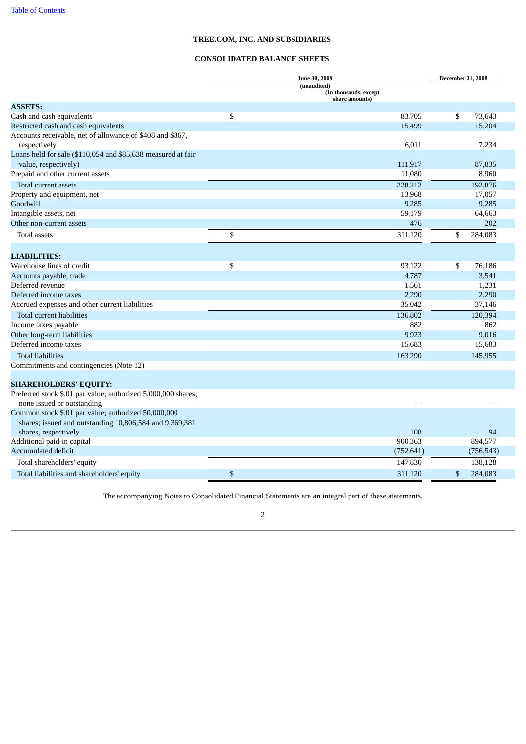## **CONSOLIDATED BALANCE SHEETS**

|                                                                                                                |                           | June 30, 2009<br>(unaudited)<br>(In thousands, except<br>share amounts) |            | <b>December 31, 2008</b> |            |
|----------------------------------------------------------------------------------------------------------------|---------------------------|-------------------------------------------------------------------------|------------|--------------------------|------------|
| <b>ASSETS:</b>                                                                                                 |                           |                                                                         |            |                          |            |
| Cash and cash equivalents                                                                                      | $\boldsymbol{\mathsf{S}}$ |                                                                         | 83,705     | \$                       | 73,643     |
| Restricted cash and cash equivalents                                                                           |                           |                                                                         | 15,499     |                          | 15,204     |
| Accounts receivable, net of allowance of \$408 and \$367,<br>respectively                                      |                           |                                                                         | 6,011      |                          | 7,234      |
| Loans held for sale (\$110,054 and \$85,638 measured at fair                                                   |                           |                                                                         |            |                          |            |
| value, respectively)                                                                                           |                           |                                                                         | 111,917    |                          | 87,835     |
| Prepaid and other current assets                                                                               |                           |                                                                         | 11,080     |                          | 8,960      |
| Total current assets                                                                                           |                           |                                                                         | 228,212    |                          | 192,876    |
| Property and equipment, net                                                                                    |                           |                                                                         | 13,968     |                          | 17,057     |
| Goodwill                                                                                                       |                           |                                                                         | 9,285      |                          | 9,285      |
| Intangible assets, net                                                                                         |                           |                                                                         | 59,179     |                          | 64,663     |
| Other non-current assets                                                                                       |                           |                                                                         | 476        |                          | 202        |
| <b>Total assets</b>                                                                                            | \$                        |                                                                         | 311,120    | \$                       | 284,083    |
| <b>LIABILITIES:</b>                                                                                            |                           |                                                                         |            |                          |            |
| Warehouse lines of credit                                                                                      | \$                        |                                                                         | 93,122     | \$                       | 76,186     |
| Accounts payable, trade                                                                                        |                           |                                                                         | 4,787      |                          | 3,541      |
| Deferred revenue                                                                                               |                           |                                                                         | 1,561      |                          | 1,231      |
| Deferred income taxes                                                                                          |                           |                                                                         | 2,290      |                          | 2,290      |
| Accrued expenses and other current liabilities                                                                 |                           |                                                                         | 35,042     |                          | 37,146     |
| Total current liabilities                                                                                      |                           |                                                                         | 136,802    |                          | 120,394    |
| Income taxes payable                                                                                           |                           |                                                                         | 882        |                          | 862        |
| Other long-term liabilities                                                                                    |                           |                                                                         | 9,923      |                          | 9,016      |
| Deferred income taxes                                                                                          |                           |                                                                         | 15,683     |                          | 15,683     |
| <b>Total liabilities</b>                                                                                       |                           |                                                                         | 163,290    |                          | 145,955    |
| Commitments and contingencies (Note 12)                                                                        |                           |                                                                         |            |                          |            |
| <b>SHAREHOLDERS' EQUITY:</b>                                                                                   |                           |                                                                         |            |                          |            |
| Preferred stock \$.01 par value; authorized 5,000,000 shares;<br>none issued or outstanding                    |                           |                                                                         |            |                          |            |
| Common stock \$.01 par value; authorized 50,000,000<br>shares; issued and outstanding 10,806,584 and 9,369,381 |                           |                                                                         |            |                          |            |
| shares, respectively                                                                                           |                           |                                                                         | 108        |                          | 94         |
| Additional paid-in capital                                                                                     |                           |                                                                         | 900,363    |                          | 894,577    |
| Accumulated deficit                                                                                            |                           |                                                                         | (752, 641) |                          | (756, 543) |
| Total shareholders' equity                                                                                     |                           |                                                                         | 147,830    |                          | 138,128    |
| Total liabilities and shareholders' equity                                                                     | \$                        |                                                                         | 311,120    | $\mathbb{S}$             | 284,083    |
|                                                                                                                |                           |                                                                         |            |                          |            |

The accompanying Notes to Consolidated Financial Statements are an integral part of these statements.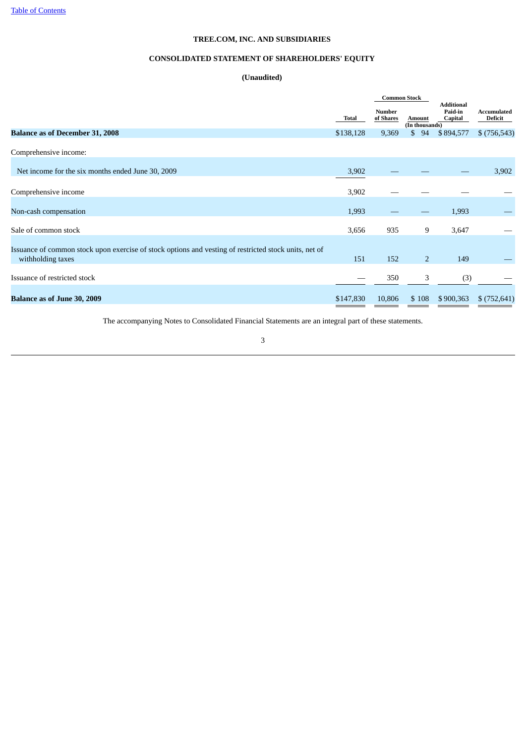## **CONSOLIDATED STATEMENT OF SHAREHOLDERS' EQUITY**

## **(Unaudited)**

|                                                                                                                            |              | <b>Common Stock</b> |                                 |                                         |                               |
|----------------------------------------------------------------------------------------------------------------------------|--------------|---------------------|---------------------------------|-----------------------------------------|-------------------------------|
|                                                                                                                            | <b>Total</b> | Number<br>of Shares | <b>Amount</b><br>(In thousands) | <b>Additional</b><br>Paid-in<br>Capital | <b>Accumulated</b><br>Deficit |
| <b>Balance as of December 31, 2008</b>                                                                                     | \$138,128    | 9,369               | 94<br>S.                        | \$894,577                               | \$(756,543)                   |
| Comprehensive income:                                                                                                      |              |                     |                                 |                                         |                               |
| Net income for the six months ended June 30, 2009                                                                          | 3,902        |                     |                                 |                                         | 3,902                         |
| Comprehensive income                                                                                                       | 3,902        |                     |                                 |                                         |                               |
| Non-cash compensation                                                                                                      | 1,993        |                     |                                 | 1,993                                   |                               |
| Sale of common stock                                                                                                       | 3,656        | 935                 | 9                               | 3,647                                   |                               |
| Issuance of common stock upon exercise of stock options and vesting of restricted stock units, net of<br>withholding taxes | 151          | 152                 | $2^{\circ}$                     | 149                                     |                               |
| Issuance of restricted stock                                                                                               |              | 350                 | 3                               | (3)                                     |                               |
| <b>Balance as of June 30, 2009</b>                                                                                         | \$147,830    | 10,806              | \$108                           | \$900,363                               | \$(752, 641)                  |

The accompanying Notes to Consolidated Financial Statements are an integral part of these statements.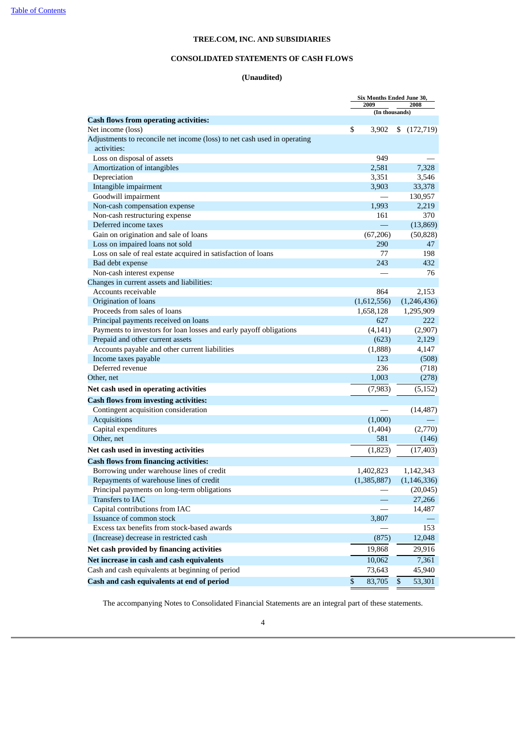## **CONSOLIDATED STATEMENTS OF CASH FLOWS**

## **(Unaudited)**

|                                                                          | Six Months Ended June 30, |                                |    |               |  |
|--------------------------------------------------------------------------|---------------------------|--------------------------------|----|---------------|--|
|                                                                          |                           | 2009<br>2008<br>(In thousands) |    |               |  |
| <b>Cash flows from operating activities:</b>                             |                           |                                |    |               |  |
| Net income (loss)                                                        | \$                        | 3,902                          | \$ | (172, 719)    |  |
| Adjustments to reconcile net income (loss) to net cash used in operating |                           |                                |    |               |  |
| activities:                                                              |                           |                                |    |               |  |
| Loss on disposal of assets                                               |                           | 949                            |    |               |  |
| Amortization of intangibles                                              |                           | 2,581                          |    | 7,328         |  |
| Depreciation                                                             |                           | 3,351                          |    | 3,546         |  |
| Intangible impairment                                                    |                           | 3,903                          |    | 33,378        |  |
| Goodwill impairment                                                      |                           |                                |    | 130,957       |  |
| Non-cash compensation expense                                            |                           | 1,993                          |    | 2,219         |  |
| Non-cash restructuring expense                                           |                           | 161                            |    | 370           |  |
| Deferred income taxes                                                    |                           |                                |    | (13,869)      |  |
| Gain on origination and sale of loans                                    |                           | (67,206)                       |    | (50, 828)     |  |
| Loss on impaired loans not sold                                          |                           | 290                            |    | 47            |  |
| Loss on sale of real estate acquired in satisfaction of loans            |                           | 77                             |    | 198           |  |
| Bad debt expense                                                         |                           | 243                            |    | 432           |  |
| Non-cash interest expense                                                |                           |                                |    | 76            |  |
| Changes in current assets and liabilities:                               |                           |                                |    |               |  |
| Accounts receivable                                                      |                           | 864                            |    | 2,153         |  |
| Origination of loans                                                     |                           | (1,612,556)                    |    | (1,246,436)   |  |
| Proceeds from sales of loans                                             |                           | 1,658,128                      |    | 1,295,909     |  |
| Principal payments received on loans                                     |                           | 627                            |    | 222           |  |
| Payments to investors for loan losses and early payoff obligations       |                           | (4, 141)                       |    | (2,907)       |  |
| Prepaid and other current assets                                         |                           | (623)                          |    | 2,129         |  |
| Accounts payable and other current liabilities                           |                           | (1,888)                        |    | 4,147         |  |
| Income taxes payable                                                     |                           | 123                            |    | (508)         |  |
| Deferred revenue                                                         |                           | 236                            |    | (718)         |  |
| Other, net                                                               |                           | 1,003                          |    | (278)         |  |
| Net cash used in operating activities                                    |                           | (7,983)                        |    | (5, 152)      |  |
| <b>Cash flows from investing activities:</b>                             |                           |                                |    |               |  |
| Contingent acquisition consideration                                     |                           |                                |    | (14, 487)     |  |
| Acquisitions                                                             |                           | (1,000)                        |    |               |  |
| Capital expenditures                                                     |                           | (1,404)                        |    | (2,770)       |  |
| Other, net                                                               |                           | 581                            |    | (146)         |  |
| Net cash used in investing activities                                    |                           | (1,823)                        |    | (17, 403)     |  |
|                                                                          |                           |                                |    |               |  |
| <b>Cash flows from financing activities:</b>                             |                           |                                |    |               |  |
| Borrowing under warehouse lines of credit                                |                           | 1,402,823                      |    | 1,142,343     |  |
| Repayments of warehouse lines of credit                                  |                           | (1,385,887)                    |    | (1, 146, 336) |  |
| Principal payments on long-term obligations                              |                           |                                |    | (20, 045)     |  |
| Transfers to IAC                                                         |                           |                                |    | 27,266        |  |
| Capital contributions from IAC                                           |                           |                                |    | 14,487        |  |
| Issuance of common stock                                                 |                           | 3,807                          |    |               |  |
| Excess tax benefits from stock-based awards                              |                           |                                |    | 153           |  |
| (Increase) decrease in restricted cash                                   |                           | (875)                          |    | 12,048        |  |
| Net cash provided by financing activities                                |                           | 19,868                         |    | 29,916        |  |
| Net increase in cash and cash equivalents                                |                           | 10,062                         |    | 7,361         |  |
| Cash and cash equivalents at beginning of period                         |                           | 73,643                         |    | 45,940        |  |
| Cash and cash equivalents at end of period                               | \$                        | 83,705                         | \$ | 53,301        |  |

The accompanying Notes to Consolidated Financial Statements are an integral part of these statements.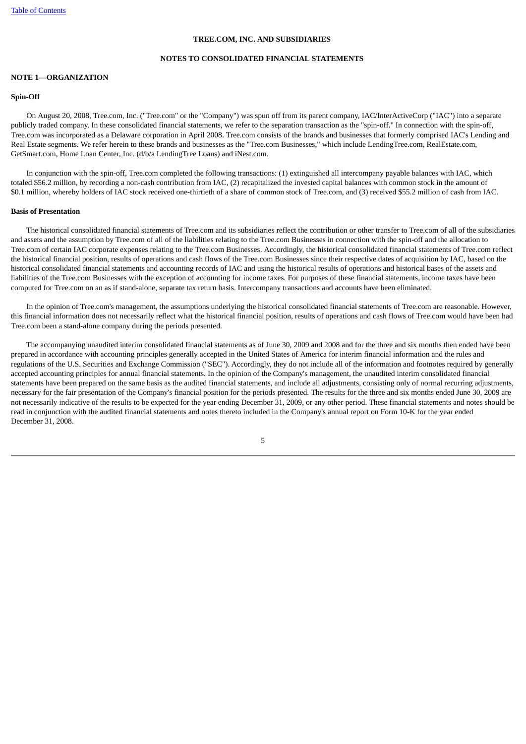#### **NOTES TO CONSOLIDATED FINANCIAL STATEMENTS**

#### **NOTE 1—ORGANIZATION**

#### **Spin-Off**

 On August 20, 2008, Tree.com, Inc. ("Tree.com" or the "Company") was spun off from its parent company, IAC/InterActiveCorp ("IAC") into a separate publicly traded company. In these consolidated financial statements, we refer to the separation transaction as the "spin-off." In connection with the spin-off, Tree.com was incorporated as a Delaware corporation in April 2008. Tree.com consists of the brands and businesses that formerly comprised IAC's Lending and Real Estate segments. We refer herein to these brands and businesses as the "Tree.com Businesses," which include LendingTree.com, RealEstate.com, GetSmart.com, Home Loan Center, Inc. (d/b/a LendingTree Loans) and iNest.com.

 In conjunction with the spin-off, Tree.com completed the following transactions: (1) extinguished all intercompany payable balances with IAC, which totaled \$56.2 million, by recording a non-cash contribution from IAC, (2) recapitalized the invested capital balances with common stock in the amount of \$0.1 million, whereby holders of IAC stock received one-thirtieth of a share of common stock of Tree.com, and (3) received \$55.2 million of cash from IAC.

#### **Basis of Presentation**

 The historical consolidated financial statements of Tree.com and its subsidiaries reflect the contribution or other transfer to Tree.com of all of the subsidiaries and assets and the assumption by Tree.com of all of the liabilities relating to the Tree.com Businesses in connection with the spin-off and the allocation to Tree.com of certain IAC corporate expenses relating to the Tree.com Businesses. Accordingly, the historical consolidated financial statements of Tree.com reflect the historical financial position, results of operations and cash flows of the Tree.com Businesses since their respective dates of acquisition by IAC, based on the historical consolidated financial statements and accounting records of IAC and using the historical results of operations and historical bases of the assets and liabilities of the Tree.com Businesses with the exception of accounting for income taxes. For purposes of these financial statements, income taxes have been computed for Tree.com on an as if stand-alone, separate tax return basis. Intercompany transactions and accounts have been eliminated.

 In the opinion of Tree.com's management, the assumptions underlying the historical consolidated financial statements of Tree.com are reasonable. However, this financial information does not necessarily reflect what the historical financial position, results of operations and cash flows of Tree.com would have been had Tree.com been a stand-alone company during the periods presented.

 The accompanying unaudited interim consolidated financial statements as of June 30, 2009 and 2008 and for the three and six months then ended have been prepared in accordance with accounting principles generally accepted in the United States of America for interim financial information and the rules and regulations of the U.S. Securities and Exchange Commission ("SEC"). Accordingly, they do not include all of the information and footnotes required by generally accepted accounting principles for annual financial statements. In the opinion of the Company's management, the unaudited interim consolidated financial statements have been prepared on the same basis as the audited financial statements, and include all adjustments, consisting only of normal recurring adjustments, necessary for the fair presentation of the Company's financial position for the periods presented. The results for the three and six months ended June 30, 2009 are not necessarily indicative of the results to be expected for the year ending December 31, 2009, or any other period. These financial statements and notes should be read in conjunction with the audited financial statements and notes thereto included in the Company's annual report on Form 10-K for the year ended December 31, 2008.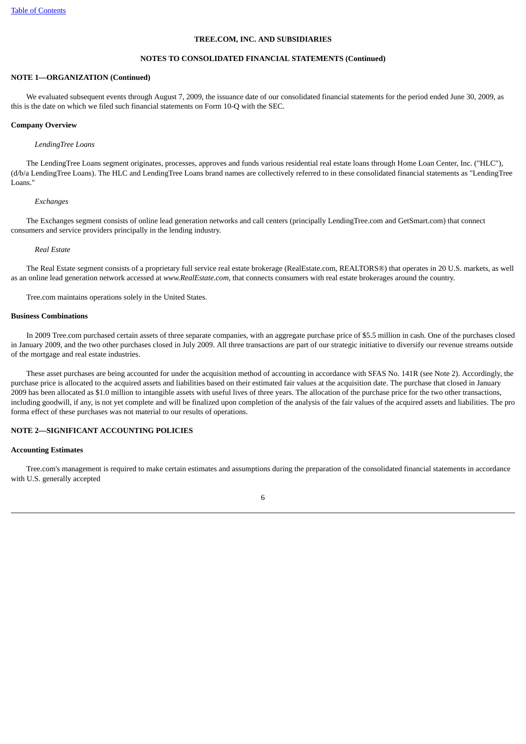#### **NOTES TO CONSOLIDATED FINANCIAL STATEMENTS (Continued)**

## **NOTE 1—ORGANIZATION (Continued)**

 We evaluated subsequent events through August 7, 2009, the issuance date of our consolidated financial statements for the period ended June 30, 2009, as this is the date on which we filed such financial statements on Form 10-Q with the SEC.

#### **Company Overview**

#### *LendingTree Loans*

 The LendingTree Loans segment originates, processes, approves and funds various residential real estate loans through Home Loan Center, Inc. ("HLC"), (d/b/a LendingTree Loans). The HLC and LendingTree Loans brand names are collectively referred to in these consolidated financial statements as "LendingTree Loans."

#### *Exchanges*

 The Exchanges segment consists of online lead generation networks and call centers (principally LendingTree.com and GetSmart.com) that connect consumers and service providers principally in the lending industry.

#### *Real Estate*

 The Real Estate segment consists of a proprietary full service real estate brokerage (RealEstate.com, REALTORS®) that operates in 20 U.S. markets, as well as an online lead generation network accessed at *www.RealEstate.com*, that connects consumers with real estate brokerages around the country.

Tree.com maintains operations solely in the United States.

#### **Business Combinations**

 In 2009 Tree.com purchased certain assets of three separate companies, with an aggregate purchase price of \$5.5 million in cash. One of the purchases closed in January 2009, and the two other purchases closed in July 2009. All three transactions are part of our strategic initiative to diversify our revenue streams outside of the mortgage and real estate industries.

 These asset purchases are being accounted for under the acquisition method of accounting in accordance with SFAS No. 141R (see Note 2). Accordingly, the purchase price is allocated to the acquired assets and liabilities based on their estimated fair values at the acquisition date. The purchase that closed in January 2009 has been allocated as \$1.0 million to intangible assets with useful lives of three years. The allocation of the purchase price for the two other transactions, including goodwill, if any, is not yet complete and will be finalized upon completion of the analysis of the fair values of the acquired assets and liabilities. The pro forma effect of these purchases was not material to our results of operations.

#### **NOTE 2—SIGNIFICANT ACCOUNTING POLICIES**

#### **Accounting Estimates**

 Tree.com's management is required to make certain estimates and assumptions during the preparation of the consolidated financial statements in accordance with U.S. generally accepted

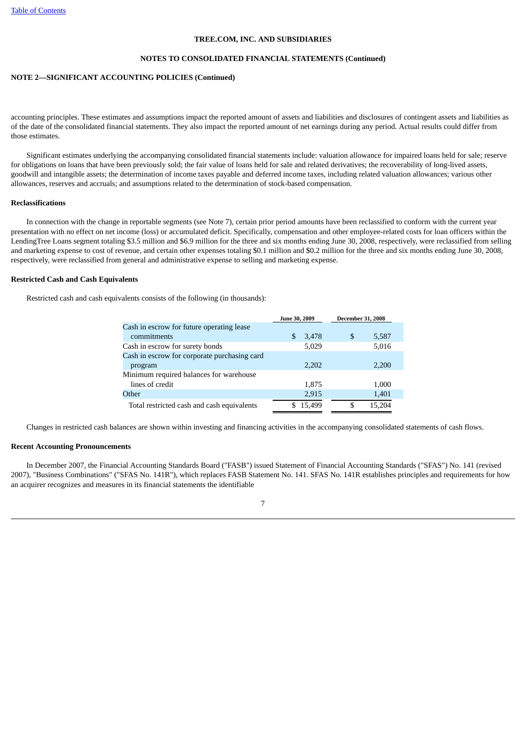## **NOTES TO CONSOLIDATED FINANCIAL STATEMENTS (Continued)**

#### **NOTE 2—SIGNIFICANT ACCOUNTING POLICIES (Continued)**

accounting principles. These estimates and assumptions impact the reported amount of assets and liabilities and disclosures of contingent assets and liabilities as of the date of the consolidated financial statements. They also impact the reported amount of net earnings during any period. Actual results could differ from those estimates.

 Significant estimates underlying the accompanying consolidated financial statements include: valuation allowance for impaired loans held for sale; reserve for obligations on loans that have been previously sold; the fair value of loans held for sale and related derivatives; the recoverability of long-lived assets, goodwill and intangible assets; the determination of income taxes payable and deferred income taxes, including related valuation allowances; various other allowances, reserves and accruals; and assumptions related to the determination of stock-based compensation.

#### **Reclassifications**

 In connection with the change in reportable segments (see Note 7), certain prior period amounts have been reclassified to conform with the current year presentation with no effect on net income (loss) or accumulated deficit. Specifically, compensation and other employee-related costs for loan officers within the LendingTree Loans segment totaling \$3.5 million and \$6.9 million for the three and six months ending June 30, 2008, respectively, were reclassified from selling and marketing expense to cost of revenue, and certain other expenses totaling \$0.1 million and \$0.2 million for the three and six months ending June 30, 2008, respectively, were reclassified from general and administrative expense to selling and marketing expense.

#### **Restricted Cash and Cash Equivalents**

Restricted cash and cash equivalents consists of the following (in thousands):

|                                              | June 30, 2009 |        |    | <b>December 31, 2008</b> |
|----------------------------------------------|---------------|--------|----|--------------------------|
| Cash in escrow for future operating lease    |               |        |    |                          |
| commitments                                  | \$.           | 3,478  | S  | 5,587                    |
| Cash in escrow for surety bonds              |               | 5,029  |    | 5,016                    |
| Cash in escrow for corporate purchasing card |               |        |    |                          |
| program                                      |               | 2,202  |    | 2,200                    |
| Minimum required balances for warehouse      |               |        |    |                          |
| lines of credit                              |               | 1,875  |    | 1,000                    |
| Other                                        |               | 2,915  |    | 1,401                    |
| Total restricted cash and cash equivalents   |               | 15,499 | \$ | 15,204                   |

Changes in restricted cash balances are shown within investing and financing activities in the accompanying consolidated statements of cash flows.

#### **Recent Accounting Pronouncements**

 In December 2007, the Financial Accounting Standards Board ("FASB") issued Statement of Financial Accounting Standards ("SFAS") No. 141 (revised 2007), "Business Combinations" ("SFAS No. 141R"), which replaces FASB Statement No. 141. SFAS No. 141R establishes principles and requirements for how an acquirer recognizes and measures in its financial statements the identifiable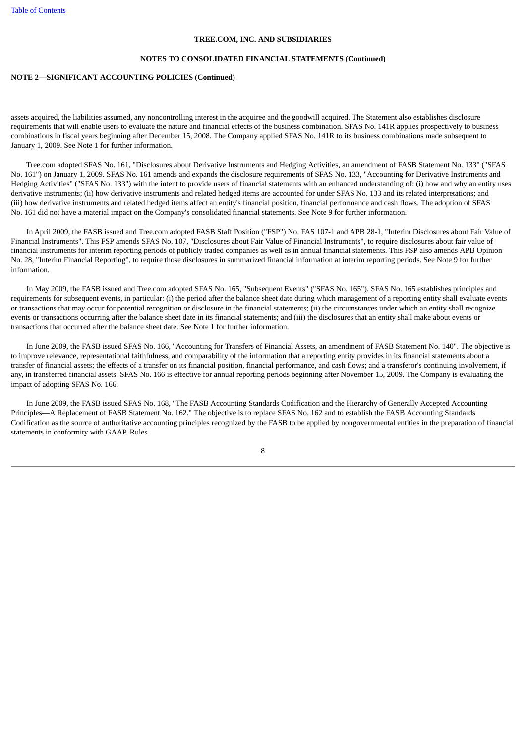## **NOTES TO CONSOLIDATED FINANCIAL STATEMENTS (Continued)**

#### **NOTE 2—SIGNIFICANT ACCOUNTING POLICIES (Continued)**

assets acquired, the liabilities assumed, any noncontrolling interest in the acquiree and the goodwill acquired. The Statement also establishes disclosure requirements that will enable users to evaluate the nature and financial effects of the business combination. SFAS No. 141R applies prospectively to business combinations in fiscal years beginning after December 15, 2008. The Company applied SFAS No. 141R to its business combinations made subsequent to January 1, 2009. See Note 1 for further information.

 Tree.com adopted SFAS No. 161, "Disclosures about Derivative Instruments and Hedging Activities, an amendment of FASB Statement No. 133" ("SFAS No. 161") on January 1, 2009. SFAS No. 161 amends and expands the disclosure requirements of SFAS No. 133, "Accounting for Derivative Instruments and Hedging Activities" ("SFAS No. 133") with the intent to provide users of financial statements with an enhanced understanding of: (i) how and why an entity uses derivative instruments; (ii) how derivative instruments and related hedged items are accounted for under SFAS No. 133 and its related interpretations; and (iii) how derivative instruments and related hedged items affect an entity's financial position, financial performance and cash flows. The adoption of SFAS No. 161 did not have a material impact on the Company's consolidated financial statements. See Note 9 for further information.

 In April 2009, the FASB issued and Tree.com adopted FASB Staff Position ("FSP") No. FAS 107-1 and APB 28-1, "Interim Disclosures about Fair Value of Financial Instruments". This FSP amends SFAS No. 107, "Disclosures about Fair Value of Financial Instruments", to require disclosures about fair value of financial instruments for interim reporting periods of publicly traded companies as well as in annual financial statements. This FSP also amends APB Opinion No. 28, "Interim Financial Reporting", to require those disclosures in summarized financial information at interim reporting periods. See Note 9 for further information.

 In May 2009, the FASB issued and Tree.com adopted SFAS No. 165, "Subsequent Events" ("SFAS No. 165"). SFAS No. 165 establishes principles and requirements for subsequent events, in particular: (i) the period after the balance sheet date during which management of a reporting entity shall evaluate events or transactions that may occur for potential recognition or disclosure in the financial statements; (ii) the circumstances under which an entity shall recognize events or transactions occurring after the balance sheet date in its financial statements; and (iii) the disclosures that an entity shall make about events or transactions that occurred after the balance sheet date. See Note 1 for further information.

 In June 2009, the FASB issued SFAS No. 166, "Accounting for Transfers of Financial Assets, an amendment of FASB Statement No. 140". The objective is to improve relevance, representational faithfulness, and comparability of the information that a reporting entity provides in its financial statements about a transfer of financial assets; the effects of a transfer on its financial position, financial performance, and cash flows; and a transferor's continuing involvement, if any, in transferred financial assets. SFAS No. 166 is effective for annual reporting periods beginning after November 15, 2009. The Company is evaluating the impact of adopting SFAS No. 166.

 In June 2009, the FASB issued SFAS No. 168, "The FASB Accounting Standards Codification and the Hierarchy of Generally Accepted Accounting Principles—A Replacement of FASB Statement No. 162." The objective is to replace SFAS No. 162 and to establish the FASB Accounting Standards Codification as the source of authoritative accounting principles recognized by the FASB to be applied by nongovernmental entities in the preparation of financial statements in conformity with GAAP. Rules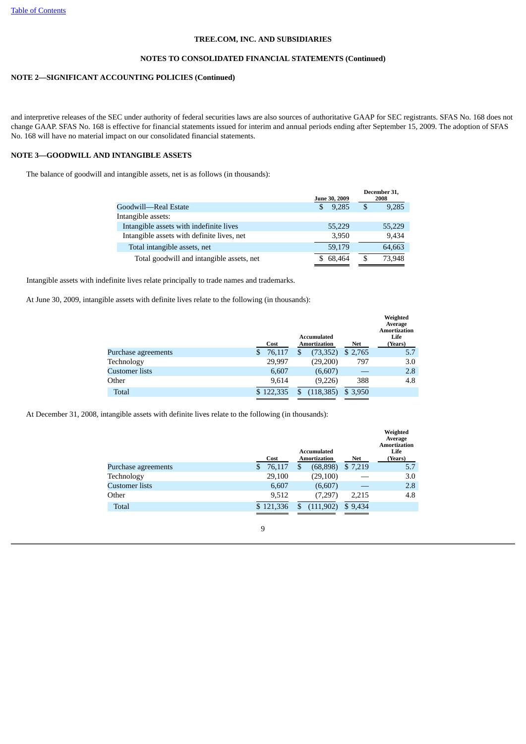## **NOTES TO CONSOLIDATED FINANCIAL STATEMENTS (Continued)**

## **NOTE 2—SIGNIFICANT ACCOUNTING POLICIES (Continued)**

and interpretive releases of the SEC under authority of federal securities laws are also sources of authoritative GAAP for SEC registrants. SFAS No. 168 does not change GAAP. SFAS No. 168 is effective for financial statements issued for interim and annual periods ending after September 15, 2009. The adoption of SFAS No. 168 will have no material impact on our consolidated financial statements.

## **NOTE 3—GOODWILL AND INTANGIBLE ASSETS**

The balance of goodwill and intangible assets, net is as follows (in thousands):

|                                            | <b>June 30, 2009</b> |        |   | December 31.<br>2008 |
|--------------------------------------------|----------------------|--------|---|----------------------|
| Goodwill—Real Estate                       | S                    | 9.285  | S | 9,285                |
| Intangible assets:                         |                      |        |   |                      |
| Intangible assets with indefinite lives    |                      | 55.229 |   | 55.229               |
| Intangible assets with definite lives, net |                      | 3.950  |   | 9,434                |
| Total intangible assets, net               |                      | 59,179 |   | 64,663               |
| Total goodwill and intangible assets, net  |                      | 68.464 | S | 73.948               |

Intangible assets with indefinite lives relate principally to trade names and trademarks.

At June 30, 2009, intangible assets with definite lives relate to the following (in thousands):

|                       |   | Cost      |   | Accumulated<br><b>Amortization</b> | Net     | Weighted<br>Average<br><b>Amortization</b><br>Life<br>(Years) |
|-----------------------|---|-----------|---|------------------------------------|---------|---------------------------------------------------------------|
| Purchase agreements   | S | 76,117    | S | (73, 352)                          | \$2,765 | 5.7                                                           |
| Technology            |   | 29,997    |   | (29,200)                           | 797     | 3.0                                                           |
| <b>Customer</b> lists |   | 6,607     |   | (6,607)                            |         | 2.8                                                           |
| Other                 |   | 9,614     |   | (9,226)                            | 388     | 4.8                                                           |
| Total                 |   | \$122,335 | S | (118, 385)                         | \$3,950 |                                                               |

At December 31, 2008, intangible assets with definite lives relate to the following (in thousands):

|                       |   | Cost      | <b>Accumulated</b><br><b>Amortization</b> | Net         | Weighted<br>Average<br><b>Amortization</b><br>Life<br>(Years) |
|-----------------------|---|-----------|-------------------------------------------|-------------|---------------------------------------------------------------|
| Purchase agreements   | S | 76,117    | \$<br>(68, 898)                           | \$7,219     | 5.7                                                           |
| Technology            |   | 29,100    | (29, 100)                                 |             | 3.0                                                           |
| <b>Customer</b> lists |   | 6,607     | (6,607)                                   |             | 2.8                                                           |
| Other                 |   | 9,512     | (7,297)                                   | 2,215       | 4.8                                                           |
| Total                 |   | \$121,336 | \$<br>(111, 902)                          | 9,434<br>S. |                                                               |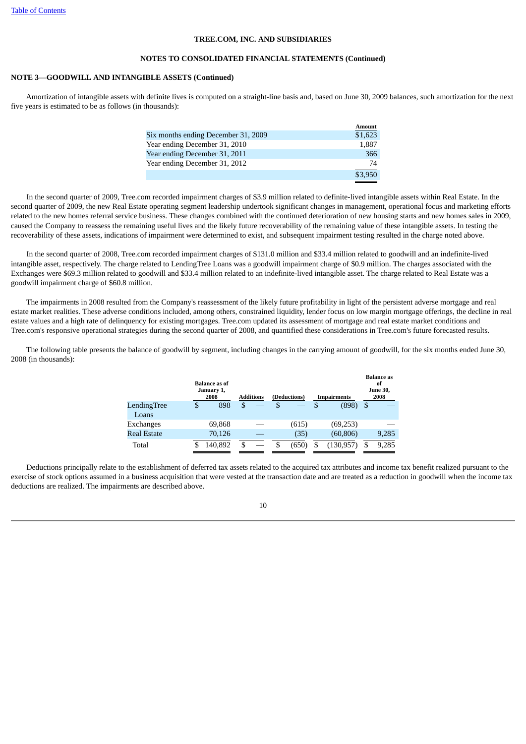#### **NOTES TO CONSOLIDATED FINANCIAL STATEMENTS (Continued)**

#### **NOTE 3—GOODWILL AND INTANGIBLE ASSETS (Continued)**

 Amortization of intangible assets with definite lives is computed on a straight-line basis and, based on June 30, 2009 balances, such amortization for the next five years is estimated to be as follows (in thousands):

|                                     | <b>Amount</b> |
|-------------------------------------|---------------|
| Six months ending December 31, 2009 | \$1,623       |
| Year ending December 31, 2010       | 1.887         |
| Year ending December 31, 2011       | 366           |
| Year ending December 31, 2012       | 74            |
|                                     | \$3,950       |

 In the second quarter of 2009, Tree.com recorded impairment charges of \$3.9 million related to definite-lived intangible assets within Real Estate. In the second quarter of 2009, the new Real Estate operating segment leadership undertook significant changes in management, operational focus and marketing efforts related to the new homes referral service business. These changes combined with the continued deterioration of new housing starts and new homes sales in 2009, caused the Company to reassess the remaining useful lives and the likely future recoverability of the remaining value of these intangible assets. In testing the recoverability of these assets, indications of impairment were determined to exist, and subsequent impairment testing resulted in the charge noted above.

 In the second quarter of 2008, Tree.com recorded impairment charges of \$131.0 million and \$33.4 million related to goodwill and an indefinite-lived intangible asset, respectively. The charge related to LendingTree Loans was a goodwill impairment charge of \$0.9 million. The charges associated with the Exchanges were \$69.3 million related to goodwill and \$33.4 million related to an indefinite-lived intangible asset. The charge related to Real Estate was a goodwill impairment charge of \$60.8 million.

 The impairments in 2008 resulted from the Company's reassessment of the likely future profitability in light of the persistent adverse mortgage and real estate market realities. These adverse conditions included, among others, constrained liquidity, lender focus on low margin mortgage offerings, the decline in real estate values and a high rate of delinquency for existing mortgages. Tree.com updated its assessment of mortgage and real estate market conditions and Tree.com's responsive operational strategies during the second quarter of 2008, and quantified these considerations in Tree.com's future forecasted results.

 The following table presents the balance of goodwill by segment, including changes in the carrying amount of goodwill, for the six months ended June 30, 2008 (in thousands):

| 2008                 |    | <b>Balance as of</b><br>January 1, | <b>Additions</b> |    | (Deductions) |    | <b>Impairments</b> | <b>Balance</b> as<br>of<br><b>June 30,</b><br>2008 |
|----------------------|----|------------------------------------|------------------|----|--------------|----|--------------------|----------------------------------------------------|
| LendingTree<br>Loans | \$ | 898                                | \$               | S  |              | S  | (898)              | \$                                                 |
| Exchanges            |    | 69,868                             |                  |    | (615)        |    | (69,253)           |                                                    |
| <b>Real Estate</b>   |    | 70,126                             |                  |    | (35)         |    | (60, 806)          | 9,285                                              |
| Total                |    | 140,892                            | \$               | \$ | (650)        | \$ | (130,957           | 9,285                                              |

 Deductions principally relate to the establishment of deferred tax assets related to the acquired tax attributes and income tax benefit realized pursuant to the exercise of stock options assumed in a business acquisition that were vested at the transaction date and are treated as a reduction in goodwill when the income tax deductions are realized. The impairments are described above.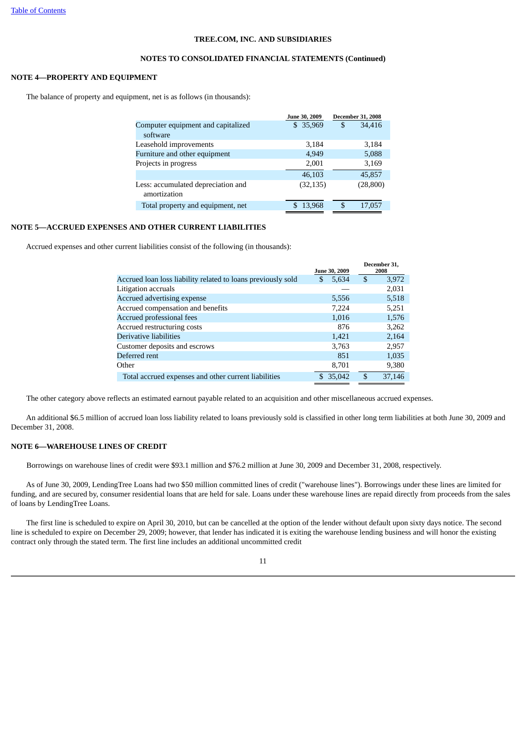#### **NOTES TO CONSOLIDATED FINANCIAL STATEMENTS (Continued)**

## **NOTE 4—PROPERTY AND EQUIPMENT**

The balance of property and equipment, net is as follows (in thousands):

|                                                    | June 30, 2009 | <b>December 31, 2008</b> |
|----------------------------------------------------|---------------|--------------------------|
| Computer equipment and capitalized                 | \$ 35,969     | 34,416                   |
| software                                           |               |                          |
| Leasehold improvements                             | 3,184         | 3,184                    |
| Furniture and other equipment                      | 4.949         | 5,088                    |
| Projects in progress                               | 2,001         | 3,169                    |
|                                                    | 46,103        | 45,857                   |
| Less: accumulated depreciation and<br>amortization | (32, 135)     | (28, 800)                |
| Total property and equipment, net                  | 13,968        | \$<br>17,057             |

## **NOTE 5—ACCRUED EXPENSES AND OTHER CURRENT LIABILITIES**

Accrued expenses and other current liabilities consist of the following (in thousands):

|                                                              | June 30, 2009 |                | December 31.<br>2008 |
|--------------------------------------------------------------|---------------|----------------|----------------------|
| Accrued loan loss liability related to loans previously sold | \$<br>5,634   | $\mathfrak{L}$ | 3,972                |
| Litigation accruals                                          |               |                | 2,031                |
| Accrued advertising expense                                  | 5,556         |                | 5,518                |
| Accrued compensation and benefits                            | 7.224         |                | 5,251                |
| Accrued professional fees                                    | 1,016         |                | 1,576                |
| Accrued restructuring costs                                  | 876           |                | 3,262                |
| Derivative liabilities                                       | 1,421         |                | 2,164                |
| Customer deposits and escrows                                | 3,763         |                | 2,957                |
| Deferred rent                                                | 851           |                | 1,035                |
| Other                                                        | 8,701         |                | 9,380                |
| Total accrued expenses and other current liabilities         | 35,042        | \$             | 37.146               |

The other category above reflects an estimated earnout payable related to an acquisition and other miscellaneous accrued expenses.

 An additional \$6.5 million of accrued loan loss liability related to loans previously sold is classified in other long term liabilities at both June 30, 2009 and December 31, 2008.

#### **NOTE 6—WAREHOUSE LINES OF CREDIT**

Borrowings on warehouse lines of credit were \$93.1 million and \$76.2 million at June 30, 2009 and December 31, 2008, respectively.

 As of June 30, 2009, LendingTree Loans had two \$50 million committed lines of credit ("warehouse lines"). Borrowings under these lines are limited for funding, and are secured by, consumer residential loans that are held for sale. Loans under these warehouse lines are repaid directly from proceeds from the sales of loans by LendingTree Loans.

 The first line is scheduled to expire on April 30, 2010, but can be cancelled at the option of the lender without default upon sixty days notice. The second line is scheduled to expire on December 29, 2009; however, that lender has indicated it is exiting the warehouse lending business and will honor the existing contract only through the stated term. The first line includes an additional uncommitted credit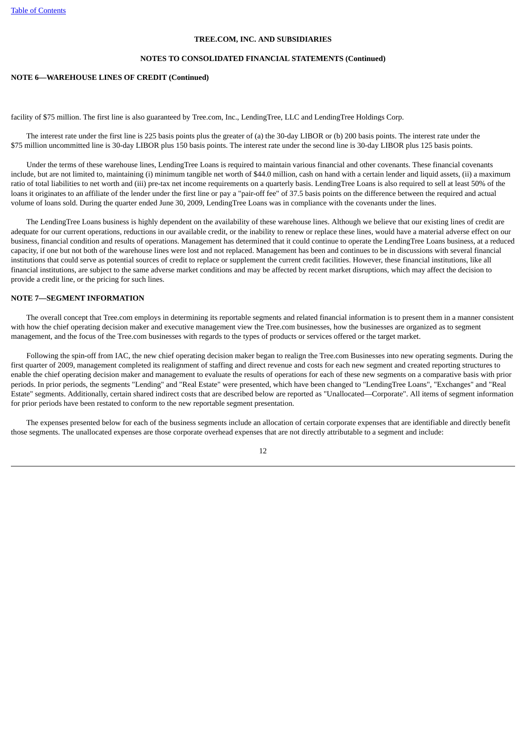#### **NOTES TO CONSOLIDATED FINANCIAL STATEMENTS (Continued)**

#### **NOTE 6—WAREHOUSE LINES OF CREDIT (Continued)**

facility of \$75 million. The first line is also guaranteed by Tree.com, Inc., LendingTree, LLC and LendingTree Holdings Corp.

 The interest rate under the first line is 225 basis points plus the greater of (a) the 30-day LIBOR or (b) 200 basis points. The interest rate under the \$75 million uncommitted line is 30-day LIBOR plus 150 basis points. The interest rate under the second line is 30-day LIBOR plus 125 basis points.

 Under the terms of these warehouse lines, LendingTree Loans is required to maintain various financial and other covenants. These financial covenants include, but are not limited to, maintaining (i) minimum tangible net worth of \$44.0 million, cash on hand with a certain lender and liquid assets, (ii) a maximum ratio of total liabilities to net worth and (iii) pre-tax net income requirements on a quarterly basis. LendingTree Loans is also required to sell at least 50% of the loans it originates to an affiliate of the lender under the first line or pay a "pair-off fee" of 37.5 basis points on the difference between the required and actual volume of loans sold. During the quarter ended June 30, 2009, LendingTree Loans was in compliance with the covenants under the lines.

 The LendingTree Loans business is highly dependent on the availability of these warehouse lines. Although we believe that our existing lines of credit are adequate for our current operations, reductions in our available credit, or the inability to renew or replace these lines, would have a material adverse effect on our business, financial condition and results of operations. Management has determined that it could continue to operate the LendingTree Loans business, at a reduced capacity, if one but not both of the warehouse lines were lost and not replaced. Management has been and continues to be in discussions with several financial institutions that could serve as potential sources of credit to replace or supplement the current credit facilities. However, these financial institutions, like all financial institutions, are subject to the same adverse market conditions and may be affected by recent market disruptions, which may affect the decision to provide a credit line, or the pricing for such lines.

## **NOTE 7—SEGMENT INFORMATION**

 The overall concept that Tree.com employs in determining its reportable segments and related financial information is to present them in a manner consistent with how the chief operating decision maker and executive management view the Tree.com businesses, how the businesses are organized as to segment management, and the focus of the Tree.com businesses with regards to the types of products or services offered or the target market.

 Following the spin-off from IAC, the new chief operating decision maker began to realign the Tree.com Businesses into new operating segments. During the first quarter of 2009, management completed its realignment of staffing and direct revenue and costs for each new segment and created reporting structures to enable the chief operating decision maker and management to evaluate the results of operations for each of these new segments on a comparative basis with prior periods. In prior periods, the segments "Lending" and "Real Estate" were presented, which have been changed to "LendingTree Loans", "Exchanges" and "Real Estate" segments. Additionally, certain shared indirect costs that are described below are reported as "Unallocated—Corporate". All items of segment information for prior periods have been restated to conform to the new reportable segment presentation.

 The expenses presented below for each of the business segments include an allocation of certain corporate expenses that are identifiable and directly benefit those segments. The unallocated expenses are those corporate overhead expenses that are not directly attributable to a segment and include: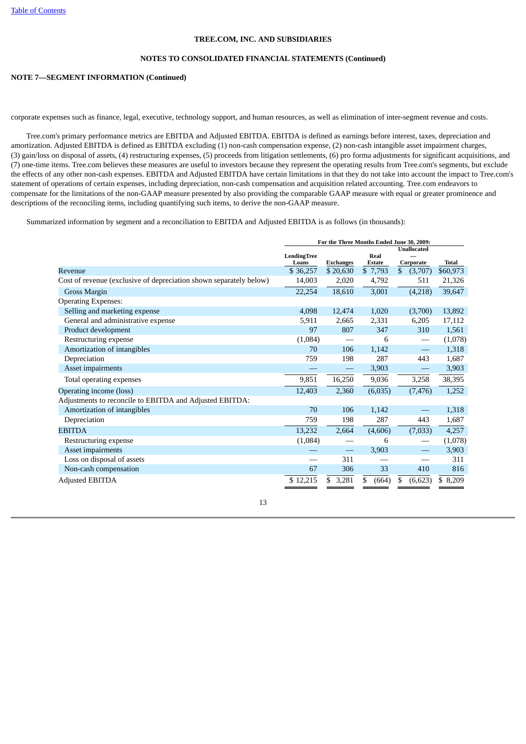#### **NOTES TO CONSOLIDATED FINANCIAL STATEMENTS (Continued)**

## **NOTE 7—SEGMENT INFORMATION (Continued)**

corporate expenses such as finance, legal, executive, technology support, and human resources, as well as elimination of inter-segment revenue and costs.

 Tree.com's primary performance metrics are EBITDA and Adjusted EBITDA. EBITDA is defined as earnings before interest, taxes, depreciation and amortization. Adjusted EBITDA is defined as EBITDA excluding (1) non-cash compensation expense, (2) non-cash intangible asset impairment charges, (3) gain/loss on disposal of assets, (4) restructuring expenses, (5) proceeds from litigation settlements, (6) pro forma adjustments for significant acquisitions, and (7) one-time items. Tree.com believes these measures are useful to investors because they represent the operating results from Tree.com's segments, but exclude the effects of any other non-cash expenses. EBITDA and Adjusted EBITDA have certain limitations in that they do not take into account the impact to Tree.com's statement of operations of certain expenses, including depreciation, non-cash compensation and acquisition related accounting. Tree.com endeavors to compensate for the limitations of the non-GAAP measure presented by also providing the comparable GAAP measure with equal or greater prominence and descriptions of the reconciling items, including quantifying such items, to derive the non-GAAP measure.

Summarized information by segment and a reconciliation to EBITDA and Adjusted EBITDA is as follows (in thousands):

|                                                                    | For the Three Months Ended June 30, 2009: |                  |                |                          |              |  |  |
|--------------------------------------------------------------------|-------------------------------------------|------------------|----------------|--------------------------|--------------|--|--|
|                                                                    |                                           |                  |                | <b>Unallocated</b>       |              |  |  |
|                                                                    | <b>LendingTree</b><br>Loans               | <b>Exchanges</b> | Real<br>Estate | Corporate                | <b>Total</b> |  |  |
| Revenue                                                            | \$36,257                                  | \$20,630         | \$7,793        | $\mathbb{S}$<br>(3,707)  | \$60,973     |  |  |
| Cost of revenue (exclusive of depreciation shown separately below) | 14,003                                    | 2,020            | 4,792          | 511                      | 21,326       |  |  |
| Gross Margin                                                       | 22,254                                    | 18,610           | 3,001          | (4,218)                  | 39,647       |  |  |
| <b>Operating Expenses:</b>                                         |                                           |                  |                |                          |              |  |  |
| Selling and marketing expense                                      | 4,098                                     | 12,474           | 1,020          | (3,700)                  | 13,892       |  |  |
| General and administrative expense                                 | 5,911                                     | 2,665            | 2,331          | 6,205                    | 17,112       |  |  |
| Product development                                                | 97                                        | 807              | 347            | 310                      | 1,561        |  |  |
| Restructuring expense                                              | (1,084)                                   |                  | 6              |                          | (1,078)      |  |  |
| Amortization of intangibles                                        | 70                                        | 106              | 1,142          | $\overline{\phantom{m}}$ | 1,318        |  |  |
| Depreciation                                                       | 759                                       | 198              | 287            | 443                      | 1,687        |  |  |
| Asset impairments                                                  |                                           |                  | 3,903          |                          | 3,903        |  |  |
| Total operating expenses                                           | 9,851                                     | 16,250           | 9,036          | 3,258                    | 38,395       |  |  |
| Operating income (loss)                                            | 12,403                                    | 2,360            | (6,035)        | (7, 476)                 | 1,252        |  |  |
| Adjustments to reconcile to EBITDA and Adjusted EBITDA:            |                                           |                  |                |                          |              |  |  |
| Amortization of intangibles                                        | 70                                        | 106              | 1,142          |                          | 1,318        |  |  |
| Depreciation                                                       | 759                                       | 198              | 287            | 443                      | 1,687        |  |  |
| <b>EBITDA</b>                                                      | 13,232                                    | 2,664            | (4,606)        | (7,033)                  | 4,257        |  |  |
| Restructuring expense                                              | (1,084)                                   |                  | 6              |                          | (1,078)      |  |  |
| Asset impairments                                                  |                                           |                  | 3,903          |                          | 3,903        |  |  |
| Loss on disposal of assets                                         |                                           | 311              |                |                          | 311          |  |  |
| Non-cash compensation                                              | 67                                        | 306              | 33             | 410                      | 816          |  |  |
| <b>Adjusted EBITDA</b>                                             | \$12,215                                  | \$<br>3,281      | \$<br>(664)    | \$<br>(6,623)            | \$8,209      |  |  |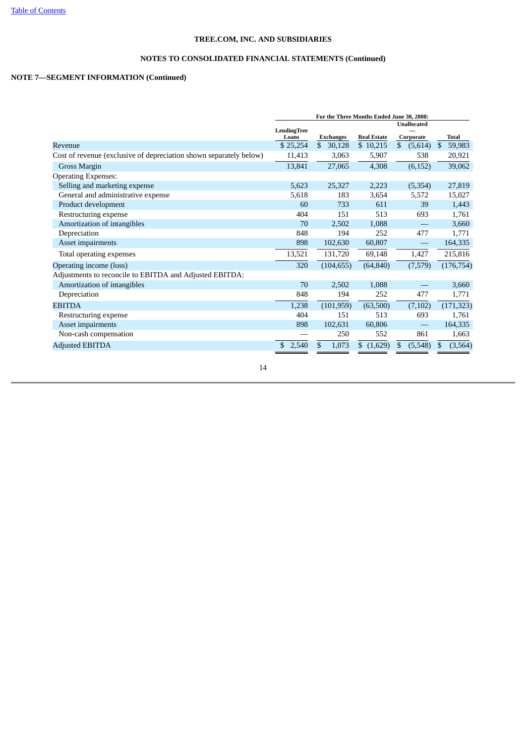## **NOTES TO CONSOLIDATED FINANCIAL STATEMENTS (Continued)**

## **NOTE 7—SEGMENT INFORMATION (Continued)**

|                                                                    |                       | For the Three Months Ended June 30, 2008:<br><b>Unallocated</b> |                    |                          |                        |  |  |  |
|--------------------------------------------------------------------|-----------------------|-----------------------------------------------------------------|--------------------|--------------------------|------------------------|--|--|--|
|                                                                    | LendingTree<br>Loans  | <b>Exchanges</b>                                                | <b>Real Estate</b> | Corporate                | <b>Total</b>           |  |  |  |
| Revenue                                                            | \$25,254              | \$<br>30,128                                                    | \$10,215           | $\mathbb{S}$<br>(5,614)  | $\mathbb{S}$<br>59,983 |  |  |  |
| Cost of revenue (exclusive of depreciation shown separately below) | 11,413                | 3,063                                                           | 5,907              | 538                      | 20,921                 |  |  |  |
| Gross Margin                                                       | 13,841                | 27,065                                                          | 4,308              | (6, 152)                 | 39,062                 |  |  |  |
| <b>Operating Expenses:</b>                                         |                       |                                                                 |                    |                          |                        |  |  |  |
| Selling and marketing expense                                      | 5,623                 | 25,327                                                          | 2,223              | (5,354)                  | 27,819                 |  |  |  |
| General and administrative expense                                 | 5,618                 | 183                                                             | 3,654              | 5,572                    | 15,027                 |  |  |  |
| Product development                                                | 60                    | 733                                                             | 611                | 39                       | 1,443                  |  |  |  |
| Restructuring expense                                              | 404                   | 151                                                             | 513                | 693                      | 1,761                  |  |  |  |
| Amortization of intangibles                                        | 70                    | 2,502                                                           | 1,088              | $\overline{\phantom{0}}$ | 3,660                  |  |  |  |
| Depreciation                                                       | 848                   | 194                                                             | 252                | 477                      | 1,771                  |  |  |  |
| Asset impairments                                                  | 898                   | 102,630                                                         | 60,807             |                          | 164,335                |  |  |  |
| Total operating expenses                                           | 13,521                | 131,720                                                         | 69,148             | 1,427                    | 215,816                |  |  |  |
| Operating income (loss)                                            | 320                   | (104, 655)                                                      | (64, 840)          | (7,579)                  | (176, 754)             |  |  |  |
| Adjustments to reconcile to EBITDA and Adjusted EBITDA:            |                       |                                                                 |                    |                          |                        |  |  |  |
| Amortization of intangibles                                        | 70                    | 2,502                                                           | 1,088              |                          | 3,660                  |  |  |  |
| Depreciation                                                       | 848                   | 194                                                             | 252                | 477                      | 1,771                  |  |  |  |
| <b>EBITDA</b>                                                      | 1,238                 | (101, 959)                                                      | (63,500)           | (7, 102)                 | (171, 323)             |  |  |  |
| Restructuring expense                                              | 404                   | 151                                                             | 513                | 693                      | 1,761                  |  |  |  |
| Asset impairments                                                  | 898                   | 102,631                                                         | 60,806             |                          | 164,335                |  |  |  |
| Non-cash compensation                                              |                       | 250                                                             | 552                | 861                      | 1,663                  |  |  |  |
| <b>Adjusted EBITDA</b>                                             | $\mathbf{s}$<br>2,540 | 1,073<br>\$                                                     | (1,629)<br>\$      | (5,548)<br>\$            | \$<br>(3,564)          |  |  |  |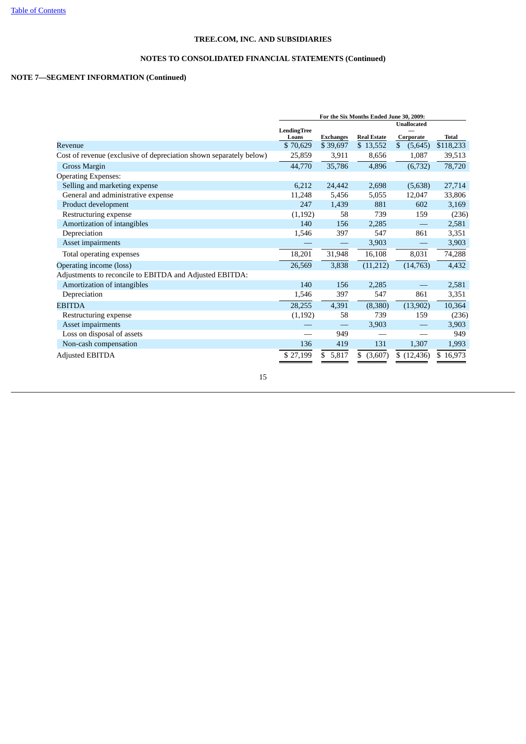## **NOTES TO CONSOLIDATED FINANCIAL STATEMENTS (Continued)**

## **NOTE 7—SEGMENT INFORMATION (Continued)**

|                                                                    | For the Six Months Ended June 30, 2009: |                          |                    |                          |              |  |  |
|--------------------------------------------------------------------|-----------------------------------------|--------------------------|--------------------|--------------------------|--------------|--|--|
|                                                                    | LendingTree                             |                          |                    | <b>Unallocated</b>       |              |  |  |
|                                                                    | Loans                                   | <b>Exchanges</b>         | <b>Real Estate</b> | Corporate                | <b>Total</b> |  |  |
| Revenue                                                            | \$70,629                                | \$39,697                 | \$13,552           | $\mathbb{S}$<br>(5,645)  | \$118,233    |  |  |
| Cost of revenue (exclusive of depreciation shown separately below) | 25,859                                  | 3,911                    | 8,656              | 1,087                    | 39,513       |  |  |
| Gross Margin                                                       | 44,770                                  | 35,786                   | 4,896              | (6, 732)                 | 78,720       |  |  |
| <b>Operating Expenses:</b>                                         |                                         |                          |                    |                          |              |  |  |
| Selling and marketing expense                                      | 6,212                                   | 24,442                   | 2,698              | (5,638)                  | 27,714       |  |  |
| General and administrative expense                                 | 11,248                                  | 5,456                    | 5,055              | 12,047                   | 33,806       |  |  |
| Product development                                                | 247                                     | 1,439                    | 881                | 602                      | 3,169        |  |  |
| Restructuring expense                                              | (1, 192)                                | 58                       | 739                | 159                      | (236)        |  |  |
| Amortization of intangibles                                        | 140                                     | 156                      | 2,285              | $\overline{\phantom{0}}$ | 2,581        |  |  |
| Depreciation                                                       | 1,546                                   | 397                      | 547                | 861                      | 3,351        |  |  |
| Asset impairments                                                  |                                         |                          | 3,903              |                          | 3,903        |  |  |
| Total operating expenses                                           | 18,201                                  | 31,948                   | 16,108             | 8,031                    | 74,288       |  |  |
| Operating income (loss)                                            | 26,569                                  | 3,838                    | (11,212)           | (14,763)                 | 4,432        |  |  |
| Adjustments to reconcile to EBITDA and Adjusted EBITDA:            |                                         |                          |                    |                          |              |  |  |
| Amortization of intangibles                                        | 140                                     | 156                      | 2,285              |                          | 2,581        |  |  |
| Depreciation                                                       | 1,546                                   | 397                      | 547                | 861                      | 3,351        |  |  |
| <b>EBITDA</b>                                                      | 28,255                                  | 4,391                    | (8,380)            | (13,902)                 | 10,364       |  |  |
| Restructuring expense                                              | (1,192)                                 | 58                       | 739                | 159                      | (236)        |  |  |
| Asset impairments                                                  |                                         | $\overline{\phantom{0}}$ | 3,903              |                          | 3,903        |  |  |
| Loss on disposal of assets                                         |                                         | 949                      |                    |                          | 949          |  |  |
| Non-cash compensation                                              | 136                                     | 419                      | 131                | 1,307                    | 1,993        |  |  |
| <b>Adjusted EBITDA</b>                                             | \$27,199                                | 5,817<br>\$              | \$<br>(3,607)      | (12, 436)                | \$16,973     |  |  |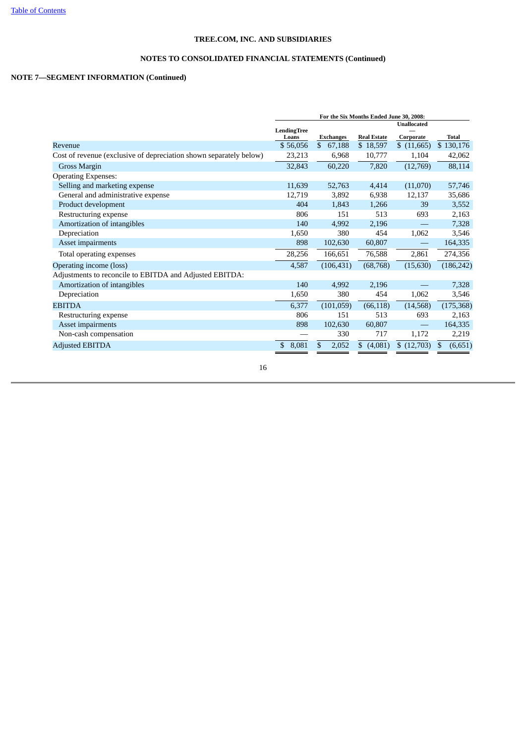## **NOTES TO CONSOLIDATED FINANCIAL STATEMENTS (Continued)**

## **NOTE 7—SEGMENT INFORMATION (Continued)**

|                                                                    | For the Six Months Ended June 30, 2008:<br><b>Unallocated</b> |                  |                    |                          |                            |  |  |
|--------------------------------------------------------------------|---------------------------------------------------------------|------------------|--------------------|--------------------------|----------------------------|--|--|
|                                                                    | LendingTree<br>Loans                                          | <b>Exchanges</b> | <b>Real Estate</b> | Corporate                | <b>Total</b>               |  |  |
| Revenue                                                            | \$56,056                                                      | \$<br>67,188     | \$18,597           | \$(11,665)               | \$130,176                  |  |  |
| Cost of revenue (exclusive of depreciation shown separately below) | 23,213                                                        | 6,968            | 10,777             | 1,104                    | 42,062                     |  |  |
| Gross Margin                                                       | 32,843                                                        | 60,220           | 7,820              | (12,769)                 | 88,114                     |  |  |
| <b>Operating Expenses:</b>                                         |                                                               |                  |                    |                          |                            |  |  |
| Selling and marketing expense                                      | 11,639                                                        | 52,763           | 4,414              | (11,070)                 | 57,746                     |  |  |
| General and administrative expense                                 | 12,719                                                        | 3,892            | 6,938              | 12,137                   | 35,686                     |  |  |
| Product development                                                | 404                                                           | 1,843            | 1,266              | 39                       | 3,552                      |  |  |
| Restructuring expense                                              | 806                                                           | 151              | 513                | 693                      | 2,163                      |  |  |
| Amortization of intangibles                                        | 140                                                           | 4,992            | 2,196              |                          | 7,328                      |  |  |
| Depreciation                                                       | 1,650                                                         | 380              | 454                | 1,062                    | 3,546                      |  |  |
| Asset impairments                                                  | 898                                                           | 102,630          | 60,807             | $\overline{\phantom{0}}$ | 164,335                    |  |  |
| Total operating expenses                                           | 28,256                                                        | 166,651          | 76,588             | 2,861                    | 274,356                    |  |  |
| Operating income (loss)                                            | 4,587                                                         | (106, 431)       | (68, 768)          | (15,630)                 | (186, 242)                 |  |  |
| Adjustments to reconcile to EBITDA and Adjusted EBITDA:            |                                                               |                  |                    |                          |                            |  |  |
| Amortization of intangibles                                        | 140                                                           | 4,992            | 2,196              |                          | 7,328                      |  |  |
| Depreciation                                                       | 1,650                                                         | 380              | 454                | 1,062                    | 3,546                      |  |  |
| <b>EBITDA</b>                                                      | 6,377                                                         | (101, 059)       | (66, 118)          | (14, 568)                | (175, 368)                 |  |  |
| Restructuring expense                                              | 806                                                           | 151              | 513                | 693                      | 2,163                      |  |  |
| Asset impairments                                                  | 898                                                           | 102,630          | 60,807             |                          | 164,335                    |  |  |
| Non-cash compensation                                              |                                                               | 330              | 717                | 1,172                    | 2,219                      |  |  |
| <b>Adjusted EBITDA</b>                                             | $\mathbb{S}$<br>8,081                                         | 2,052<br>\$      | (4,081)<br>\$      | (12,703)                 | $\mathfrak{S}$<br>(6, 651) |  |  |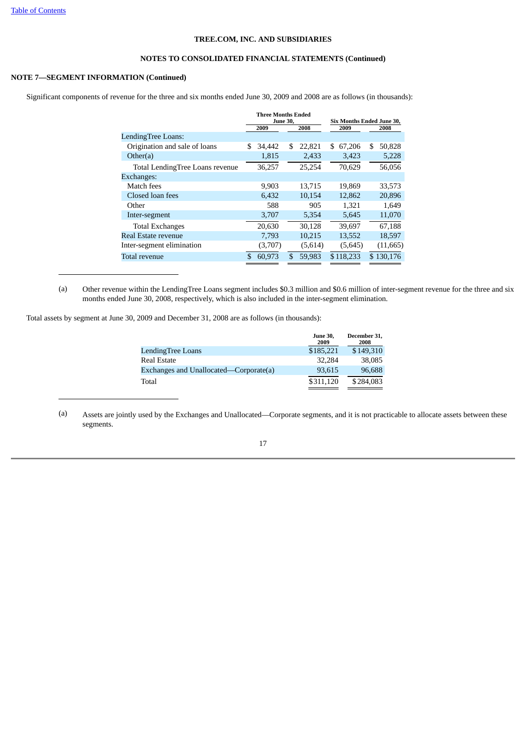## **NOTES TO CONSOLIDATED FINANCIAL STATEMENTS (Continued)**

## **NOTE 7—SEGMENT INFORMATION (Continued)**

Significant components of revenue for the three and six months ended June 30, 2009 and 2008 are as follows (in thousands):

|                                 | <b>Three Months Ended</b><br>June 30, |              | <b>Six Months Ended June 30,</b> |              |
|---------------------------------|---------------------------------------|--------------|----------------------------------|--------------|
|                                 | 2009                                  | 2008         | 2009                             | 2008         |
| LendingTree Loans:              |                                       |              |                                  |              |
| Origination and sale of loans   | \$<br>34,442                          | \$<br>22.821 | 67,206<br>S.                     | \$<br>50,828 |
| Other(a)                        | 1,815                                 | 2,433        | 3,423                            | 5,228        |
| Total LendingTree Loans revenue | 36,257                                | 25.254       | 70,629                           | 56,056       |
| Exchanges:                      |                                       |              |                                  |              |
| Match fees                      | 9.903                                 | 13.715       | 19.869                           | 33.573       |
| Closed loan fees                | 6.432                                 | 10.154       | 12.862                           | 20.896       |
| Other                           | 588                                   | 905          | 1,321                            | 1,649        |
| Inter-segment                   | 3,707                                 | 5.354        | 5,645                            | 11,070       |
| <b>Total Exchanges</b>          | 20,630                                | 30,128       | 39,697                           | 67.188       |
| Real Estate revenue             | 7,793                                 | 10,215       | 13,552                           | 18,597       |
| Inter-segment elimination       | (3,707)                               | (5,614)      | (5,645)                          | (11,665)     |
| <b>Total revenue</b>            | \$<br>60,973                          | \$<br>59,983 | \$118,233                        | \$130,176    |

<sup>(</sup>a) Other revenue within the LendingTree Loans segment includes \$0.3 million and \$0.6 million of inter-segment revenue for the three and six months ended June 30, 2008, respectively, which is also included in the inter-segment elimination.

Total assets by segment at June 30, 2009 and December 31, 2008 are as follows (in thousands):

|                                        | <b>June 30,</b><br>2009 | December 31,<br>2008 |
|----------------------------------------|-------------------------|----------------------|
| LendingTree Loans                      | \$185,221               | \$149,310            |
| Real Estate                            | 32.284                  | 38,085               |
| Exchanges and Unallocated—Corporate(a) | 93,615                  | 96,688               |
| Total                                  | \$311,120               | \$284.083            |

<sup>(</sup>a) Assets are jointly used by the Exchanges and Unallocated—Corporate segments, and it is not practicable to allocate assets between these segments.

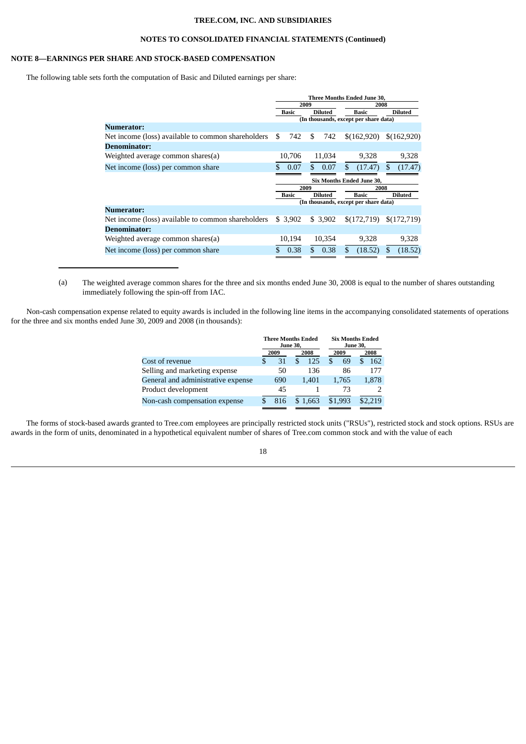#### **NOTES TO CONSOLIDATED FINANCIAL STATEMENTS (Continued)**

## **NOTE 8—EARNINGS PER SHARE AND STOCK-BASED COMPENSATION**

The following table sets forth the computation of Basic and Diluted earnings per share:

|                                                    | Three Months Ended June 30, |              |      |                |              |                                       |    |                |
|----------------------------------------------------|-----------------------------|--------------|------|----------------|--------------|---------------------------------------|----|----------------|
|                                                    |                             |              | 2009 |                |              | 2008                                  |    |                |
|                                                    |                             | Basic        |      | <b>Diluted</b> |              | <b>Basic</b>                          |    | <b>Diluted</b> |
|                                                    |                             |              |      |                |              | (In thousands, except per share data) |    |                |
| Numerator:                                         |                             |              |      |                |              |                                       |    |                |
| Net income (loss) available to common shareholders | \$.                         | 742          | \$.  | 742            |              | \$(162,920)                           |    | \$(162,920)    |
| Denominator:                                       |                             |              |      |                |              |                                       |    |                |
| Weighted average common shares(a)                  |                             | 10,706       |      | 11,034         |              | 9,328                                 |    | 9,328          |
| Net income (loss) per common share                 |                             | 0.07         | \$.  | 0.07           | \$           | (17.47)                               | \$ | (17.47)        |
|                                                    |                             |              |      |                |              | <b>Six Months Ended June 30,</b>      |    |                |
|                                                    |                             |              | 2009 |                |              | 2008                                  |    |                |
|                                                    |                             | <b>Basic</b> |      | <b>Diluted</b> | <b>Basic</b> |                                       |    | <b>Diluted</b> |
|                                                    |                             |              |      |                |              | (In thousands, except per share data) |    |                |
| Numerator:                                         |                             |              |      |                |              |                                       |    |                |
| Net income (loss) available to common shareholders |                             | \$ 3,902     |      | \$ 3,902       |              | \$(172,719)                           |    | \$(172,719)    |
| <b>Denominator:</b>                                |                             |              |      |                |              |                                       |    |                |
| Weighted average common shares(a)                  |                             | 10,194       |      | 10,354         |              | 9,328                                 |    | 9,328          |
| Net income (loss) per common share                 |                             | 0.38         | S    | 0.38           |              | (18.52)                               |    | (18.52)        |

<sup>(</sup>a) The weighted average common shares for the three and six months ended June 30, 2008 is equal to the number of shares outstanding immediately following the spin-off from IAC.

 Non-cash compensation expense related to equity awards is included in the following line items in the accompanying consolidated statements of operations for the three and six months ended June 30, 2009 and 2008 (in thousands):

|                                    |   | <b>Three Months Ended</b><br><b>June 30,</b> |  |         |   |         | <b>Six Months Ended</b><br><b>June 30,</b> |         |
|------------------------------------|---|----------------------------------------------|--|---------|---|---------|--------------------------------------------|---------|
|                                    |   | 2008<br>2009                                 |  | 2009    |   | 2008    |                                            |         |
| Cost of revenue                    | S | 31                                           |  | 125     | S | 69      |                                            | 162     |
| Selling and marketing expense      |   | 50                                           |  | 136     |   | 86      |                                            | 177     |
| General and administrative expense |   | 690                                          |  | 1.401   |   | 1.765   |                                            | 1,878   |
| Product development                |   | 45                                           |  |         |   | 73      |                                            |         |
| Non-cash compensation expense      |   | 816                                          |  | \$1,663 |   | \$1,993 |                                            | \$2,219 |

 The forms of stock-based awards granted to Tree.com employees are principally restricted stock units ("RSUs"), restricted stock and stock options. RSUs are awards in the form of units, denominated in a hypothetical equivalent number of shares of Tree.com common stock and with the value of each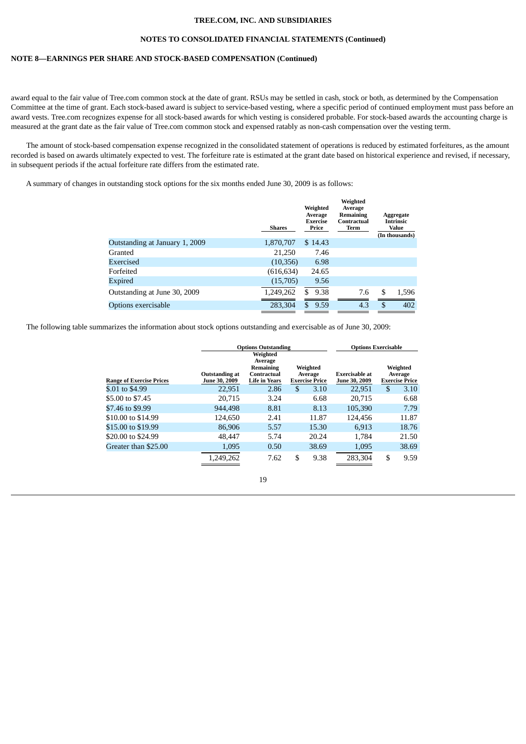#### **NOTES TO CONSOLIDATED FINANCIAL STATEMENTS (Continued)**

## **NOTE 8—EARNINGS PER SHARE AND STOCK-BASED COMPENSATION (Continued)**

award equal to the fair value of Tree.com common stock at the date of grant. RSUs may be settled in cash, stock or both, as determined by the Compensation Committee at the time of grant. Each stock-based award is subject to service-based vesting, where a specific period of continued employment must pass before an award vests. Tree.com recognizes expense for all stock-based awards for which vesting is considered probable. For stock-based awards the accounting charge is measured at the grant date as the fair value of Tree.com common stock and expensed ratably as non-cash compensation over the vesting term.

 The amount of stock-based compensation expense recognized in the consolidated statement of operations is reduced by estimated forfeitures, as the amount recorded is based on awards ultimately expected to vest. The forfeiture rate is estimated at the grant date based on historical experience and revised, if necessary, in subsequent periods if the actual forfeiture rate differs from the estimated rate.

A summary of changes in outstanding stock options for the six months ended June 30, 2009 is as follows:

|                                | <b>Shares</b> | Weighted<br>Average<br><b>Exercise</b><br>Price | Weighted<br>Average<br>Remaining<br>Contractual<br>Term |     | Aggregate<br><b>Intrinsic</b><br>Value<br>(In thousands) |
|--------------------------------|---------------|-------------------------------------------------|---------------------------------------------------------|-----|----------------------------------------------------------|
| Outstanding at January 1, 2009 | 1,870,707     | \$14.43                                         |                                                         |     |                                                          |
| Granted                        | 21,250        | 7.46                                            |                                                         |     |                                                          |
| Exercised                      | (10, 356)     | 6.98                                            |                                                         |     |                                                          |
| Forfeited                      | (616, 634)    | 24.65                                           |                                                         |     |                                                          |
| <b>Expired</b>                 | (15,705)      | 9.56                                            |                                                         |     |                                                          |
| Outstanding at June 30, 2009   | 1,249,262     | 9.38<br>\$                                      | 7.6                                                     | \$  | 1,596                                                    |
| Options exercisable            | 283,304       | \$<br>9.59                                      | 4.3                                                     | \$. | 402                                                      |

The following table summarizes the information about stock options outstanding and exercisable as of June 30, 2009:

|                                 |                                        | <b>Options Outstanding</b>                                              |                                              |       |                                        | <b>Options Exercisable</b>                   |  |  |
|---------------------------------|----------------------------------------|-------------------------------------------------------------------------|----------------------------------------------|-------|----------------------------------------|----------------------------------------------|--|--|
| <b>Range of Exercise Prices</b> | <b>Outstanding at</b><br>June 30, 2009 | Weighted<br>Average<br>Remaining<br>Contractual<br><b>Life in Years</b> | Weighted<br>Average<br><b>Exercise Price</b> |       | <b>Exercisable at</b><br>June 30, 2009 | Weighted<br>Average<br><b>Exercise Price</b> |  |  |
| \$.01 to \$4.99                 | 22,951                                 | 2.86                                                                    | \$                                           | 3.10  | 22,951                                 | \$<br>3.10                                   |  |  |
| \$5.00 to \$7.45                | 20.715                                 | 3.24                                                                    |                                              | 6.68  | 20,715                                 | 6.68                                         |  |  |
| \$7.46 to \$9.99                | 944,498                                | 8.81                                                                    |                                              | 8.13  | 105,390                                | 7.79                                         |  |  |
| \$10.00 to \$14.99              | 124,650                                | 2.41                                                                    |                                              | 11.87 | 124.456                                | 11.87                                        |  |  |
| \$15.00 to \$19.99              | 86,906                                 | 5.57                                                                    |                                              | 15.30 | 6.913                                  | 18.76                                        |  |  |
| \$20.00 to \$24.99              | 48.447                                 | 5.74                                                                    |                                              | 20.24 | 1.784                                  | 21.50                                        |  |  |
| Greater than \$25.00            | 1,095                                  | 0.50                                                                    |                                              | 38.69 | 1,095                                  | 38.69                                        |  |  |
|                                 | 1.249.262                              | 7.62                                                                    | \$                                           | 9.38  | 283.304                                | \$<br>9.59                                   |  |  |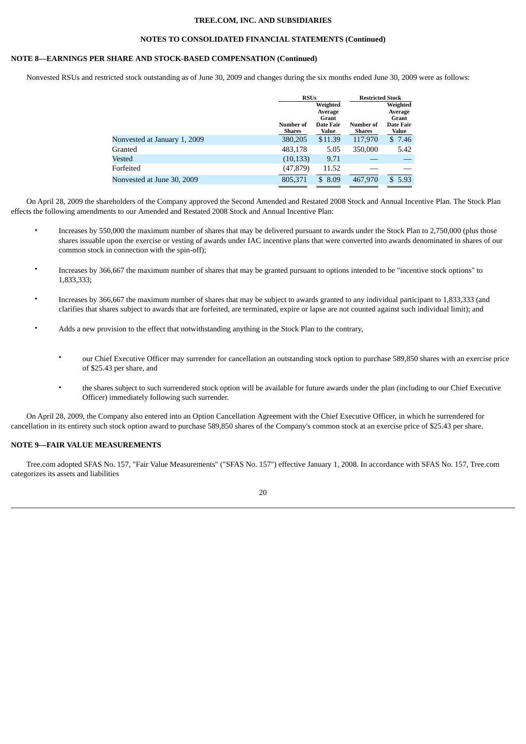#### **NOTES TO CONSOLIDATED FINANCIAL STATEMENTS (Continued)**

### **NOTE 8—EARNINGS PER SHARE AND STOCK-BASED COMPENSATION (Continued)**

Nonvested RSUs and restricted stock outstanding as of June 30, 2009 and changes during the six months ended June 30, 2009 were as follows:

|                              | <b>RSUs</b>                                                               |             | <b>Restricted Stock</b> |                                           |  |  |
|------------------------------|---------------------------------------------------------------------------|-------------|-------------------------|-------------------------------------------|--|--|
|                              | Weighted<br>Average<br>Grant<br>Number of<br>Date Fair<br>Value<br>Shares |             | Number of               | Weighted<br>Average<br>Grant<br>Date Fair |  |  |
| Nonvested at January 1, 2009 | 380,205                                                                   | \$11.39     | Shares<br>117,970       | Value<br>\$7.46                           |  |  |
| Granted                      | 483,178                                                                   | 5.05        | 350,000                 | 5.42                                      |  |  |
| Vested                       | (10, 133)                                                                 | 9.71        |                         |                                           |  |  |
| Forfeited                    | (47, 879)                                                                 | 11.52       |                         |                                           |  |  |
| Nonvested at June 30, 2009   | 805,371                                                                   | 8.09<br>\$. | 467,970                 | \$5.93                                    |  |  |

 On April 28, 2009 the shareholders of the Company approved the Second Amended and Restated 2008 Stock and Annual Incentive Plan. The Stock Plan effects the following amendments to our Amended and Restated 2008 Stock and Annual Incentive Plan:

- Increases by 550,000 the maximum number of shares that may be delivered pursuant to awards under the Stock Plan to 2,750,000 (plus those shares issuable upon the exercise or vesting of awards under IAC incentive plans that were converted into awards denominated in shares of our common stock in connection with the spin-off):
- Increases by 366,667 the maximum number of shares that may be granted pursuant to options intended to be "incentive stock options" to 1,833,333;
- Increases by 366,667 the maximum number of shares that may be subject to awards granted to any individual participant to 1,833,333 (and clarifies that shares subject to awards that are forfeited, are terminated, expire or lapse are not counted against such individual limit); and
- Adds a new provision to the effect that notwithstanding anything in the Stock Plan to the contrary,
	- our Chief Executive Officer may surrender for cancellation an outstanding stock option to purchase 589,850 shares with an exercise price of \$25.43 per share, and
	- the shares subject to such surrendered stock option will be available for future awards under the plan (including to our Chief Executive Officer) immediately following such surrender.

 On April 28, 2009, the Company also entered into an Option Cancellation Agreement with the Chief Executive Officer, in which he surrendered for cancellation in its entirety such stock option award to purchase 589,850 shares of the Company's common stock at an exercise price of \$25.43 per share.

#### **NOTE 9—FAIR VALUE MEASUREMENTS**

 Tree.com adopted SFAS No. 157, "Fair Value Measurements" ("SFAS No. 157") effective January 1, 2008. In accordance with SFAS No. 157, Tree.com categorizes its assets and liabilities

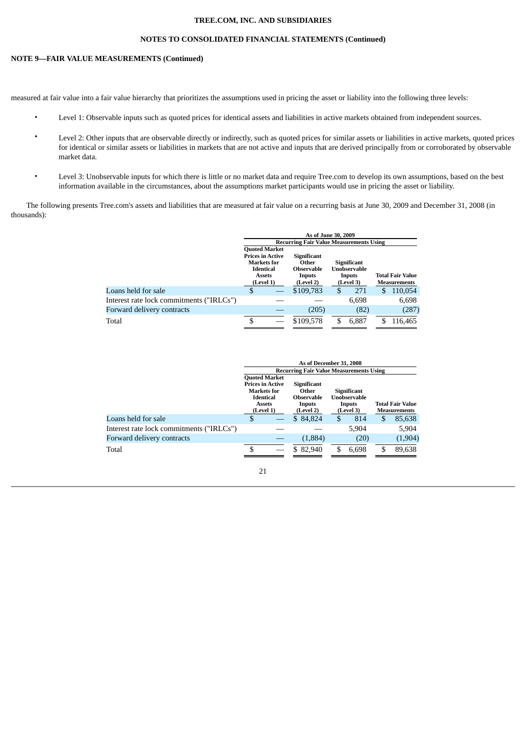#### **NOTES TO CONSOLIDATED FINANCIAL STATEMENTS (Continued)**

### **NOTE 9—FAIR VALUE MEASUREMENTS (Continued)**

measured at fair value into a fair value hierarchy that prioritizes the assumptions used in pricing the asset or liability into the following three levels:

- Level 1: Observable inputs such as quoted prices for identical assets and liabilities in active markets obtained from independent sources.
- Level 2: Other inputs that are observable directly or indirectly, such as quoted prices for similar assets or liabilities in active markets, quoted prices for identical or similar assets or liabilities in markets that are not active and inputs that are derived principally from or corroborated by observable market data.
- Level 3: Unobservable inputs for which there is little or no market data and require Tree.com to develop its own assumptions, based on the best information available in the circumstances, about the assumptions market participants would use in pricing the asset or liability.

 The following presents Tree.com's assets and liabilities that are measured at fair value on a recurring basis at June 30, 2009 and December 31, 2008 (in thousands):

|                                          | As of June 30, 2009                                                                                              |  |                                                                  |    |                                                    |    |                                                |  |  |  |
|------------------------------------------|------------------------------------------------------------------------------------------------------------------|--|------------------------------------------------------------------|----|----------------------------------------------------|----|------------------------------------------------|--|--|--|
|                                          | <b>Recurring Fair Value Measurements Using</b>                                                                   |  |                                                                  |    |                                                    |    |                                                |  |  |  |
|                                          | <b>Quoted Market</b><br><b>Prices in Active</b><br>Markets for<br><b>Identical</b><br><b>Assets</b><br>(Level 1) |  | Significant<br>Other<br><b>Observable</b><br>Inputs<br>(Level 2) |    | Significant<br>Unobservable<br>Inputs<br>(Level 3) |    | <b>Total Fair Value</b><br><b>Measurements</b> |  |  |  |
| Loans held for sale                      | S                                                                                                                |  | \$109,783                                                        | \$ | 271                                                | \$ | 110,054                                        |  |  |  |
| Interest rate lock commitments ("IRLCs") |                                                                                                                  |  |                                                                  |    | 6,698                                              |    | 6,698                                          |  |  |  |
| Forward delivery contracts               |                                                                                                                  |  | (205)                                                            |    | (82)                                               |    | (287)                                          |  |  |  |
| Total                                    | \$                                                                                                               |  | \$109,578                                                        | S  | 6,887                                              | S  | 116.465                                        |  |  |  |

|                                          | As of December 31, 2008<br><b>Recurring Fair Value Measurements Using</b>                                        |  |                                                           |                                                    |       |    |                                                |  |  |  |
|------------------------------------------|------------------------------------------------------------------------------------------------------------------|--|-----------------------------------------------------------|----------------------------------------------------|-------|----|------------------------------------------------|--|--|--|
|                                          | <b>Quoted Market</b><br><b>Prices in Active</b><br>Markets for<br><b>Identical</b><br><b>Assets</b><br>(Level 1) |  | Significant<br>Other<br>Observable<br>Inputs<br>(Level 2) | Significant<br>Unobservable<br>Inputs<br>(Level 3) |       |    | <b>Total Fair Value</b><br><b>Measurements</b> |  |  |  |
| Loans held for sale                      | S                                                                                                                |  | \$84.824                                                  | \$                                                 | 814   | \$ | 85,638                                         |  |  |  |
| Interest rate lock commitments ("IRLCs") |                                                                                                                  |  |                                                           |                                                    | 5.904 |    | 5,904                                          |  |  |  |
| Forward delivery contracts               |                                                                                                                  |  | (1,884)                                                   |                                                    | (20)  |    | (1,904)                                        |  |  |  |
| Total                                    | S                                                                                                                |  | 82,940<br>S.                                              |                                                    | 6.698 | \$ | 89.638                                         |  |  |  |

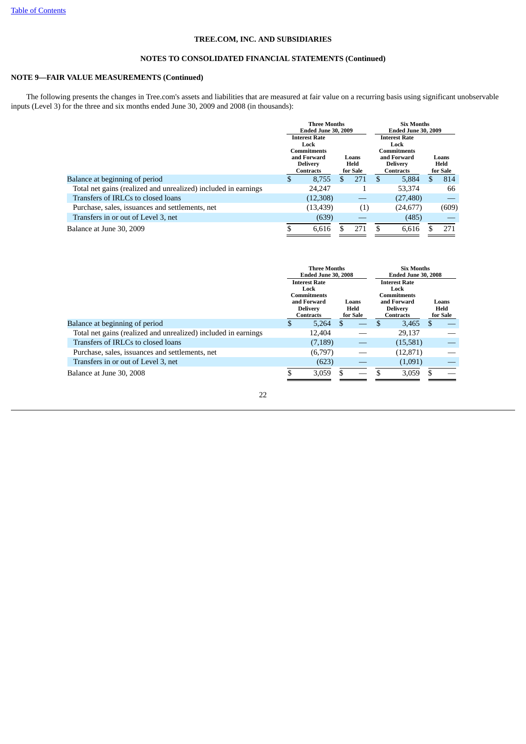## **NOTES TO CONSOLIDATED FINANCIAL STATEMENTS (Continued)**

## **NOTE 9—FAIR VALUE MEASUREMENTS (Continued)**

 The following presents the changes in Tree.com's assets and liabilities that are measured at fair value on a recurring basis using significant unobservable inputs (Level 3) for the three and six months ended June 30, 2009 and 2008 (in thousands):

|                                                                |                                                                                                                                       | <b>Three Months</b><br><b>Ended June 30, 2009</b> |   |     | <b>Six Months</b><br><b>Ended June 30, 2009</b>                                                          |   |                           |
|----------------------------------------------------------------|---------------------------------------------------------------------------------------------------------------------------------------|---------------------------------------------------|---|-----|----------------------------------------------------------------------------------------------------------|---|---------------------------|
|                                                                | <b>Interest Rate</b><br>Lock<br><b>Commitments</b><br>and Forward<br>Loans<br>Held<br><b>Delivery</b><br>for Sale<br><b>Contracts</b> |                                                   |   |     | <b>Interest Rate</b><br>Lock<br><b>Commitments</b><br>and Forward<br><b>Delivery</b><br><b>Contracts</b> |   | Loans<br>Held<br>for Sale |
| Balance at beginning of period                                 | S                                                                                                                                     | 8,755                                             | S | 271 | 5,884                                                                                                    | S | 814                       |
| Total net gains (realized and unrealized) included in earnings |                                                                                                                                       | 24.247                                            |   |     | 53,374                                                                                                   |   | 66                        |
| Transfers of IRLCs to closed loans                             |                                                                                                                                       | (12,308)                                          |   |     | (27, 480)                                                                                                |   |                           |
| Purchase, sales, issuances and settlements, net                |                                                                                                                                       | (13, 439)                                         |   | (1) | (24, 677)                                                                                                |   | (609)                     |
| Transfers in or out of Level 3, net                            |                                                                                                                                       | (639)                                             |   |     | (485)                                                                                                    |   |                           |
| Balance at June 30, 2009                                       | \$                                                                                                                                    | 6.616                                             |   |     | 6,616                                                                                                    |   | 271                       |

|                                                                |                                                                                                                                       | <b>Three Months</b><br><b>Ended June 30, 2008</b> |    |  |  | <b>Six Months</b><br><b>Ended June 30, 2008</b>                                                          |    |                           |  |
|----------------------------------------------------------------|---------------------------------------------------------------------------------------------------------------------------------------|---------------------------------------------------|----|--|--|----------------------------------------------------------------------------------------------------------|----|---------------------------|--|
|                                                                | <b>Interest Rate</b><br>Lock<br><b>Commitments</b><br>and Forward<br>Loans<br><b>Delivery</b><br>Held<br>for Sale<br><b>Contracts</b> |                                                   |    |  |  | <b>Interest Rate</b><br>Lock<br><b>Commitments</b><br>and Forward<br><b>Delivery</b><br><b>Contracts</b> |    | Loans<br>Held<br>for Sale |  |
| Balance at beginning of period                                 | S                                                                                                                                     | 5,264                                             | Ъ. |  |  | 3,465                                                                                                    | ъĐ |                           |  |
| Total net gains (realized and unrealized) included in earnings |                                                                                                                                       | 12,404                                            |    |  |  | 29.137                                                                                                   |    |                           |  |
| Transfers of IRLCs to closed loans                             |                                                                                                                                       | (7, 189)                                          |    |  |  | (15,581)                                                                                                 |    |                           |  |
| Purchase, sales, issuances and settlements, net                |                                                                                                                                       | (6,797)                                           |    |  |  | (12, 871)                                                                                                |    |                           |  |
| Transfers in or out of Level 3, net                            |                                                                                                                                       | (623)                                             |    |  |  | (1,091)                                                                                                  |    |                           |  |
| Balance at June 30, 2008                                       |                                                                                                                                       | 3,059                                             | .S |  |  | 3,059                                                                                                    | ъ  |                           |  |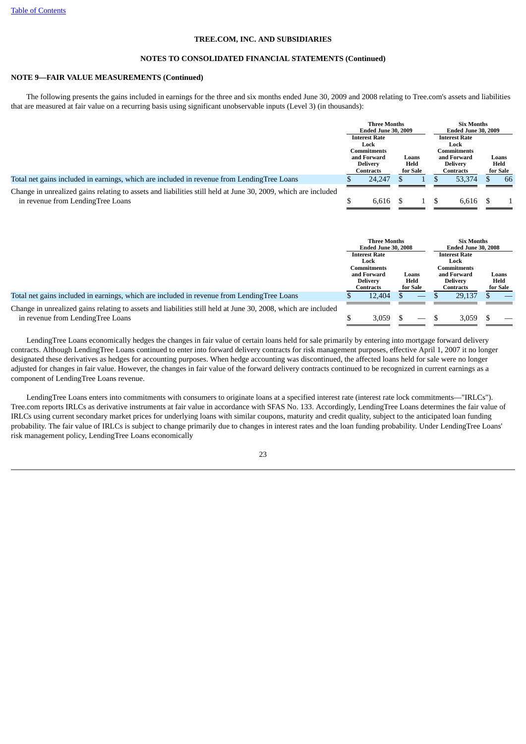#### **NOTES TO CONSOLIDATED FINANCIAL STATEMENTS (Continued)**

## **NOTE 9—FAIR VALUE MEASUREMENTS (Continued)**

 The following presents the gains included in earnings for the three and six months ended June 30, 2009 and 2008 relating to Tree.com's assets and liabilities that are measured at fair value on a recurring basis using significant unobservable inputs (Level 3) (in thousands):

|                                                                                                                                                    |                                                                                            | <b>Three Months</b><br><b>Ended June 30, 2009</b> |                           | <b>Six Months</b><br><b>Ended June 30, 2009</b>                                                   |                           |
|----------------------------------------------------------------------------------------------------------------------------------------------------|--------------------------------------------------------------------------------------------|---------------------------------------------------|---------------------------|---------------------------------------------------------------------------------------------------|---------------------------|
|                                                                                                                                                    | <b>Interest Rate</b><br>Lock<br>Commitments<br>and Forward<br><b>Delivery</b><br>Contracts |                                                   | Loans<br>Held<br>for Sale | <b>Interest Rate</b><br>Lock<br>Commitments<br>and Forward<br><b>Delivery</b><br><b>Contracts</b> | Loans<br>Held<br>for Sale |
| Total net gains included in earnings, which are included in revenue from LendingTree Loans                                                         |                                                                                            | 24,247                                            |                           | 53,374                                                                                            | 66                        |
| Change in unrealized gains relating to assets and liabilities still held at June 30, 2009, which are included<br>in revenue from LendingTree Loans |                                                                                            | 6.616                                             |                           | 6,616                                                                                             |                           |

|                                                                                                               |                       | <b>Three Months</b>        |       |                               | <b>Six Months</b> |                            |       |          |
|---------------------------------------------------------------------------------------------------------------|-----------------------|----------------------------|-------|-------------------------------|-------------------|----------------------------|-------|----------|
|                                                                                                               |                       | <b>Ended June 30, 2008</b> |       |                               |                   | <b>Ended June 30, 2008</b> |       |          |
|                                                                                                               |                       | <b>Interest Rate</b>       |       |                               |                   | <b>Interest Rate</b>       |       |          |
|                                                                                                               |                       | Lock.                      |       |                               |                   | Lock                       |       |          |
|                                                                                                               |                       | Commitments                |       |                               |                   | Commitments                |       |          |
|                                                                                                               | and Forward           |                            | Loans | and Forward                   |                   |                            | Loans |          |
|                                                                                                               |                       | <b>Delivery</b>            |       | Held                          | <b>Delivery</b>   |                            |       | Held     |
|                                                                                                               | for Sale<br>Contracts |                            |       |                               |                   | Contracts                  |       | for Sale |
| Total net gains included in earnings, which are included in revenue from LendingTree Loans                    |                       | 12,404                     |       | $\overbrace{\phantom{aaaaa}}$ |                   | 29,137                     |       |          |
| Change in unrealized gains relating to assets and liabilities still held at June 30, 2008, which are included |                       |                            |       |                               |                   |                            |       |          |
| in revenue from LendingTree Loans                                                                             |                       | 3.059                      |       | $\hspace{0.05cm}$             |                   | 3.059                      |       |          |

 LendingTree Loans economically hedges the changes in fair value of certain loans held for sale primarily by entering into mortgage forward delivery contracts. Although LendingTree Loans continued to enter into forward delivery contracts for risk management purposes, effective April 1, 2007 it no longer designated these derivatives as hedges for accounting purposes. When hedge accounting was discontinued, the affected loans held for sale were no longer adjusted for changes in fair value. However, the changes in fair value of the forward delivery contracts continued to be recognized in current earnings as a component of LendingTree Loans revenue.

 LendingTree Loans enters into commitments with consumers to originate loans at a specified interest rate (interest rate lock commitments—"IRLCs"). Tree.com reports IRLCs as derivative instruments at fair value in accordance with SFAS No. 133. Accordingly, LendingTree Loans determines the fair value of IRLCs using current secondary market prices for underlying loans with similar coupons, maturity and credit quality, subject to the anticipated loan funding probability. The fair value of IRLCs is subject to change primarily due to changes in interest rates and the loan funding probability. Under LendingTree Loans' risk management policy, LendingTree Loans economically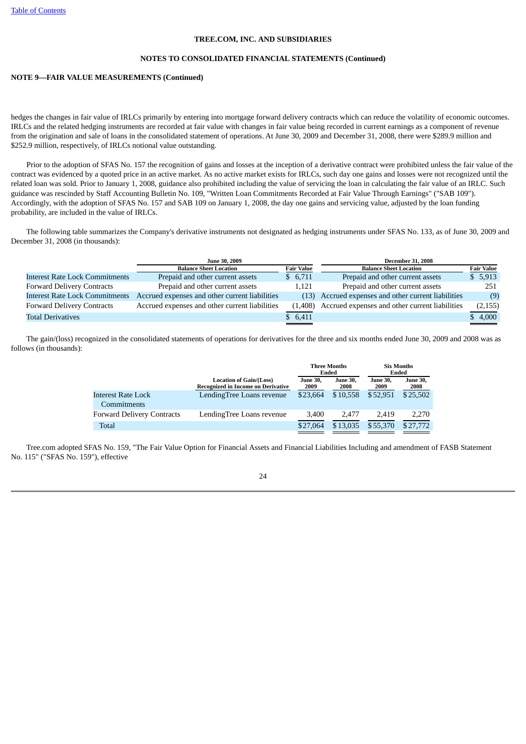#### **NOTES TO CONSOLIDATED FINANCIAL STATEMENTS (Continued)**

#### **NOTE 9—FAIR VALUE MEASUREMENTS (Continued)**

hedges the changes in fair value of IRLCs primarily by entering into mortgage forward delivery contracts which can reduce the volatility of economic outcomes. IRLCs and the related hedging instruments are recorded at fair value with changes in fair value being recorded in current earnings as a component of revenue from the origination and sale of loans in the consolidated statement of operations. At June 30, 2009 and December 31, 2008, there were \$289.9 million and \$252.9 million, respectively, of IRLCs notional value outstanding.

Prior to the adoption of SFAS No. 157 the recognition of gains and losses at the inception of a derivative contract were prohibited unless the fair value of the contract was evidenced by a quoted price in an active market. As no active market exists for IRLCs, such day one gains and losses were not recognized until the related loan was sold. Prior to January 1, 2008, guidance also prohibited including the value of servicing the loan in calculating the fair value of an IRLC. Such guidance was rescinded by Staff Accounting Bulletin No. 109, "Written Loan Commitments Recorded at Fair Value Through Earnings" ("SAB 109"). Accordingly, with the adoption of SFAS No. 157 and SAB 109 on January 1, 2008, the day one gains and servicing value, adjusted by the loan funding probability, are included in the value of IRLCs.

 The following table summarizes the Company's derivative instruments not designated as hedging instruments under SFAS No. 133, as of June 30, 2009 and December 31, 2008 (in thousands):

|                                       | June 30, 2009                                  |            | <b>December 31, 2008</b>                               |                     |
|---------------------------------------|------------------------------------------------|------------|--------------------------------------------------------|---------------------|
|                                       | <b>Balance Sheet Location</b>                  | Fair Value | <b>Balance Sheet Location</b>                          | <b>Fair Value</b>   |
| <b>Interest Rate Lock Commitments</b> | Prepaid and other current assets               | \$6,711    | Prepaid and other current assets                       | \$5,913             |
| <b>Forward Delivery Contracts</b>     | Prepaid and other current assets               | 1,121      | Prepaid and other current assets                       | 251                 |
| <b>Interest Rate Lock Commitments</b> | Accrued expenses and other current liabilities |            | (13) Accrued expenses and other current liabilities    | (9)                 |
| <b>Forward Delivery Contracts</b>     | Accrued expenses and other current liabilities |            | (1,408) Accrued expenses and other current liabilities | (2, 155)            |
| <b>Total Derivatives</b>              |                                                | \$6,411    |                                                        | $\frac{1}{2}$ 4,000 |

 The gain/(loss) recognized in the consolidated statements of operations for derivatives for the three and six months ended June 30, 2009 and 2008 was as follows (in thousands):

|                                          |                                                                             |                         | <b>Three Months</b><br>Ended |                         | <b>Six Months</b><br>Ended |
|------------------------------------------|-----------------------------------------------------------------------------|-------------------------|------------------------------|-------------------------|----------------------------|
|                                          | <b>Location of Gain/(Loss)</b><br><b>Recognized in Income on Derivative</b> | <b>June 30.</b><br>2009 | <b>June 30.</b><br>2008      | <b>June 30,</b><br>2009 | <b>June 30,</b><br>2008    |
| <b>Interest Rate Lock</b><br>Commitments | LendingTree Loans revenue                                                   | \$23.664                | \$10,558                     | \$52.951                | \$25,502                   |
| <b>Forward Delivery Contracts</b>        | LendingTree Loans revenue                                                   | 3.400                   | 2.477                        | 2.419                   | 2.270                      |
| Total                                    |                                                                             | \$27,064                | \$13.035                     | \$55,370                | \$27,772                   |

 Tree.com adopted SFAS No. 159, "The Fair Value Option for Financial Assets and Financial Liabilities Including and amendment of FASB Statement No. 115" ("SFAS No. 159"), effective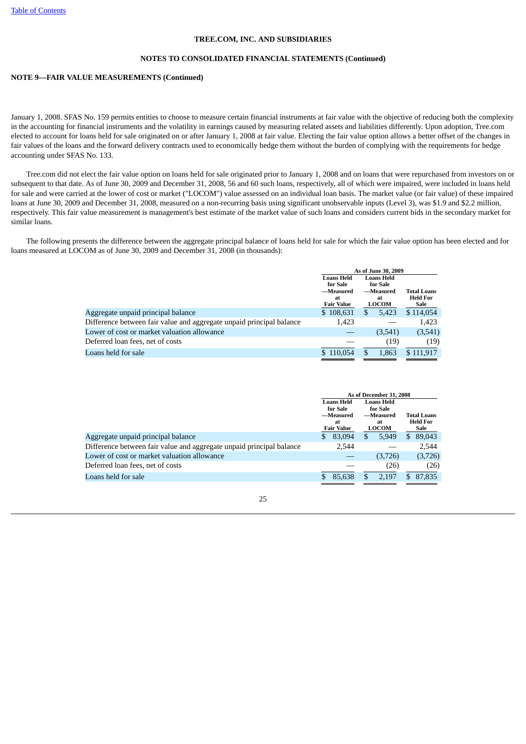#### **NOTES TO CONSOLIDATED FINANCIAL STATEMENTS (Continued)**

#### **NOTE 9—FAIR VALUE MEASUREMENTS (Continued)**

January 1, 2008. SFAS No. 159 permits entities to choose to measure certain financial instruments at fair value with the objective of reducing both the complexity in the accounting for financial instruments and the volatility in earnings caused by measuring related assets and liabilities differently. Upon adoption, Tree.com elected to account for loans held for sale originated on or after January 1, 2008 at fair value. Electing the fair value option allows a better offset of the changes in fair values of the loans and the forward delivery contracts used to economically hedge them without the burden of complying with the requirements for hedge accounting under SFAS No. 133.

 Tree.com did not elect the fair value option on loans held for sale originated prior to January 1, 2008 and on loans that were repurchased from investors on or subsequent to that date. As of June 30, 2009 and December 31, 2008, 56 and 60 such loans, respectively, all of which were impaired, were included in loans held for sale and were carried at the lower of cost or market ("LOCOM") value assessed on an individual loan basis. The market value (or fair value) of these impaired loans at June 30, 2009 and December 31, 2008, measured on a non-recurring basis using significant unobservable inputs (Level 3), was \$1.9 and \$2.2 million, respectively. This fair value measurement is management's best estimate of the market value of such loans and considers current bids in the secondary market for similar loans.

 The following presents the difference between the aggregate principal balance of loans held for sale for which the fair value option has been elected and for loans measured at LOCOM as of June 30, 2009 and December 31, 2008 (in thousands):

|                                                                      | As of June 30, 2009                                                   |    |                                                                  |                                               |  |  |
|----------------------------------------------------------------------|-----------------------------------------------------------------------|----|------------------------------------------------------------------|-----------------------------------------------|--|--|
|                                                                      | <b>Loans Held</b><br>for Sale<br>—Measured<br>at<br><b>Fair Value</b> |    | <b>Loans Held</b><br>for Sale<br>—Measured<br>at<br><b>LOCOM</b> | <b>Total Loans</b><br><b>Held For</b><br>Sale |  |  |
| Aggregate unpaid principal balance                                   | \$108,631                                                             | S. | 5,423                                                            | \$114,054                                     |  |  |
| Difference between fair value and aggregate unpaid principal balance | 1,423                                                                 |    |                                                                  | 1,423                                         |  |  |
| Lower of cost or market valuation allowance                          |                                                                       |    | (3,541)                                                          | (3,541)                                       |  |  |
| Deferred loan fees, net of costs                                     |                                                                       |    | (19)                                                             | (19)                                          |  |  |
| Loans held for sale                                                  | \$110.054                                                             |    | 1.863                                                            | \$111,917                                     |  |  |

|                                                                      | As of December 31, 2008 |                                                                       |                                                           |         |    |                                               |  |
|----------------------------------------------------------------------|-------------------------|-----------------------------------------------------------------------|-----------------------------------------------------------|---------|----|-----------------------------------------------|--|
|                                                                      |                         | <b>Loans Held</b><br>for Sale<br>-Measured<br>at<br><b>Fair Value</b> | Loans Held<br>for Sale<br>-Measured<br>at<br><b>LOCOM</b> |         |    | <b>Total Loans</b><br><b>Held For</b><br>Sale |  |
| Aggregate unpaid principal balance                                   | S.                      | 83,094                                                                | S                                                         | 5.949   | S. | 89,043                                        |  |
| Difference between fair value and aggregate unpaid principal balance |                         | 2.544                                                                 |                                                           |         |    | 2,544                                         |  |
| Lower of cost or market valuation allowance                          |                         |                                                                       |                                                           | (3,726) |    | (3,726)                                       |  |
| Deferred loan fees, net of costs                                     |                         |                                                                       |                                                           | (26)    |    | (26)                                          |  |
| Loans held for sale                                                  |                         | 85.638                                                                | S                                                         | 2.197   |    | 87,835                                        |  |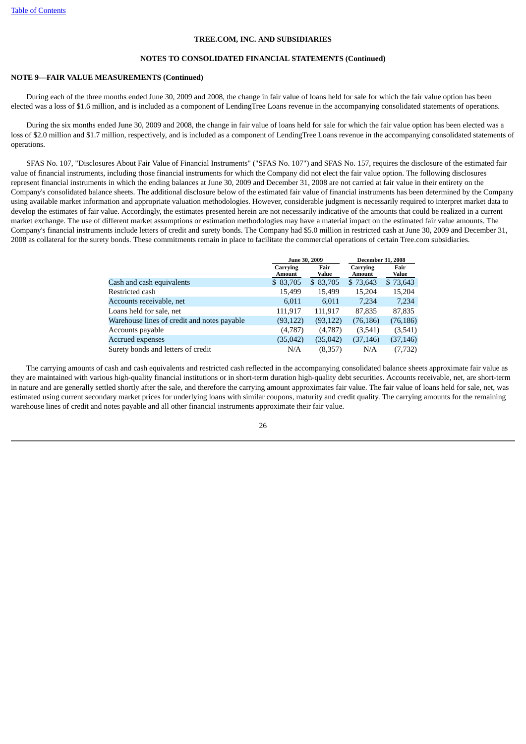## **NOTES TO CONSOLIDATED FINANCIAL STATEMENTS (Continued)**

#### **NOTE 9—FAIR VALUE MEASUREMENTS (Continued)**

 During each of the three months ended June 30, 2009 and 2008, the change in fair value of loans held for sale for which the fair value option has been elected was a loss of \$1.6 million, and is included as a component of LendingTree Loans revenue in the accompanying consolidated statements of operations.

 During the six months ended June 30, 2009 and 2008, the change in fair value of loans held for sale for which the fair value option has been elected was a loss of \$2.0 million and \$1.7 million, respectively, and is included as a component of LendingTree Loans revenue in the accompanying consolidated statements of operations.

 SFAS No. 107, "Disclosures About Fair Value of Financial Instruments" ("SFAS No. 107") and SFAS No. 157, requires the disclosure of the estimated fair value of financial instruments, including those financial instruments for which the Company did not elect the fair value option. The following disclosures represent financial instruments in which the ending balances at June 30, 2009 and December 31, 2008 are not carried at fair value in their entirety on the Company's consolidated balance sheets. The additional disclosure below of the estimated fair value of financial instruments has been determined by the Company using available market information and appropriate valuation methodologies. However, considerable judgment is necessarily required to interpret market data to develop the estimates of fair value. Accordingly, the estimates presented herein are not necessarily indicative of the amounts that could be realized in a current market exchange. The use of different market assumptions or estimation methodologies may have a material impact on the estimated fair value amounts. The Company's financial instruments include letters of credit and surety bonds. The Company had \$5.0 million in restricted cash at June 30, 2009 and December 31, 2008 as collateral for the surety bonds. These commitments remain in place to facilitate the commercial operations of certain Tree.com subsidiaries.

|                                             | June 30, 2009      |               |                           | <b>December 31, 2008</b> |  |  |
|---------------------------------------------|--------------------|---------------|---------------------------|--------------------------|--|--|
|                                             | Carrying<br>Amount | Fair<br>Value | Carrying<br><b>Amount</b> | Fair<br>Value            |  |  |
| Cash and cash equivalents                   | \$83,705           | \$83,705      | \$73,643                  | \$73,643                 |  |  |
| Restricted cash                             | 15,499             | 15,499        | 15,204                    | 15,204                   |  |  |
| Accounts receivable, net                    | 6,011              | 6,011         | 7,234                     | 7,234                    |  |  |
| Loans held for sale, net                    | 111,917            | 111,917       | 87,835                    | 87,835                   |  |  |
| Warehouse lines of credit and notes payable | (93, 122)          | (93, 122)     | (76, 186)                 | (76, 186)                |  |  |
| Accounts payable                            | (4,787)            | (4,787)       | (3,541)                   | (3,541)                  |  |  |
| <b>Accrued expenses</b>                     | (35,042)           | (35,042)      | (37, 146)                 | (37, 146)                |  |  |
| Surety bonds and letters of credit          | N/A                | (8,357)       | N/A                       | (7, 732)                 |  |  |

 The carrying amounts of cash and cash equivalents and restricted cash reflected in the accompanying consolidated balance sheets approximate fair value as they are maintained with various high-quality financial institutions or in short-term duration high-quality debt securities. Accounts receivable, net, are short-term in nature and are generally settled shortly after the sale, and therefore the carrying amount approximates fair value. The fair value of loans held for sale, net, was estimated using current secondary market prices for underlying loans with similar coupons, maturity and credit quality. The carrying amounts for the remaining warehouse lines of credit and notes payable and all other financial instruments approximate their fair value.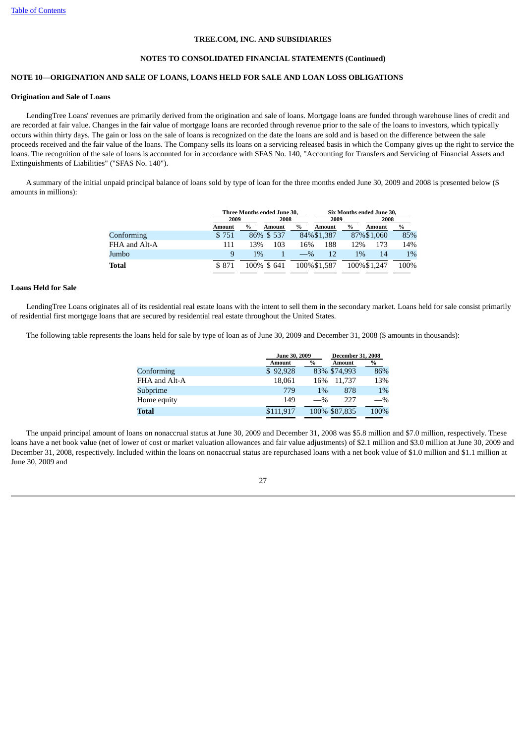#### **NOTES TO CONSOLIDATED FINANCIAL STATEMENTS (Continued)**

#### **NOTE 10—ORIGINATION AND SALE OF LOANS, LOANS HELD FOR SALE AND LOAN LOSS OBLIGATIONS**

#### **Origination and Sale of Loans**

 LendingTree Loans' revenues are primarily derived from the origination and sale of loans. Mortgage loans are funded through warehouse lines of credit and are recorded at fair value. Changes in the fair value of mortgage loans are recorded through revenue prior to the sale of the loans to investors, which typically occurs within thirty days. The gain or loss on the sale of loans is recognized on the date the loans are sold and is based on the difference between the sale proceeds received and the fair value of the loans. The Company sells its loans on a servicing released basis in which the Company gives up the right to service the loans. The recognition of the sale of loans is accounted for in accordance with SFAS No. 140, "Accounting for Transfers and Servicing of Financial Assets and Extinguishments of Liabilities" ("SFAS No. 140").

 A summary of the initial unpaid principal balance of loans sold by type of loan for the three months ended June 30, 2009 and 2008 is presented below (\$ amounts in millions):

|               |        |               | Three Months ended June 30, |               |             | Six Months ended June 30, |             |      |  |  |
|---------------|--------|---------------|-----------------------------|---------------|-------------|---------------------------|-------------|------|--|--|
|               | 2009   |               | 2008                        |               | 2009        |                           | 2008        |      |  |  |
|               | Amount | $\frac{0}{0}$ | Amount                      | $\frac{0}{0}$ | Amount      | $\%$                      | Amount      | %    |  |  |
| Conforming    | \$751  |               | 86% \$537                   |               | 84%\$1,387  |                           | 87%\$1,060  | 85%  |  |  |
| FHA and Alt-A | 111    | 13%           | 103                         | 16%           | 188         | 12%                       | 173         | 14%  |  |  |
| Jumbo         | 9      | $1\%$         |                             | $-$ %         | 12          | $1\%$                     | 14          | 1%   |  |  |
| Total         | \$871  |               | 100% \$641                  |               | 100%\$1,587 |                           | 100%\$1.247 | 100% |  |  |

#### **Loans Held for Sale**

 LendingTree Loans originates all of its residential real estate loans with the intent to sell them in the secondary market. Loans held for sale consist primarily of residential first mortgage loans that are secured by residential real estate throughout the United States.

The following table represents the loans held for sale by type of loan as of June 30, 2009 and December 31, 2008 (\$ amounts in thousands):

|               | June 30, 2009 |       | <b>December 31, 2008</b> |       |  |
|---------------|---------------|-------|--------------------------|-------|--|
|               | <b>Amount</b> | %     | Amount                   | %     |  |
| Conforming    | \$92,928      |       | 83% \$74,993             | 86%   |  |
| FHA and Alt-A | 18,061        | 16%   | 11.737                   | 13%   |  |
| Subprime      | 779           | $1\%$ | 878                      | 1%    |  |
| Home equity   | 149           | $-$ % | 227                      | $-$ % |  |
| <b>Total</b>  | \$111,917     |       | 100% \$87,835            | 100%  |  |

 The unpaid principal amount of loans on nonaccrual status at June 30, 2009 and December 31, 2008 was \$5.8 million and \$7.0 million, respectively. These loans have a net book value (net of lower of cost or market valuation allowances and fair value adjustments) of \$2.1 million and \$3.0 million at June 30, 2009 and December 31, 2008, respectively. Included within the loans on nonaccrual status are repurchased loans with a net book value of \$1.0 million and \$1.1 million at June 30, 2009 and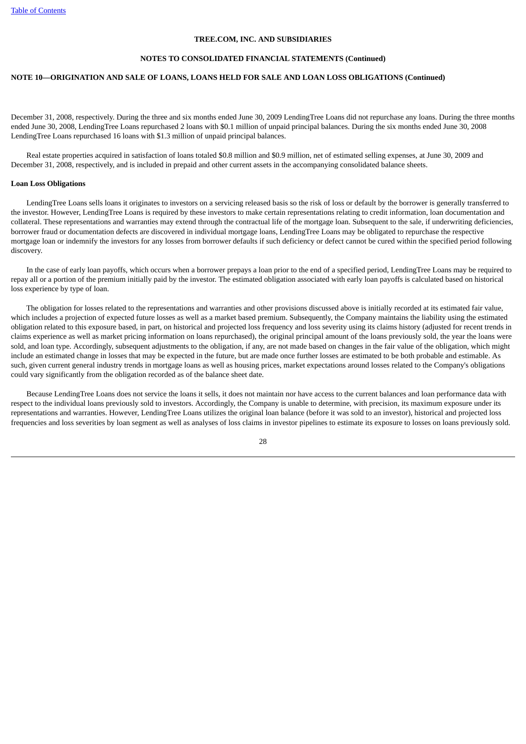#### **NOTES TO CONSOLIDATED FINANCIAL STATEMENTS (Continued)**

#### **NOTE 10—ORIGINATION AND SALE OF LOANS, LOANS HELD FOR SALE AND LOAN LOSS OBLIGATIONS (Continued)**

December 31, 2008, respectively. During the three and six months ended June 30, 2009 LendingTree Loans did not repurchase any loans. During the three months ended June 30, 2008, LendingTree Loans repurchased 2 loans with \$0.1 million of unpaid principal balances. During the six months ended June 30, 2008 LendingTree Loans repurchased 16 loans with \$1.3 million of unpaid principal balances.

 Real estate properties acquired in satisfaction of loans totaled \$0.8 million and \$0.9 million, net of estimated selling expenses, at June 30, 2009 and December 31, 2008, respectively, and is included in prepaid and other current assets in the accompanying consolidated balance sheets.

#### **Loan Loss Obligations**

 LendingTree Loans sells loans it originates to investors on a servicing released basis so the risk of loss or default by the borrower is generally transferred to the investor. However, LendingTree Loans is required by these investors to make certain representations relating to credit information, loan documentation and collateral. These representations and warranties may extend through the contractual life of the mortgage loan. Subsequent to the sale, if underwriting deficiencies, borrower fraud or documentation defects are discovered in individual mortgage loans, LendingTree Loans may be obligated to repurchase the respective mortgage loan or indemnify the investors for any losses from borrower defaults if such deficiency or defect cannot be cured within the specified period following discovery.

 In the case of early loan payoffs, which occurs when a borrower prepays a loan prior to the end of a specified period, LendingTree Loans may be required to repay all or a portion of the premium initially paid by the investor. The estimated obligation associated with early loan payoffs is calculated based on historical loss experience by type of loan.

 The obligation for losses related to the representations and warranties and other provisions discussed above is initially recorded at its estimated fair value, which includes a projection of expected future losses as well as a market based premium. Subsequently, the Company maintains the liability using the estimated obligation related to this exposure based, in part, on historical and projected loss frequency and loss severity using its claims history (adjusted for recent trends in claims experience as well as market pricing information on loans repurchased), the original principal amount of the loans previously sold, the year the loans were sold, and loan type. Accordingly, subsequent adjustments to the obligation, if any, are not made based on changes in the fair value of the obligation, which might include an estimated change in losses that may be expected in the future, but are made once further losses are estimated to be both probable and estimable. As such, given current general industry trends in mortgage loans as well as housing prices, market expectations around losses related to the Company's obligations could vary significantly from the obligation recorded as of the balance sheet date.

 Because LendingTree Loans does not service the loans it sells, it does not maintain nor have access to the current balances and loan performance data with respect to the individual loans previously sold to investors. Accordingly, the Company is unable to determine, with precision, its maximum exposure under its representations and warranties. However, LendingTree Loans utilizes the original loan balance (before it was sold to an investor), historical and projected loss frequencies and loss severities by loan segment as well as analyses of loss claims in investor pipelines to estimate its exposure to losses on loans previously sold.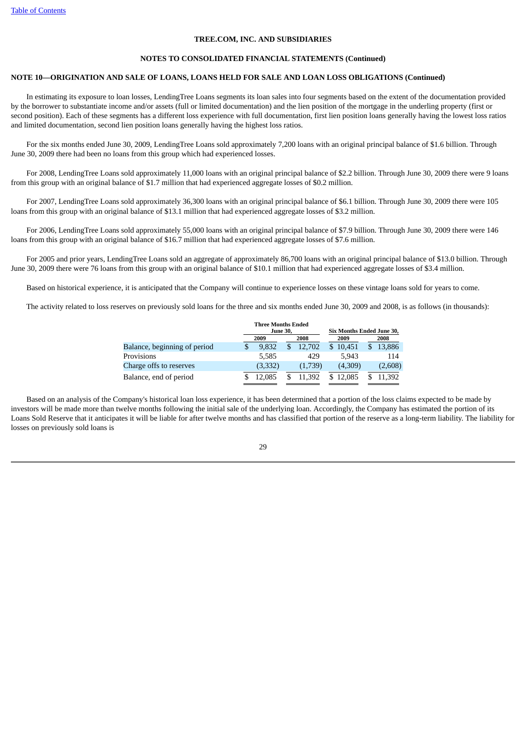#### **NOTES TO CONSOLIDATED FINANCIAL STATEMENTS (Continued)**

#### **NOTE 10—ORIGINATION AND SALE OF LOANS, LOANS HELD FOR SALE AND LOAN LOSS OBLIGATIONS (Continued)**

 In estimating its exposure to loan losses, LendingTree Loans segments its loan sales into four segments based on the extent of the documentation provided by the borrower to substantiate income and/or assets (full or limited documentation) and the lien position of the mortgage in the underling property (first or second position). Each of these segments has a different loss experience with full documentation, first lien position loans generally having the lowest loss ratios and limited documentation, second lien position loans generally having the highest loss ratios.

 For the six months ended June 30, 2009, LendingTree Loans sold approximately 7,200 loans with an original principal balance of \$1.6 billion. Through June 30, 2009 there had been no loans from this group which had experienced losses.

 For 2008, LendingTree Loans sold approximately 11,000 loans with an original principal balance of \$2.2 billion. Through June 30, 2009 there were 9 loans from this group with an original balance of \$1.7 million that had experienced aggregate losses of \$0.2 million.

 For 2007, LendingTree Loans sold approximately 36,300 loans with an original principal balance of \$6.1 billion. Through June 30, 2009 there were 105 loans from this group with an original balance of \$13.1 million that had experienced aggregate losses of \$3.2 million.

 For 2006, LendingTree Loans sold approximately 55,000 loans with an original principal balance of \$7.9 billion. Through June 30, 2009 there were 146 loans from this group with an original balance of \$16.7 million that had experienced aggregate losses of \$7.6 million.

 For 2005 and prior years, LendingTree Loans sold an aggregate of approximately 86,700 loans with an original principal balance of \$13.0 billion. Through June 30, 2009 there were 76 loans from this group with an original balance of \$10.1 million that had experienced aggregate losses of \$3.4 million.

Based on historical experience, it is anticipated that the Company will continue to experience losses on these vintage loans sold for years to come.

The activity related to loss reserves on previously sold loans for the three and six months ended June 30, 2009 and 2008, is as follows (in thousands):

|                              |                 | <b>Three Months Ended</b> |      |         |                           |          |  |         |
|------------------------------|-----------------|---------------------------|------|---------|---------------------------|----------|--|---------|
|                              | <b>June 30,</b> |                           |      |         | Six Months Ended June 30, |          |  |         |
|                              |                 | 2009                      | 2008 |         | 2009                      |          |  | 2008    |
| Balance, beginning of period |                 | 9.832                     |      | 12.702  |                           | \$10,451 |  | 13,886  |
| Provisions                   |                 | 5.585                     |      | 429     |                           | 5.943    |  | 114     |
| Charge offs to reserves      |                 | (3,332)                   |      | (1,739) |                           | (4,309)  |  | (2,608) |
| Balance, end of period       |                 | 12.085                    |      | 11.392  |                           | 12.085   |  | 11.392  |
|                              |                 |                           |      |         |                           |          |  |         |

 Based on an analysis of the Company's historical loan loss experience, it has been determined that a portion of the loss claims expected to be made by investors will be made more than twelve months following the initial sale of the underlying loan. Accordingly, the Company has estimated the portion of its Loans Sold Reserve that it anticipates it will be liable for after twelve months and has classified that portion of the reserve as a long-term liability. The liability for losses on previously sold loans is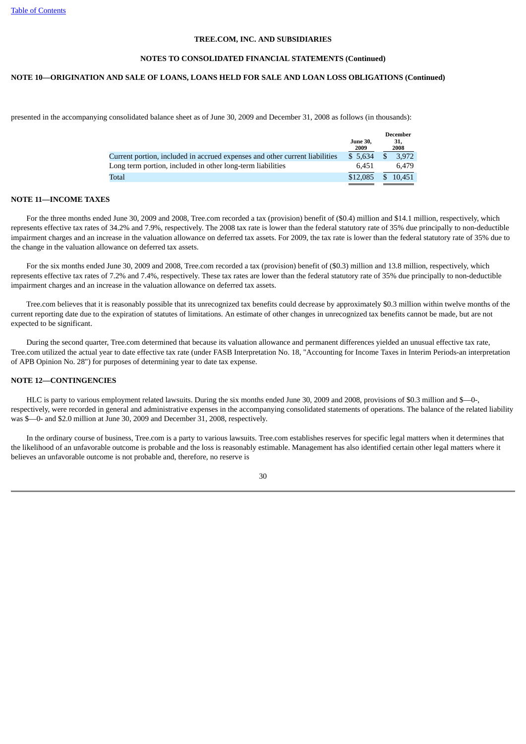#### **NOTES TO CONSOLIDATED FINANCIAL STATEMENTS (Continued)**

#### **NOTE 10—ORIGINATION AND SALE OF LOANS, LOANS HELD FOR SALE AND LOAN LOSS OBLIGATIONS (Continued)**

presented in the accompanying consolidated balance sheet as of June 30, 2009 and December 31, 2008 as follows (in thousands):

| <b>June 30,</b><br>2009 | <b>December</b><br>31,<br>2008 |
|-------------------------|--------------------------------|
| \$5.634                 | 3.972                          |
| 6.451                   | 6.479                          |
| \$12,085                | \$10.451                       |
|                         |                                |

### **NOTE 11—INCOME TAXES**

 For the three months ended June 30, 2009 and 2008, Tree.com recorded a tax (provision) benefit of (\$0.4) million and \$14.1 million, respectively, which represents effective tax rates of 34.2% and 7.9%, respectively. The 2008 tax rate is lower than the federal statutory rate of 35% due principally to non-deductible impairment charges and an increase in the valuation allowance on deferred tax assets. For 2009, the tax rate is lower than the federal statutory rate of 35% due to the change in the valuation allowance on deferred tax assets.

 For the six months ended June 30, 2009 and 2008, Tree.com recorded a tax (provision) benefit of (\$0.3) million and 13.8 million, respectively, which represents effective tax rates of 7.2% and 7.4%, respectively. These tax rates are lower than the federal statutory rate of 35% due principally to non-deductible impairment charges and an increase in the valuation allowance on deferred tax assets.

 Tree.com believes that it is reasonably possible that its unrecognized tax benefits could decrease by approximately \$0.3 million within twelve months of the current reporting date due to the expiration of statutes of limitations. An estimate of other changes in unrecognized tax benefits cannot be made, but are not expected to be significant.

 During the second quarter, Tree.com determined that because its valuation allowance and permanent differences yielded an unusual effective tax rate, Tree.com utilized the actual year to date effective tax rate (under FASB Interpretation No. 18, "Accounting for Income Taxes in Interim Periods-an interpretation of APB Opinion No. 28") for purposes of determining year to date tax expense.

#### **NOTE 12—CONTINGENCIES**

 HLC is party to various employment related lawsuits. During the six months ended June 30, 2009 and 2008, provisions of \$0.3 million and \$—0-, respectively, were recorded in general and administrative expenses in the accompanying consolidated statements of operations. The balance of the related liability was \$—0- and \$2.0 million at June 30, 2009 and December 31, 2008, respectively.

 In the ordinary course of business, Tree.com is a party to various lawsuits. Tree.com establishes reserves for specific legal matters when it determines that the likelihood of an unfavorable outcome is probable and the loss is reasonably estimable. Management has also identified certain other legal matters where it believes an unfavorable outcome is not probable and, therefore, no reserve is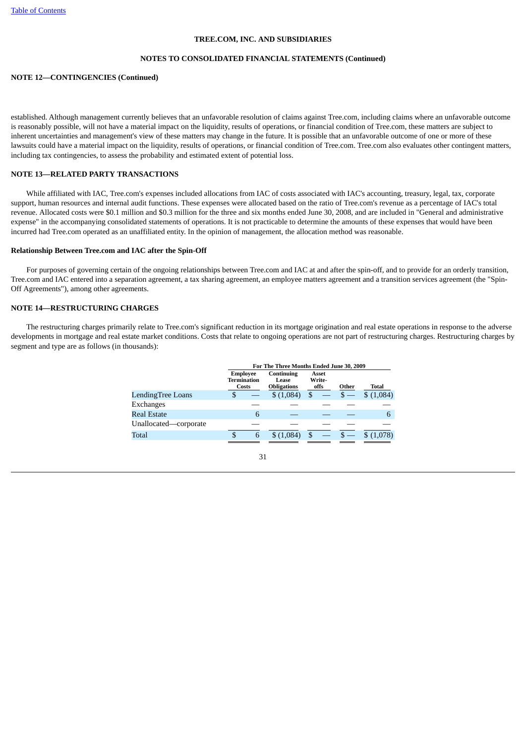#### **NOTES TO CONSOLIDATED FINANCIAL STATEMENTS (Continued)**

#### **NOTE 12—CONTINGENCIES (Continued)**

established. Although management currently believes that an unfavorable resolution of claims against Tree.com, including claims where an unfavorable outcome is reasonably possible, will not have a material impact on the liquidity, results of operations, or financial condition of Tree.com, these matters are subject to inherent uncertainties and management's view of these matters may change in the future. It is possible that an unfavorable outcome of one or more of these lawsuits could have a material impact on the liquidity, results of operations, or financial condition of Tree.com. Tree.com also evaluates other contingent matters, including tax contingencies, to assess the probability and estimated extent of potential loss.

#### **NOTE 13—RELATED PARTY TRANSACTIONS**

 While affiliated with IAC, Tree.com's expenses included allocations from IAC of costs associated with IAC's accounting, treasury, legal, tax, corporate support, human resources and internal audit functions. These expenses were allocated based on the ratio of Tree.com's revenue as a percentage of IAC's total revenue. Allocated costs were \$0.1 million and \$0.3 million for the three and six months ended June 30, 2008, and are included in "General and administrative expense" in the accompanying consolidated statements of operations. It is not practicable to determine the amounts of these expenses that would have been incurred had Tree.com operated as an unaffiliated entity. In the opinion of management, the allocation method was reasonable.

#### **Relationship Between Tree.com and IAC after the Spin-Off**

 For purposes of governing certain of the ongoing relationships between Tree.com and IAC at and after the spin-off, and to provide for an orderly transition, Tree.com and IAC entered into a separation agreement, a tax sharing agreement, an employee matters agreement and a transition services agreement (the "Spin-Off Agreements"), among other agreements.

## **NOTE 14—RESTRUCTURING CHARGES**

 The restructuring charges primarily relate to Tree.com's significant reduction in its mortgage origination and real estate operations in response to the adverse developments in mortgage and real estate market conditions. Costs that relate to ongoing operations are not part of restructuring charges. Restructuring charges by segment and type are as follows (in thousands):

| For The Three Months Ended June 30, 2009 |   |                                                  |                         |  |       |              |  |  |  |  |
|------------------------------------------|---|--------------------------------------------------|-------------------------|--|-------|--------------|--|--|--|--|
|                                          |   | Continuing<br><b>Lease</b><br><b>Obligations</b> | Asset<br>Write-<br>offs |  | Other | Total        |  |  |  |  |
|                                          |   | \$(1,084)                                        | \$.                     |  |       | (1,084)<br>S |  |  |  |  |
|                                          |   |                                                  |                         |  |       |              |  |  |  |  |
|                                          | 6 |                                                  |                         |  |       | 6            |  |  |  |  |
|                                          |   |                                                  |                         |  |       |              |  |  |  |  |
|                                          | 6 | \$(1,084)                                        |                         |  |       | (1,078)      |  |  |  |  |
|                                          |   | Employee<br>Termination<br>Costs                 |                         |  |       |              |  |  |  |  |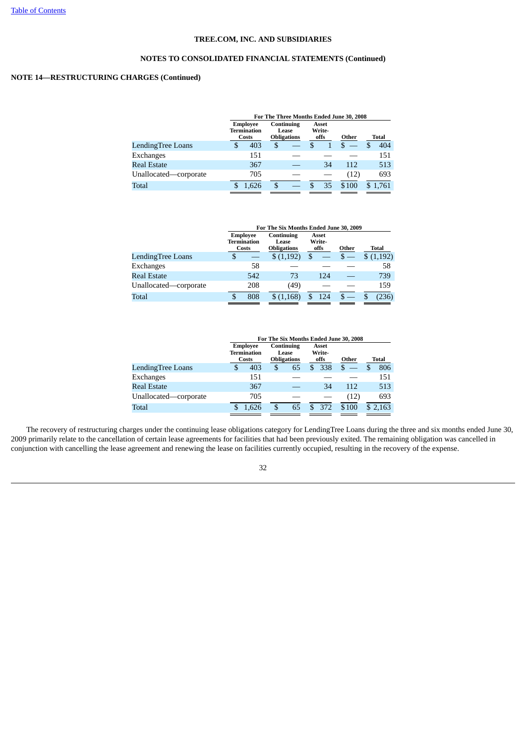## **NOTES TO CONSOLIDATED FINANCIAL STATEMENTS (Continued)**

## **NOTE 14—RESTRUCTURING CHARGES (Continued)**

|                          | For The Three Months Ended June 30, 2008 |       |                     |                    |  |                 |       |   |       |  |
|--------------------------|------------------------------------------|-------|---------------------|--------------------|--|-----------------|-------|---|-------|--|
|                          | Employee<br>Termination                  |       | Continuing<br>Lease |                    |  | Asset<br>Write- |       |   |       |  |
|                          |                                          | Costs |                     | <b>Obligations</b> |  | offs            | Other |   | Total |  |
| <b>LendingTree Loans</b> | \$                                       | 403   | S                   |                    |  |                 |       | S | 404   |  |
| Exchanges                |                                          | 151   |                     |                    |  |                 |       |   | 151   |  |
| <b>Real Estate</b>       |                                          | 367   |                     |                    |  | 34              | 112   |   | 513   |  |
| Unallocated-corporate    |                                          | 705   |                     |                    |  |                 | (12)  |   | 693   |  |
| Total                    |                                          | 1.626 |                     |                    |  | 35              | \$100 |   | 1.761 |  |

|                       | For The Six Months Ended June 30, 2009 |                                         |                                           |    |                         |       |   |         |  |  |  |
|-----------------------|----------------------------------------|-----------------------------------------|-------------------------------------------|----|-------------------------|-------|---|---------|--|--|--|
|                       |                                        | <b>Employee</b><br>Termination<br>Costs | Continuing<br>Lease<br><b>Obligations</b> |    | Asset<br>Write-<br>offs | Other |   | Total   |  |  |  |
| LendingTree Loans     |                                        |                                         | \$(1,192)                                 | \$ |                         |       | S | (1,192) |  |  |  |
| Exchanges             |                                        | 58                                      |                                           |    |                         |       |   | 58      |  |  |  |
| <b>Real Estate</b>    |                                        | 542                                     | 73                                        |    | 124                     |       |   | 739     |  |  |  |
| Unallocated—corporate |                                        | 208                                     | (49)                                      |    |                         |       |   | 159     |  |  |  |
| Total                 | S.                                     | 808                                     | \$(1,168)                                 | c  | 124                     |       |   | (236)   |  |  |  |

|                       | For The Six Months Ended June 30, 2008 |                                         |    |                                           |  |                         |       |   |              |  |  |
|-----------------------|----------------------------------------|-----------------------------------------|----|-------------------------------------------|--|-------------------------|-------|---|--------------|--|--|
|                       |                                        | Employee<br>Termination<br><b>Costs</b> |    | Continuing<br>Lease<br><b>Obligations</b> |  | Asset<br>Write-<br>offs | Other |   | <b>Total</b> |  |  |
| LendingTree Loans     | S                                      | 403                                     | S  | 65                                        |  | 338                     | S     | S | 806          |  |  |
| Exchanges             |                                        | 151                                     |    |                                           |  |                         |       |   | 151          |  |  |
| <b>Real Estate</b>    |                                        | 367                                     |    |                                           |  | 34                      | 112   |   | 513          |  |  |
| Unallocated-corporate |                                        | 705                                     |    |                                           |  |                         | (12)  |   | 693          |  |  |
| Total                 |                                        | 1,626                                   | \$ | 65                                        |  | 372                     | \$100 |   | 2,163        |  |  |

 The recovery of restructuring charges under the continuing lease obligations category for LendingTree Loans during the three and six months ended June 30, 2009 primarily relate to the cancellation of certain lease agreements for facilities that had been previously exited. The remaining obligation was cancelled in conjunction with cancelling the lease agreement and renewing the lease on facilities currently occupied, resulting in the recovery of the expense.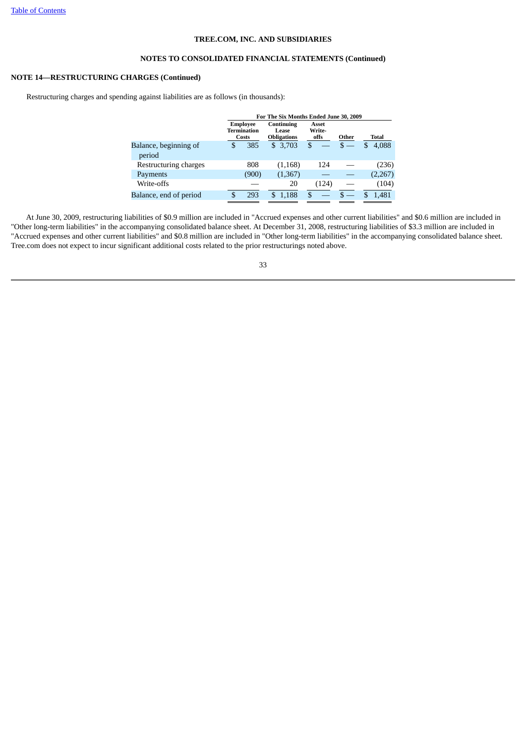## **NOTES TO CONSOLIDATED FINANCIAL STATEMENTS (Continued)**

## **NOTE 14—RESTRUCTURING CHARGES (Continued)**

Restructuring charges and spending against liabilities are as follows (in thousands):

|                                 | For The Six Months Ended June 30, 2009 |                                         |                                           |                         |       |            |  |  |  |  |  |
|---------------------------------|----------------------------------------|-----------------------------------------|-------------------------------------------|-------------------------|-------|------------|--|--|--|--|--|
|                                 |                                        | Employee<br><b>Termination</b><br>Costs | Continuing<br>Lease<br><b>Obligations</b> | Asset<br>Write-<br>offs | Other | Total      |  |  |  |  |  |
| Balance, beginning of<br>period | S                                      | 385                                     | 3,703<br>\$                               | \$.                     |       | 4.088<br>S |  |  |  |  |  |
| Restructuring charges           |                                        | 808                                     | (1, 168)                                  | 124                     |       | (236)      |  |  |  |  |  |
| Payments                        |                                        | (900)                                   | (1, 367)                                  |                         |       | (2,267)    |  |  |  |  |  |
| Write-offs                      |                                        |                                         | 20                                        | (124)                   |       | (104)      |  |  |  |  |  |
| Balance, end of period          |                                        | 293                                     | 1.188<br>S.                               | \$                      |       | 1.481      |  |  |  |  |  |

 At June 30, 2009, restructuring liabilities of \$0.9 million are included in "Accrued expenses and other current liabilities" and \$0.6 million are included in "Other long-term liabilities" in the accompanying consolidated balance sheet. At December 31, 2008, restructuring liabilities of \$3.3 million are included in "Accrued expenses and other current liabilities" and \$0.8 million are included in "Other long-term liabilities" in the accompanying consolidated balance sheet. Tree.com does not expect to incur significant additional costs related to the prior restructurings noted above.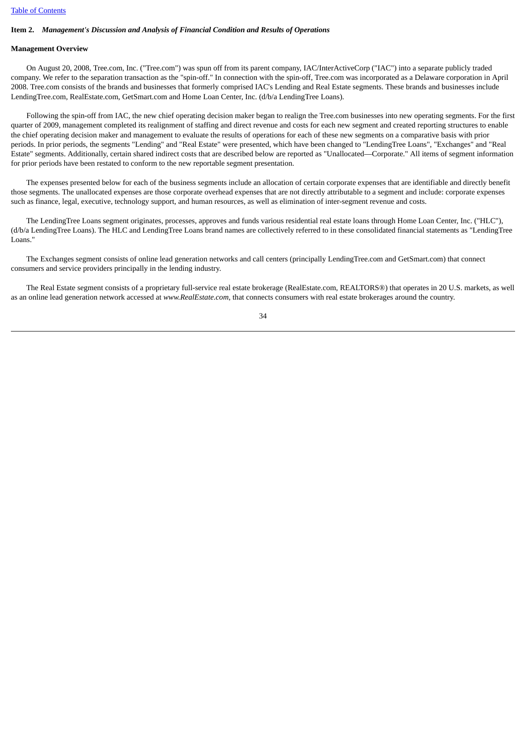#### [Table of Contents](#page-2-0)

#### **Item 2.** *Management's Discussion and Analysis of Financial Condition and Results of Operations*

#### **Management Overview**

 On August 20, 2008, Tree.com, Inc. ("Tree.com") was spun off from its parent company, IAC/InterActiveCorp ("IAC") into a separate publicly traded company. We refer to the separation transaction as the "spin-off." In connection with the spin-off, Tree.com was incorporated as a Delaware corporation in April 2008. Tree.com consists of the brands and businesses that formerly comprised IAC's Lending and Real Estate segments. These brands and businesses include LendingTree.com, RealEstate.com, GetSmart.com and Home Loan Center, Inc. (d/b/a LendingTree Loans).

 Following the spin-off from IAC, the new chief operating decision maker began to realign the Tree.com businesses into new operating segments. For the first quarter of 2009, management completed its realignment of staffing and direct revenue and costs for each new segment and created reporting structures to enable the chief operating decision maker and management to evaluate the results of operations for each of these new segments on a comparative basis with prior periods. In prior periods, the segments "Lending" and "Real Estate" were presented, which have been changed to "LendingTree Loans", "Exchanges" and "Real Estate" segments. Additionally, certain shared indirect costs that are described below are reported as "Unallocated—Corporate." All items of segment information for prior periods have been restated to conform to the new reportable segment presentation.

 The expenses presented below for each of the business segments include an allocation of certain corporate expenses that are identifiable and directly benefit those segments. The unallocated expenses are those corporate overhead expenses that are not directly attributable to a segment and include: corporate expenses such as finance, legal, executive, technology support, and human resources, as well as elimination of inter-segment revenue and costs.

 The LendingTree Loans segment originates, processes, approves and funds various residential real estate loans through Home Loan Center, Inc. ("HLC"), (d/b/a LendingTree Loans). The HLC and LendingTree Loans brand names are collectively referred to in these consolidated financial statements as "LendingTree Loans."

 The Exchanges segment consists of online lead generation networks and call centers (principally LendingTree.com and GetSmart.com) that connect consumers and service providers principally in the lending industry.

 The Real Estate segment consists of a proprietary full-service real estate brokerage (RealEstate.com, REALTORS®) that operates in 20 U.S. markets, as well as an online lead generation network accessed at *www.RealEstate.com*, that connects consumers with real estate brokerages around the country.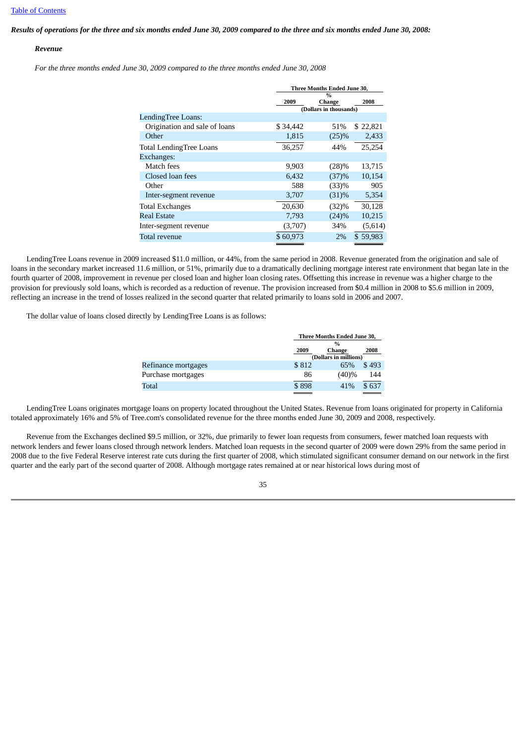*Results of operations for the three and six months ended June 30, 2009 compared to the three and six months ended June 30, 2008:*

#### *Revenue*

*For the three months ended June 30, 2009 compared to the three months ended June 30, 2008*

|                                | Three Months Ended June 30,<br>$\frac{0}{0}$ |                        |          |
|--------------------------------|----------------------------------------------|------------------------|----------|
|                                | 2009                                         | Change                 | 2008     |
|                                |                                              | (Dollars in thousands) |          |
| LendingTree Loans:             |                                              |                        |          |
| Origination and sale of loans  | \$34,442                                     | 51%                    | \$22,821 |
| Other                          | 1,815                                        | (25)%                  | 2,433    |
| <b>Total LendingTree Loans</b> | 36,257                                       | 44%                    | 25,254   |
| Exchanges:                     |                                              |                        |          |
| Match fees                     | 9,903                                        | (28)%                  | 13,715   |
| Closed loan fees               | 6,432                                        | (37)%                  | 10,154   |
| Other                          | 588                                          | (33)%                  | 905      |
| Inter-segment revenue          | 3,707                                        | (31)%                  | 5,354    |
| <b>Total Exchanges</b>         | 20,630                                       | (32)%                  | 30,128   |
| <b>Real Estate</b>             | 7,793                                        | (24)%                  | 10,215   |
| Inter-segment revenue          | (3,707)                                      | 34%                    | (5,614)  |
| Total revenue                  | \$60,973                                     | 2%                     | \$59,983 |
|                                |                                              |                        |          |

 LendingTree Loans revenue in 2009 increased \$11.0 million, or 44%, from the same period in 2008. Revenue generated from the origination and sale of loans in the secondary market increased 11.6 million, or 51%, primarily due to a dramatically declining mortgage interest rate environment that began late in the fourth quarter of 2008, improvement in revenue per closed loan and higher loan closing rates. Offsetting this increase in revenue was a higher charge to the provision for previously sold loans, which is recorded as a reduction of revenue. The provision increased from \$0.4 million in 2008 to \$5.6 million in 2009, reflecting an increase in the trend of losses realized in the second quarter that related primarily to loans sold in 2006 and 2007.

The dollar value of loans closed directly by LendingTree Loans is as follows:

|                     | Three Months Ended June 30, |                       |       |
|---------------------|-----------------------------|-----------------------|-------|
|                     | $\frac{0}{0}$               |                       |       |
|                     | 2009                        | Change                | 2008  |
|                     |                             | (Dollars in millions) |       |
| Refinance mortgages | \$812                       | 65%                   | \$493 |
| Purchase mortgages  | 86                          | (40)%                 | 144   |
| Total               | \$898                       | 41%                   | \$637 |

 LendingTree Loans originates mortgage loans on property located throughout the United States. Revenue from loans originated for property in California totaled approximately 16% and 5% of Tree.com's consolidated revenue for the three months ended June 30, 2009 and 2008, respectively.

 Revenue from the Exchanges declined \$9.5 million, or 32%, due primarily to fewer loan requests from consumers, fewer matched loan requests with network lenders and fewer loans closed through network lenders. Matched loan requests in the second quarter of 2009 were down 29% from the same period in 2008 due to the five Federal Reserve interest rate cuts during the first quarter of 2008, which stimulated significant consumer demand on our network in the first quarter and the early part of the second quarter of 2008. Although mortgage rates remained at or near historical lows during most of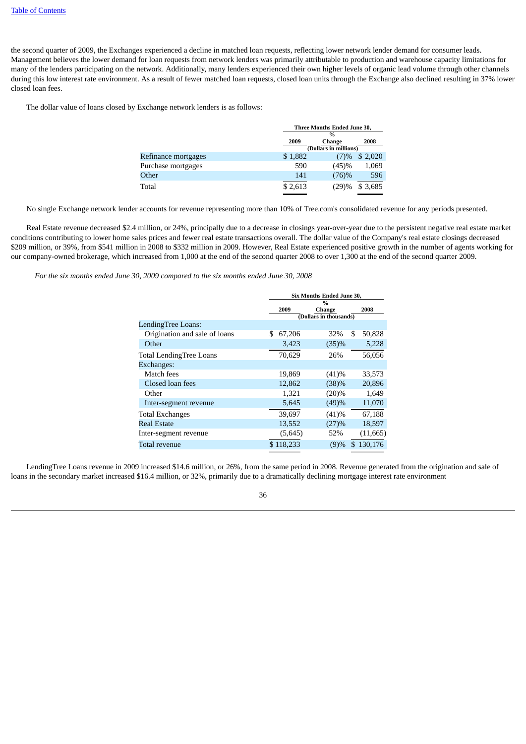the second quarter of 2009, the Exchanges experienced a decline in matched loan requests, reflecting lower network lender demand for consumer leads. Management believes the lower demand for loan requests from network lenders was primarily attributable to production and warehouse capacity limitations for many of the lenders participating on the network. Additionally, many lenders experienced their own higher levels of organic lead volume through other channels during this low interest rate environment. As a result of fewer matched loan requests, closed loan units through the Exchange also declined resulting in 37% lower closed loan fees.

The dollar value of loans closed by Exchange network lenders is as follows:

|                     | Three Months Ended June 30, |               |         |  |
|---------------------|-----------------------------|---------------|---------|--|
|                     |                             | $\frac{0}{0}$ |         |  |
|                     | 2009                        | Change        | 2008    |  |
|                     | (Dollars in millions)       |               |         |  |
| Refinance mortgages | \$1,882                     | (7)%          | \$2,020 |  |
| Purchase mortgages  | 590                         | (45)%         | 1,069   |  |
| Other               | 141                         | (76)%         | 596     |  |
| Total               | \$2,613                     | (29)%         | 3,685   |  |

No single Exchange network lender accounts for revenue representing more than 10% of Tree.com's consolidated revenue for any periods presented.

 Real Estate revenue decreased \$2.4 million, or 24%, principally due to a decrease in closings year-over-year due to the persistent negative real estate market conditions contributing to lower home sales prices and fewer real estate transactions overall. The dollar value of the Company's real estate closings decreased \$209 million, or 39%, from \$541 million in 2008 to \$332 million in 2009. However, Real Estate experienced positive growth in the number of agents working for our company-owned brokerage, which increased from 1,000 at the end of the second quarter 2008 to over 1,300 at the end of the second quarter 2009.

*For the six months ended June 30, 2009 compared to the six months ended June 30, 2008*

|                               | Six Months Ended June 30, |                        |    |           |
|-------------------------------|---------------------------|------------------------|----|-----------|
|                               | %                         |                        |    |           |
|                               | 2009                      | Change                 |    | 2008      |
|                               |                           | (Dollars in thousands) |    |           |
| LendingTree Loans:            |                           |                        |    |           |
| Origination and sale of loans | \$<br>67,206              | 32%                    | \$ | 50,828    |
| Other                         | 3,423                     | (35)%                  |    | 5,228     |
| Total LendingTree Loans       | 70.629                    | 26%                    |    | 56,056    |
| Exchanges:                    |                           |                        |    |           |
| Match fees                    | 19,869                    | (41)%                  |    | 33,573    |
| Closed loan fees              | 12,862                    | (38)%                  |    | 20,896    |
| Other                         | 1,321                     | $(20)\%$               |    | 1,649     |
| Inter-segment revenue         | 5,645                     | (49)%                  |    | 11,070    |
| <b>Total Exchanges</b>        | 39,697                    | (41)%                  |    | 67,188    |
| <b>Real Estate</b>            | 13,552                    | (27)%                  |    | 18,597    |
| Inter-segment revenue         | (5,645)                   | 52%                    |    | (11, 665) |
| Total revenue                 | \$118,233                 | (9)%                   |    | \$130.176 |

 LendingTree Loans revenue in 2009 increased \$14.6 million, or 26%, from the same period in 2008. Revenue generated from the origination and sale of loans in the secondary market increased \$16.4 million, or 32%, primarily due to a dramatically declining mortgage interest rate environment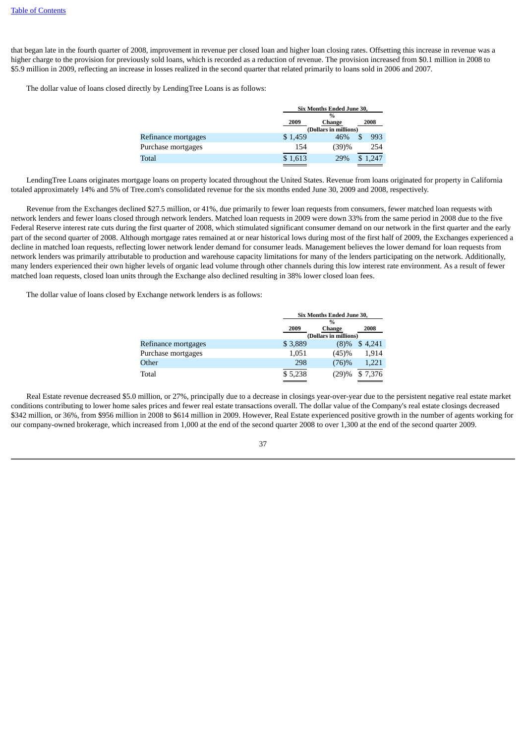that began late in the fourth quarter of 2008, improvement in revenue per closed loan and higher loan closing rates. Offsetting this increase in revenue was a higher charge to the provision for previously sold loans, which is recorded as a reduction of revenue. The provision increased from \$0.1 million in 2008 to \$5.9 million in 2009, reflecting an increase in losses realized in the second quarter that related primarily to loans sold in 2006 and 2007.

The dollar value of loans closed directly by LendingTree Loans is as follows:

|                     | <b>Six Months Ended June 30,</b> |                                                  |       |
|---------------------|----------------------------------|--------------------------------------------------|-------|
|                     | 2009                             | $\frac{0}{0}$<br>Change<br>(Dollars in millions) | 2008  |
| Refinance mortgages | \$1,459                          | 46%<br>D                                         | 993   |
| Purchase mortgages  | 154                              | (39)%                                            | 254   |
| Total               | \$1,613                          | 29%                                              | 1.247 |

 LendingTree Loans originates mortgage loans on property located throughout the United States. Revenue from loans originated for property in California totaled approximately 14% and 5% of Tree.com's consolidated revenue for the six months ended June 30, 2009 and 2008, respectively.

 Revenue from the Exchanges declined \$27.5 million, or 41%, due primarily to fewer loan requests from consumers, fewer matched loan requests with network lenders and fewer loans closed through network lenders. Matched loan requests in 2009 were down 33% from the same period in 2008 due to the five Federal Reserve interest rate cuts during the first quarter of 2008, which stimulated significant consumer demand on our network in the first quarter and the early part of the second quarter of 2008. Although mortgage rates remained at or near historical lows during most of the first half of 2009, the Exchanges experienced a decline in matched loan requests, reflecting lower network lender demand for consumer leads. Management believes the lower demand for loan requests from network lenders was primarily attributable to production and warehouse capacity limitations for many of the lenders participating on the network. Additionally, many lenders experienced their own higher levels of organic lead volume through other channels during this low interest rate environment. As a result of fewer matched loan requests, closed loan units through the Exchange also declined resulting in 38% lower closed loan fees.

The dollar value of loans closed by Exchange network lenders is as follows:

|                     | Six Months Ended June 30, |                       |  |
|---------------------|---------------------------|-----------------------|--|
|                     |                           | %                     |  |
|                     | 2009                      | Change<br>2008        |  |
|                     |                           | (Dollars in millions) |  |
| Refinance mortgages | \$3,889                   | 4.241<br>(8)%         |  |
| Purchase mortgages  | 1,051                     | 1,914<br>(45)%        |  |
| Other               | 298                       | (76)%<br>1,221        |  |
| Total               | \$5,238                   | \$7,376<br>(29)%      |  |
|                     |                           |                       |  |

 Real Estate revenue decreased \$5.0 million, or 27%, principally due to a decrease in closings year-over-year due to the persistent negative real estate market conditions contributing to lower home sales prices and fewer real estate transactions overall. The dollar value of the Company's real estate closings decreased \$342 million, or 36%, from \$956 million in 2008 to \$614 million in 2009. However, Real Estate experienced positive growth in the number of agents working for our company-owned brokerage, which increased from 1,000 at the end of the second quarter 2008 to over 1,300 at the end of the second quarter 2009.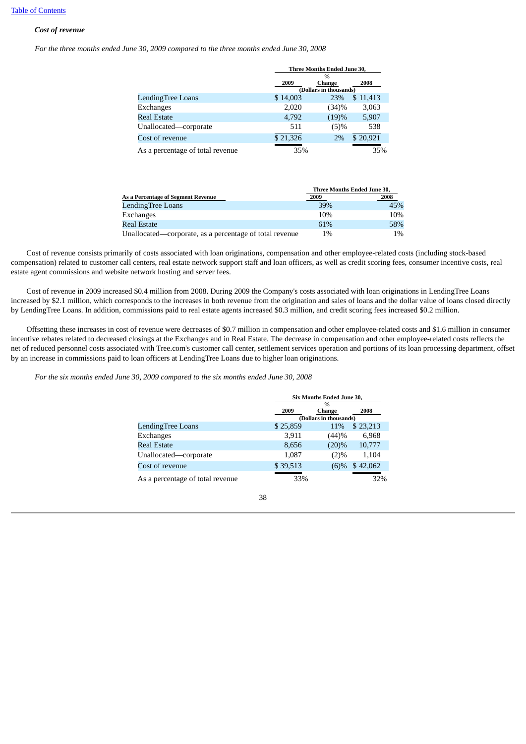## *Cost of revenue*

*For the three months ended June 30, 2009 compared to the three months ended June 30, 2008*

|                                  | Three Months Ended June 30, |                        |          |
|----------------------------------|-----------------------------|------------------------|----------|
|                                  | $\frac{0}{0}$               |                        |          |
|                                  | 2009                        | Change                 | 2008     |
|                                  |                             | (Dollars in thousands) |          |
| <b>LendingTree Loans</b>         | \$14,003                    | 23%                    | \$11,413 |
| Exchanges                        | 2,020                       | (34)%                  | 3,063    |
| <b>Real Estate</b>               | 4,792                       | (19)%                  | 5,907    |
| Unallocated-corporate            | 511                         | (5)%                   | 538      |
| Cost of revenue                  | \$21,326                    | 2%                     | \$20,921 |
| As a percentage of total revenue | 35%                         |                        | 35%      |

|                                                         | Three Months Ended June 30, |       |
|---------------------------------------------------------|-----------------------------|-------|
| As a Percentage of Segment Revenue                      | 2009                        | 2008  |
| LendingTree Loans                                       | 39%                         | 45%   |
| Exchanges                                               | 10%                         | 10%   |
| Real Estate                                             | 61%                         | 58%   |
| Unallocated—corporate, as a percentage of total revenue | $1\%$                       | $1\%$ |

 Cost of revenue consists primarily of costs associated with loan originations, compensation and other employee-related costs (including stock-based compensation) related to customer call centers, real estate network support staff and loan officers, as well as credit scoring fees, consumer incentive costs, real estate agent commissions and website network hosting and server fees.

 Cost of revenue in 2009 increased \$0.4 million from 2008. During 2009 the Company's costs associated with loan originations in LendingTree Loans increased by \$2.1 million, which corresponds to the increases in both revenue from the origination and sales of loans and the dollar value of loans closed directly by LendingTree Loans. In addition, commissions paid to real estate agents increased \$0.3 million, and credit scoring fees increased \$0.2 million.

 Offsetting these increases in cost of revenue were decreases of \$0.7 million in compensation and other employee-related costs and \$1.6 million in consumer incentive rebates related to decreased closings at the Exchanges and in Real Estate. The decrease in compensation and other employee-related costs reflects the net of reduced personnel costs associated with Tree.com's customer call center, settlement services operation and portions of its loan processing department, offset by an increase in commissions paid to loan officers at LendingTree Loans due to higher loan originations.

*For the six months ended June 30, 2009 compared to the six months ended June 30, 2008*

|                                  |          | Six Months Ended June 30, |          |  |
|----------------------------------|----------|---------------------------|----------|--|
|                                  |          | %                         |          |  |
|                                  | 2009     | Change                    | 2008     |  |
|                                  |          | (Dollars in thousands)    |          |  |
| LendingTree Loans                | \$25,859 | 11%                       | \$23,213 |  |
| Exchanges                        | 3,911    | (44)%                     | 6,968    |  |
| <b>Real Estate</b>               | 8,656    | (20)%                     | 10,777   |  |
| Unallocated-corporate            | 1,087    | $(2)\%$                   | 1,104    |  |
| Cost of revenue                  | \$39,513 | $(6)\%$                   | \$42,062 |  |
| As a percentage of total revenue | 33%      |                           | 32%      |  |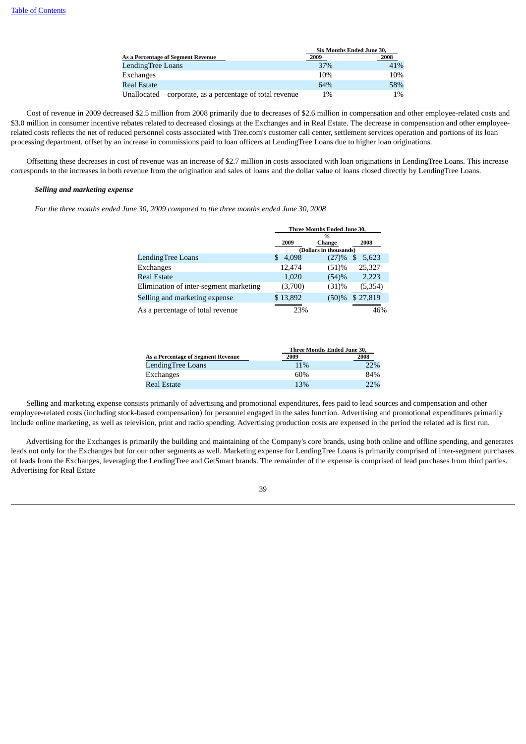|                                                         | Six Months Ended June 30, |       |
|---------------------------------------------------------|---------------------------|-------|
| As a Percentage of Segment Revenue                      | 2009                      | 2008  |
| LendingTree Loans                                       | 37%                       | 41%   |
| Exchanges                                               | 10%                       | 10%   |
| Real Estate                                             | 64%                       | 58%   |
| Unallocated—corporate, as a percentage of total revenue | $1\%$                     | $1\%$ |

 Cost of revenue in 2009 decreased \$2.5 million from 2008 primarily due to decreases of \$2.6 million in compensation and other employee-related costs and \$3.0 million in consumer incentive rebates related to decreased closings at the Exchanges and in Real Estate. The decrease in compensation and other employeerelated costs reflects the net of reduced personnel costs associated with Tree.com's customer call center, settlement services operation and portions of its loan processing department, offset by an increase in commissions paid to loan officers at LendingTree Loans due to higher loan originations.

 Offsetting these decreases in cost of revenue was an increase of \$2.7 million in costs associated with loan originations in LendingTree Loans. This increase corresponds to the increases in both revenue from the origination and sales of loans and the dollar value of loans closed directly by LendingTree Loans.

#### *Selling and marketing expense*

*For the three months ended June 30, 2009 compared to the three months ended June 30, 2008*

|                                        | Three Months Ended June 30, |                        |            |
|----------------------------------------|-----------------------------|------------------------|------------|
|                                        | $\frac{0}{0}$               |                        |            |
|                                        | 2009                        | Change                 | 2008       |
|                                        |                             | (Dollars in thousands) |            |
| <b>LendingTree Loans</b>               | 4,098<br>\$                 | (27)%                  | 5,623<br>S |
| Exchanges                              | 12,474                      | (51)%                  | 25,327     |
| <b>Real Estate</b>                     | 1,020                       | (54)%                  | 2,223      |
| Elimination of inter-segment marketing | (3,700)                     | (31)%                  | (5,354)    |
| Selling and marketing expense          | \$13,892                    | (50)%                  | \$27,819   |
| As a percentage of total revenue       | 23%                         |                        | 46%        |

|                                    | Three Months Ended June 30. |      |
|------------------------------------|-----------------------------|------|
| As a Percentage of Segment Revenue | 2009                        | 2008 |
| LendingTree Loans                  | 11%                         | 22%  |
| Exchanges                          | 60%                         | 84%  |
| Real Estate                        | 13%                         | 22%  |

 Selling and marketing expense consists primarily of advertising and promotional expenditures, fees paid to lead sources and compensation and other employee-related costs (including stock-based compensation) for personnel engaged in the sales function. Advertising and promotional expenditures primarily include online marketing, as well as television, print and radio spending. Advertising production costs are expensed in the period the related ad is first run.

 Advertising for the Exchanges is primarily the building and maintaining of the Company's core brands, using both online and offline spending, and generates leads not only for the Exchanges but for our other segments as well. Marketing expense for LendingTree Loans is primarily comprised of inter-segment purchases of leads from the Exchanges, leveraging the LendingTree and GetSmart brands. The remainder of the expense is comprised of lead purchases from third parties. Advertising for Real Estate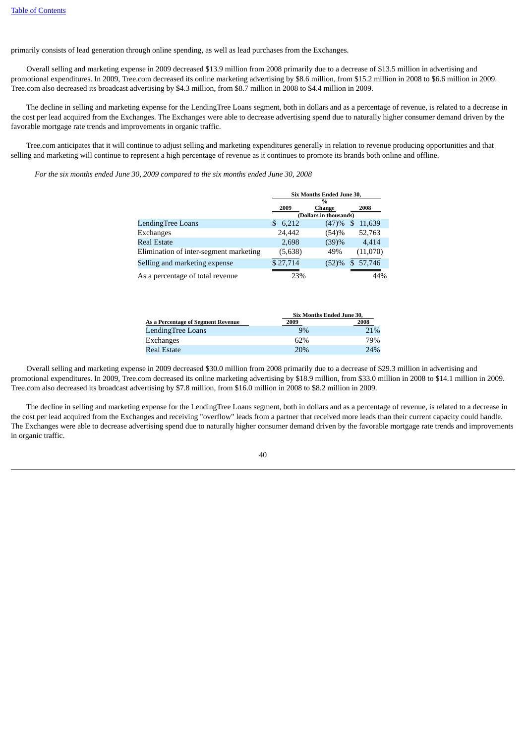primarily consists of lead generation through online spending, as well as lead purchases from the Exchanges.

 Overall selling and marketing expense in 2009 decreased \$13.9 million from 2008 primarily due to a decrease of \$13.5 million in advertising and promotional expenditures. In 2009, Tree.com decreased its online marketing advertising by \$8.6 million, from \$15.2 million in 2008 to \$6.6 million in 2009. Tree.com also decreased its broadcast advertising by \$4.3 million, from \$8.7 million in 2008 to \$4.4 million in 2009.

 The decline in selling and marketing expense for the LendingTree Loans segment, both in dollars and as a percentage of revenue, is related to a decrease in the cost per lead acquired from the Exchanges. The Exchanges were able to decrease advertising spend due to naturally higher consumer demand driven by the favorable mortgage rate trends and improvements in organic traffic.

 Tree.com anticipates that it will continue to adjust selling and marketing expenditures generally in relation to revenue producing opportunities and that selling and marketing will continue to represent a high percentage of revenue as it continues to promote its brands both online and offline.

*For the six months ended June 30, 2009 compared to the six months ended June 30, 2008*

|                                        | Six Months Ended June 30, |                        |             |
|----------------------------------------|---------------------------|------------------------|-------------|
|                                        |                           |                        |             |
|                                        | 2009                      | Change                 | 2008        |
|                                        |                           | (Dollars in thousands) |             |
| LendingTree Loans                      | 6,212<br>S                | (47)%                  | 11,639      |
| Exchanges                              | 24,442                    | (54)%                  | 52,763      |
| Real Estate                            | 2,698                     | (39)%                  | 4.414       |
| Elimination of inter-segment marketing | (5,638)                   | 49%                    | (11,070)    |
| Selling and marketing expense          | \$27,714                  | (52)%                  | 57,746<br>S |
| As a percentage of total revenue       | 23%                       |                        | 44%         |

|                                    | <b>Six Months Ended June 30.</b> |      |
|------------------------------------|----------------------------------|------|
| As a Percentage of Segment Revenue | 2009                             | 2008 |
| LendingTree Loans                  | 9%                               | 21%  |
| Exchanges                          | 62%                              | 79%  |
| Real Estate                        | 20%                              | 24%  |

 Overall selling and marketing expense in 2009 decreased \$30.0 million from 2008 primarily due to a decrease of \$29.3 million in advertising and promotional expenditures. In 2009, Tree.com decreased its online marketing advertising by \$18.9 million, from \$33.0 million in 2008 to \$14.1 million in 2009. Tree.com also decreased its broadcast advertising by \$7.8 million, from \$16.0 million in 2008 to \$8.2 million in 2009.

 The decline in selling and marketing expense for the LendingTree Loans segment, both in dollars and as a percentage of revenue, is related to a decrease in the cost per lead acquired from the Exchanges and receiving "overflow" leads from a partner that received more leads than their current capacity could handle. The Exchanges were able to decrease advertising spend due to naturally higher consumer demand driven by the favorable mortgage rate trends and improvements in organic traffic.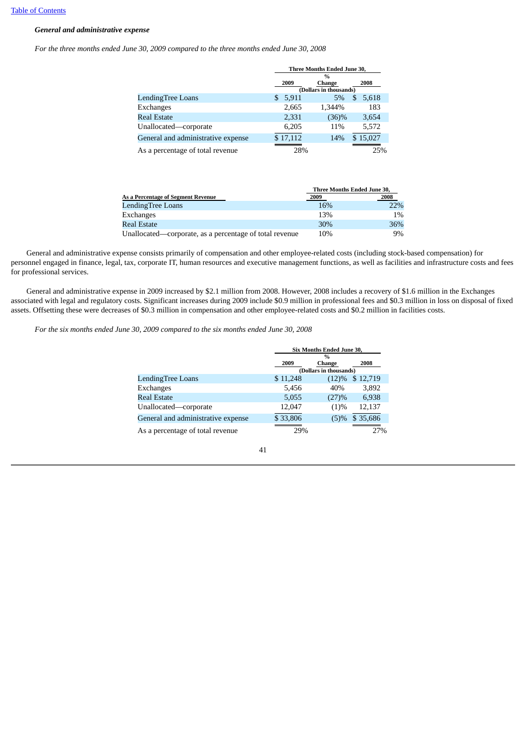## *General and administrative expense*

*For the three months ended June 30, 2009 compared to the three months ended June 30, 2008*

|                                    | Three Months Ended June 30, |                         |            |
|------------------------------------|-----------------------------|-------------------------|------------|
|                                    | 2009                        | $\frac{0}{0}$<br>Change | 2008       |
|                                    |                             | (Dollars in thousands)  |            |
| LendingTree Loans                  | 5,911<br>S.                 | 5%                      | 5,618<br>S |
| Exchanges                          | 2,665                       | 1,344%                  | 183        |
| Real Estate                        | 2,331                       | $(36)\%$                | 3,654      |
| Unallocated-corporate              | 6,205                       | 11%                     | 5,572      |
| General and administrative expense | \$17,112                    | 14%                     | \$15,027   |
| As a percentage of total revenue   | 28%                         |                         | 25%        |

|                                                         | Three Months Ended June 30, |       |
|---------------------------------------------------------|-----------------------------|-------|
| As a Percentage of Segment Revenue                      | 2009                        | 2008  |
| LendingTree Loans                                       | 16%                         | 22%   |
| Exchanges                                               | 13%                         | $1\%$ |
| Real Estate                                             | 30%                         | 36%   |
| Unallocated—corporate, as a percentage of total revenue | 10%                         | 9%    |

 General and administrative expense consists primarily of compensation and other employee-related costs (including stock-based compensation) for personnel engaged in finance, legal, tax, corporate IT, human resources and executive management functions, as well as facilities and infrastructure costs and fees for professional services.

 General and administrative expense in 2009 increased by \$2.1 million from 2008. However, 2008 includes a recovery of \$1.6 million in the Exchanges associated with legal and regulatory costs. Significant increases during 2009 include \$0.9 million in professional fees and \$0.3 million in loss on disposal of fixed assets. Offsetting these were decreases of \$0.3 million in compensation and other employee-related costs and \$0.2 million in facilities costs.

*For the six months ended June 30, 2009 compared to the six months ended June 30, 2008*

|                                    | Six Months Ended June 30, |                                  |          |
|------------------------------------|---------------------------|----------------------------------|----------|
|                                    |                           | $\frac{0}{0}$                    |          |
|                                    | 2009                      | Change<br>(Dollars in thousands) | 2008     |
| LendingTree Loans                  | \$11,248                  | (12)%                            | \$12,719 |
| Exchanges                          | 5,456                     | 40%                              | 3,892    |
| <b>Real Estate</b>                 | 5,055                     | (27)%                            | 6,938    |
| Unallocated-corporate              | 12,047                    | (1)%                             | 12,137   |
| General and administrative expense | \$33,806                  | (5)%                             | \$35,686 |
| As a percentage of total revenue   | 29%                       |                                  | 27%      |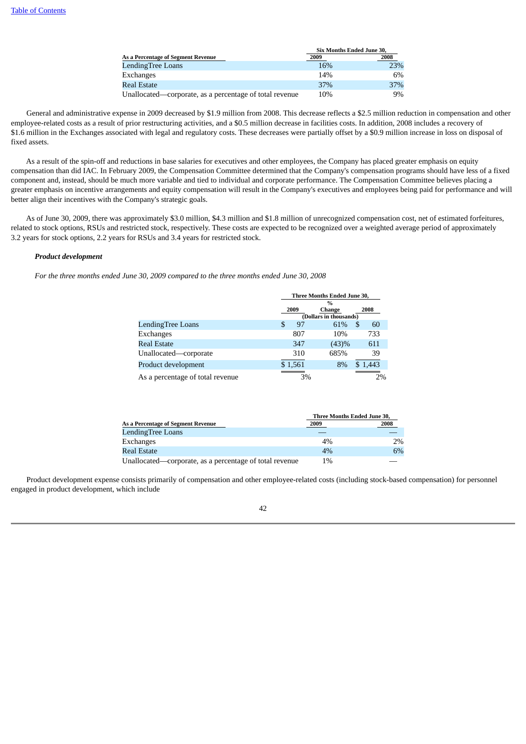|                                                         | Six Months Ended June 30, |      |  |
|---------------------------------------------------------|---------------------------|------|--|
| As a Percentage of Segment Revenue                      | 2009                      | 2008 |  |
| LendingTree Loans                                       | 16%                       | 23%  |  |
| Exchanges                                               | 14%                       | 6%   |  |
| Real Estate                                             | 37%                       | 37%  |  |
| Unallocated—corporate, as a percentage of total revenue | 10%                       | 9%   |  |

 General and administrative expense in 2009 decreased by \$1.9 million from 2008. This decrease reflects a \$2.5 million reduction in compensation and other employee-related costs as a result of prior restructuring activities, and a \$0.5 million decrease in facilities costs. In addition, 2008 includes a recovery of \$1.6 million in the Exchanges associated with legal and regulatory costs. These decreases were partially offset by a \$0.9 million increase in loss on disposal of fixed assets.

 As a result of the spin-off and reductions in base salaries for executives and other employees, the Company has placed greater emphasis on equity compensation than did IAC. In February 2009, the Compensation Committee determined that the Company's compensation programs should have less of a fixed component and, instead, should be much more variable and tied to individual and corporate performance. The Compensation Committee believes placing a greater emphasis on incentive arrangements and equity compensation will result in the Company's executives and employees being paid for performance and will better align their incentives with the Company's strategic goals.

 As of June 30, 2009, there was approximately \$3.0 million, \$4.3 million and \$1.8 million of unrecognized compensation cost, net of estimated forfeitures, related to stock options, RSUs and restricted stock, respectively. These costs are expected to be recognized over a weighted average period of approximately 3.2 years for stock options, 2.2 years for RSUs and 3.4 years for restricted stock.

#### *Product development*

*For the three months ended June 30, 2009 compared to the three months ended June 30, 2008*

|                                  | Three Months Ended June 30, |         |                        |  |         |
|----------------------------------|-----------------------------|---------|------------------------|--|---------|
|                                  | $\frac{0}{0}$               |         |                        |  |         |
|                                  |                             | 2009    | Change                 |  | 2008    |
|                                  |                             |         | (Dollars in thousands) |  |         |
| LendingTree Loans                | S                           | 97      | 61%                    |  | 60      |
| <b>Exchanges</b>                 |                             | 807     | 10%                    |  | 733     |
| <b>Real Estate</b>               |                             | 347     | (43)%                  |  | 611     |
| Unallocated-corporate            |                             | 310     | 685%                   |  | 39      |
| Product development              |                             | \$1,561 | 8%                     |  | \$1,443 |
| As a percentage of total revenue |                             | 3%      |                        |  | 2%      |

|                                                         |       | Three Months Ended June 30, |
|---------------------------------------------------------|-------|-----------------------------|
| As a Percentage of Segment Revenue                      | 2009  | 2008                        |
| LendingTree Loans                                       |       |                             |
| Exchanges                                               | 4%    | 2%                          |
| Real Estate                                             | 4%    | 6%                          |
| Unallocated—corporate, as a percentage of total revenue | $1\%$ |                             |

 Product development expense consists primarily of compensation and other employee-related costs (including stock-based compensation) for personnel engaged in product development, which include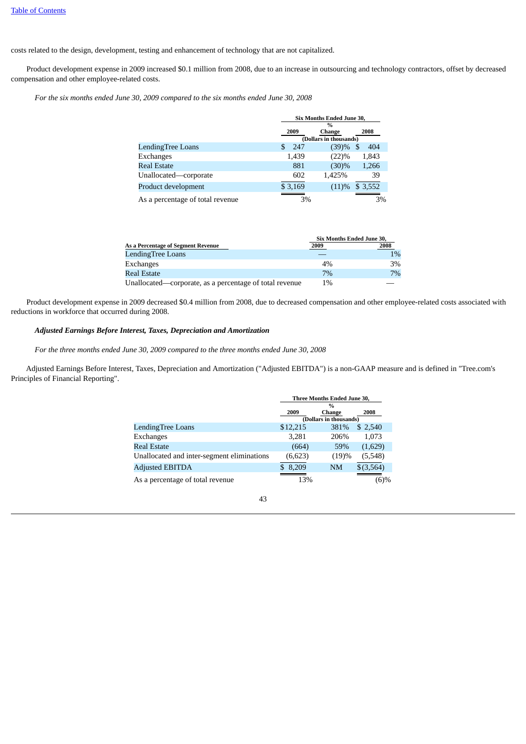costs related to the design, development, testing and enhancement of technology that are not capitalized.

 Product development expense in 2009 increased \$0.1 million from 2008, due to an increase in outsourcing and technology contractors, offset by decreased compensation and other employee-related costs.

*For the six months ended June 30, 2009 compared to the six months ended June 30, 2008*

|                                  | Six Months Ended June 30, |                        |         |
|----------------------------------|---------------------------|------------------------|---------|
|                                  | $\frac{0}{0}$             |                        |         |
|                                  | 2009                      | Change                 | 2008    |
|                                  |                           | (Dollars in thousands) |         |
| <b>LendingTree Loans</b>         | 247                       | (39)%                  | 404     |
| Exchanges                        | 1,439                     | (22)%                  | 1,843   |
| <b>Real Estate</b>               | 881                       | $(30)\%$               | 1,266   |
| Unallocated-corporate            | 602                       | 1,425%                 | 39      |
| Product development              | \$3,169                   | (11)%                  | \$3,552 |
| As a percentage of total revenue | 3%                        |                        | 3%      |

|                                                         | Six Months Ended June 30, |       |  |
|---------------------------------------------------------|---------------------------|-------|--|
| As a Percentage of Segment Revenue                      | 2009                      | 2008  |  |
| LendingTree Loans                                       |                           | $1\%$ |  |
| Exchanges                                               | 4%                        | 3%    |  |
| <b>Real Estate</b>                                      | 7%                        | 7%    |  |
| Unallocated—corporate, as a percentage of total revenue | $1\%$                     |       |  |

 Product development expense in 2009 decreased \$0.4 million from 2008, due to decreased compensation and other employee-related costs associated with reductions in workforce that occurred during 2008.

## *Adjusted Earnings Before Interest, Taxes, Depreciation and Amortization*

*For the three months ended June 30, 2009 compared to the three months ended June 30, 2008*

 Adjusted Earnings Before Interest, Taxes, Depreciation and Amortization ("Adjusted EBITDA") is a non-GAAP measure and is defined in "Tree.com's Principles of Financial Reporting".

|                                            | Three Months Ended June 30, |        |               |
|--------------------------------------------|-----------------------------|--------|---------------|
|                                            | $\frac{0}{0}$               |        |               |
|                                            | 2009                        | Change | 2008          |
|                                            | (Dollars in thousands)      |        |               |
| LendingTree Loans                          | \$12,215                    | 381%   | \$2,540       |
| Exchanges                                  | 3,281                       | 206%   | 1.073         |
| <b>Real Estate</b>                         | (664)                       | 59%    | (1,629)       |
| Unallocated and inter-segment eliminations | (6,623)                     | (19)%  | (5,548)       |
| <b>Adjusted EBITDA</b>                     | 8,209                       | NM     | $$$ $(3,564)$ |
| As a percentage of total revenue           | 13%                         |        | (6)%          |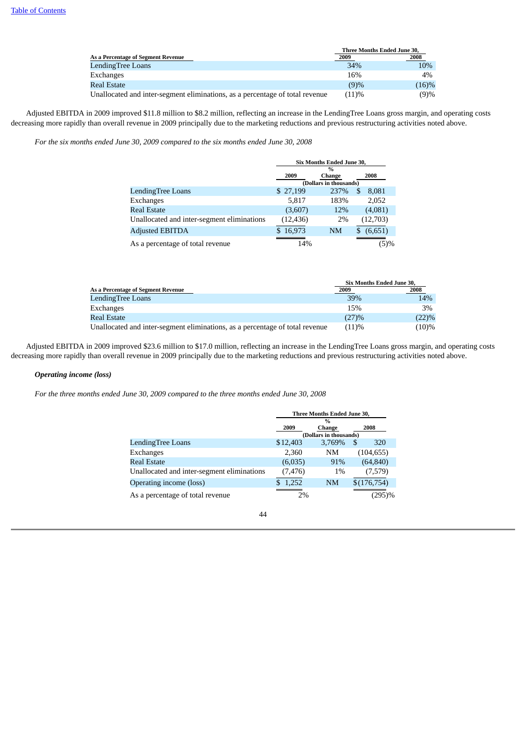|                                                                              | Three Months Ended June 30, |       |
|------------------------------------------------------------------------------|-----------------------------|-------|
| As a Percentage of Segment Revenue                                           | 2009                        | 2008  |
| LendingTree Loans                                                            | 34%                         | 10%   |
| Exchanges                                                                    | 16%                         | $4\%$ |
| Real Estate                                                                  | (9)%                        | (16)% |
| Unallocated and inter-segment eliminations, as a percentage of total revenue | (11)%                       | (9)%  |

 Adjusted EBITDA in 2009 improved \$11.8 million to \$8.2 million, reflecting an increase in the LendingTree Loans gross margin, and operating costs decreasing more rapidly than overall revenue in 2009 principally due to the marketing reductions and previous restructuring activities noted above.

*For the six months ended June 30, 2009 compared to the six months ended June 30, 2008*

|                                            | Six Months Ended June 30, |                                                   |            |
|--------------------------------------------|---------------------------|---------------------------------------------------|------------|
|                                            | 2009                      | $\frac{0}{0}$<br>Change<br>(Dollars in thousands) | 2008       |
| LendingTree Loans                          | \$27,199                  | 237%                                              | 8,081<br>S |
| Exchanges                                  | 5.817                     | 183%                                              | 2,052      |
| <b>Real Estate</b>                         | (3,607)                   | 12%                                               | (4,081)    |
| Unallocated and inter-segment eliminations | (12, 436)                 | 2%                                                | (12,703)   |
| <b>Adjusted EBITDA</b>                     | \$16,973                  | <b>NM</b>                                         | (6,651)    |
| As a percentage of total revenue           | 14%                       |                                                   | 5)%        |

|                                                                              | Six Months Ended June 30, |          |
|------------------------------------------------------------------------------|---------------------------|----------|
| As a Percentage of Segment Revenue                                           | 2009                      | 2008     |
| LendingTree Loans                                                            | 39%                       | 14%      |
| Exchanges                                                                    | 15%                       | 3%       |
| Real Estate                                                                  | (27)%                     | (22)%    |
| Unallocated and inter-segment eliminations, as a percentage of total revenue | (11)%                     | $(10)\%$ |

 Adjusted EBITDA in 2009 improved \$23.6 million to \$17.0 million, reflecting an increase in the LendingTree Loans gross margin, and operating costs decreasing more rapidly than overall revenue in 2009 principally due to the marketing reductions and previous restructuring activities noted above.

## *Operating income (loss)*

*For the three months ended June 30, 2009 compared to the three months ended June 30, 2008*

|                                            | Three Months Ended June 30,    |           |              |
|--------------------------------------------|--------------------------------|-----------|--------------|
|                                            | 2009<br>(Dollars in thousands) | 2008      |              |
| LendingTree Loans                          | \$12,403                       | 3,769%    | 320<br>S     |
| <b>Exchanges</b>                           | 2.360                          | NM        | (104, 655)   |
| <b>Real Estate</b>                         | (6,035)                        | 91%       | (64, 840)    |
| Unallocated and inter-segment eliminations | (7, 476)                       | $1\%$     | (7,579)      |
| Operating income (loss)                    | 1,252                          | <b>NM</b> | \$(176, 754) |
| As a percentage of total revenue           | 2%                             |           | (295)%       |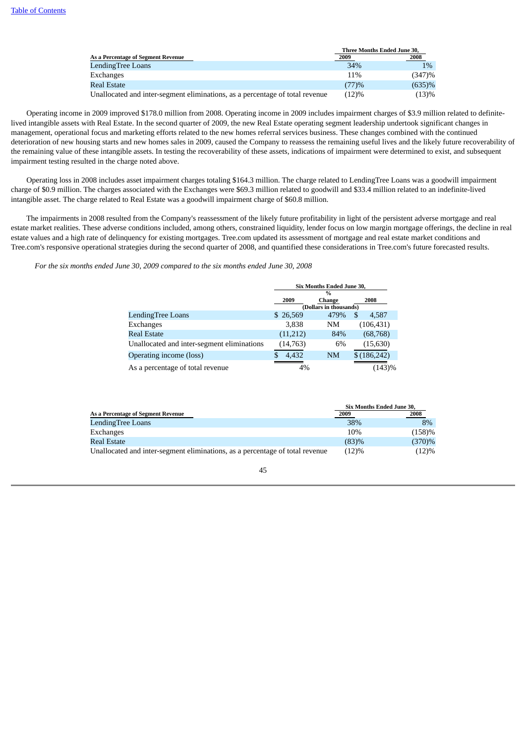|                                                                              | Three Months Ended June 30, |        |
|------------------------------------------------------------------------------|-----------------------------|--------|
| As a Percentage of Segment Revenue                                           | 2009                        | 2008   |
| LendingTree Loans                                                            | 34%                         | $1\%$  |
| Exchanges                                                                    | 11%                         | (347)% |
| Real Estate                                                                  | (77)%                       | (635)% |
| Unallocated and inter-segment eliminations, as a percentage of total revenue | (12)%                       | (13)%  |

 Operating income in 2009 improved \$178.0 million from 2008. Operating income in 2009 includes impairment charges of \$3.9 million related to definitelived intangible assets with Real Estate. In the second quarter of 2009, the new Real Estate operating segment leadership undertook significant changes in management, operational focus and marketing efforts related to the new homes referral services business. These changes combined with the continued deterioration of new housing starts and new homes sales in 2009, caused the Company to reassess the remaining useful lives and the likely future recoverability of the remaining value of these intangible assets. In testing the recoverability of these assets, indications of impairment were determined to exist, and subsequent impairment testing resulted in the charge noted above.

 Operating loss in 2008 includes asset impairment charges totaling \$164.3 million. The charge related to LendingTree Loans was a goodwill impairment charge of \$0.9 million. The charges associated with the Exchanges were \$69.3 million related to goodwill and \$33.4 million related to an indefinite-lived intangible asset. The charge related to Real Estate was a goodwill impairment charge of \$60.8 million.

 The impairments in 2008 resulted from the Company's reassessment of the likely future profitability in light of the persistent adverse mortgage and real estate market realities. These adverse conditions included, among others, constrained liquidity, lender focus on low margin mortgage offerings, the decline in real estate values and a high rate of delinquency for existing mortgages. Tree.com updated its assessment of mortgage and real estate market conditions and Tree.com's responsive operational strategies during the second quarter of 2008, and quantified these considerations in Tree.com's future forecasted results.

*For the six months ended June 30, 2009 compared to the six months ended June 30, 2008*

|                                            | <b>Six Months Ended June 30,</b> |                                                   |              |
|--------------------------------------------|----------------------------------|---------------------------------------------------|--------------|
|                                            | 2009                             | $\frac{0}{0}$<br>Change<br>(Dollars in thousands) | 2008         |
| LendingTree Loans                          | \$26,569                         | 479%                                              | 4,587<br>S   |
| Exchanges                                  | 3,838                            | NΜ                                                | (106, 431)   |
| <b>Real Estate</b>                         | (11,212)                         | 84%                                               | (68, 768)    |
| Unallocated and inter-segment eliminations | (14,763)                         | 6%                                                | (15, 630)    |
| Operating income (loss)                    | 4,432                            | <b>NM</b>                                         | \$(186, 242) |
| As a percentage of total revenue           | 4%                               |                                                   | (143)%       |

|                                                                              | Six Months Ended June 30, |           |
|------------------------------------------------------------------------------|---------------------------|-----------|
| As a Percentage of Segment Revenue                                           | 2009                      | 2008      |
| LendingTree Loans                                                            | 38%                       | 8%        |
| Exchanges                                                                    | 10%                       | (158)%    |
| Real Estate                                                                  | (83)%                     | $(370)\%$ |
| Unallocated and inter-segment eliminations, as a percentage of total revenue | (12)%                     | (12)%     |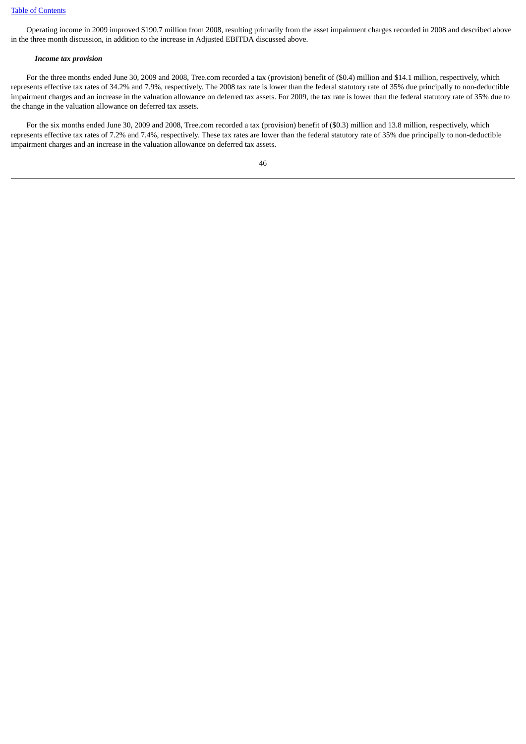Operating income in 2009 improved \$190.7 million from 2008, resulting primarily from the asset impairment charges recorded in 2008 and described above in the three month discussion, in addition to the increase in Adjusted EBITDA discussed above.

#### *Income tax provision*

 For the three months ended June 30, 2009 and 2008, Tree.com recorded a tax (provision) benefit of (\$0.4) million and \$14.1 million, respectively, which represents effective tax rates of 34.2% and 7.9%, respectively. The 2008 tax rate is lower than the federal statutory rate of 35% due principally to non-deductible impairment charges and an increase in the valuation allowance on deferred tax assets. For 2009, the tax rate is lower than the federal statutory rate of 35% due to the change in the valuation allowance on deferred tax assets.

 For the six months ended June 30, 2009 and 2008, Tree.com recorded a tax (provision) benefit of (\$0.3) million and 13.8 million, respectively, which represents effective tax rates of 7.2% and 7.4%, respectively. These tax rates are lower than the federal statutory rate of 35% due principally to non-deductible impairment charges and an increase in the valuation allowance on deferred tax assets.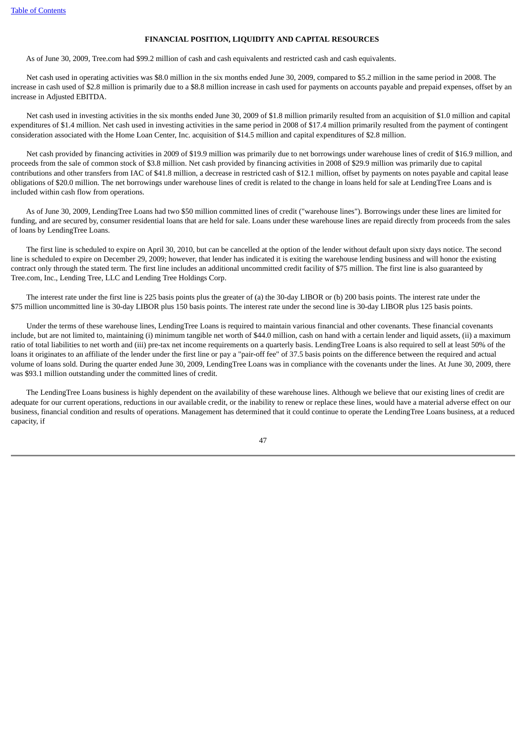## **FINANCIAL POSITION, LIQUIDITY AND CAPITAL RESOURCES**

As of June 30, 2009, Tree.com had \$99.2 million of cash and cash equivalents and restricted cash and cash equivalents.

 Net cash used in operating activities was \$8.0 million in the six months ended June 30, 2009, compared to \$5.2 million in the same period in 2008. The increase in cash used of \$2.8 million is primarily due to a \$8.8 million increase in cash used for payments on accounts payable and prepaid expenses, offset by an increase in Adjusted EBITDA.

 Net cash used in investing activities in the six months ended June 30, 2009 of \$1.8 million primarily resulted from an acquisition of \$1.0 million and capital expenditures of \$1.4 million. Net cash used in investing activities in the same period in 2008 of \$17.4 million primarily resulted from the payment of contingent consideration associated with the Home Loan Center, Inc. acquisition of \$14.5 million and capital expenditures of \$2.8 million.

 Net cash provided by financing activities in 2009 of \$19.9 million was primarily due to net borrowings under warehouse lines of credit of \$16.9 million, and proceeds from the sale of common stock of \$3.8 million. Net cash provided by financing activities in 2008 of \$29.9 million was primarily due to capital contributions and other transfers from IAC of \$41.8 million, a decrease in restricted cash of \$12.1 million, offset by payments on notes payable and capital lease obligations of \$20.0 million. The net borrowings under warehouse lines of credit is related to the change in loans held for sale at LendingTree Loans and is included within cash flow from operations.

 As of June 30, 2009, LendingTree Loans had two \$50 million committed lines of credit ("warehouse lines"). Borrowings under these lines are limited for funding, and are secured by, consumer residential loans that are held for sale. Loans under these warehouse lines are repaid directly from proceeds from the sales of loans by LendingTree Loans.

 The first line is scheduled to expire on April 30, 2010, but can be cancelled at the option of the lender without default upon sixty days notice. The second line is scheduled to expire on December 29, 2009; however, that lender has indicated it is exiting the warehouse lending business and will honor the existing contract only through the stated term. The first line includes an additional uncommitted credit facility of \$75 million. The first line is also guaranteed by Tree.com, Inc., Lending Tree, LLC and Lending Tree Holdings Corp.

 The interest rate under the first line is 225 basis points plus the greater of (a) the 30-day LIBOR or (b) 200 basis points. The interest rate under the \$75 million uncommitted line is 30-day LIBOR plus 150 basis points. The interest rate under the second line is 30-day LIBOR plus 125 basis points.

 Under the terms of these warehouse lines, LendingTree Loans is required to maintain various financial and other covenants. These financial covenants include, but are not limited to, maintaining (i) minimum tangible net worth of \$44.0 million, cash on hand with a certain lender and liquid assets, (ii) a maximum ratio of total liabilities to net worth and (iii) pre-tax net income requirements on a quarterly basis. LendingTree Loans is also required to sell at least 50% of the loans it originates to an affiliate of the lender under the first line or pay a "pair-off fee" of 37.5 basis points on the difference between the required and actual volume of loans sold. During the quarter ended June 30, 2009, LendingTree Loans was in compliance with the covenants under the lines. At June 30, 2009, there was \$93.1 million outstanding under the committed lines of credit.

 The LendingTree Loans business is highly dependent on the availability of these warehouse lines. Although we believe that our existing lines of credit are adequate for our current operations, reductions in our available credit, or the inability to renew or replace these lines, would have a material adverse effect on our business, financial condition and results of operations. Management has determined that it could continue to operate the LendingTree Loans business, at a reduced capacity, if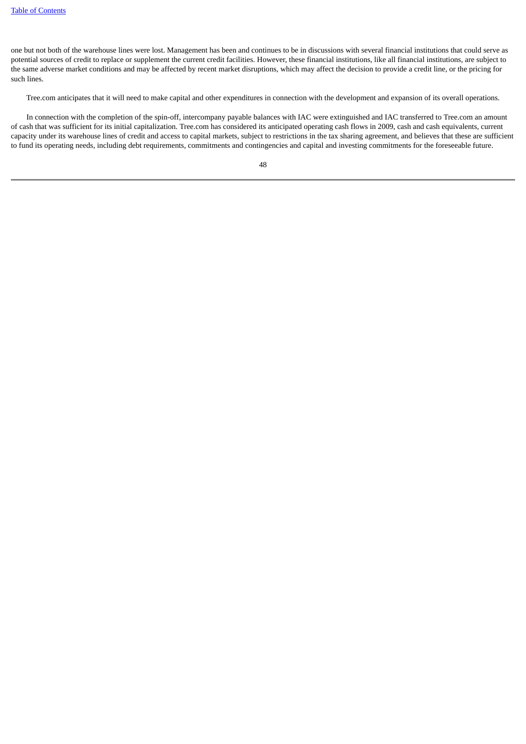one but not both of the warehouse lines were lost. Management has been and continues to be in discussions with several financial institutions that could serve as potential sources of credit to replace or supplement the current credit facilities. However, these financial institutions, like all financial institutions, are subject to the same adverse market conditions and may be affected by recent market disruptions, which may affect the decision to provide a credit line, or the pricing for such lines.

Tree.com anticipates that it will need to make capital and other expenditures in connection with the development and expansion of its overall operations.

 In connection with the completion of the spin-off, intercompany payable balances with IAC were extinguished and IAC transferred to Tree.com an amount of cash that was sufficient for its initial capitalization. Tree.com has considered its anticipated operating cash flows in 2009, cash and cash equivalents, current capacity under its warehouse lines of credit and access to capital markets, subject to restrictions in the tax sharing agreement, and believes that these are sufficient to fund its operating needs, including debt requirements, commitments and contingencies and capital and investing commitments for the foreseeable future.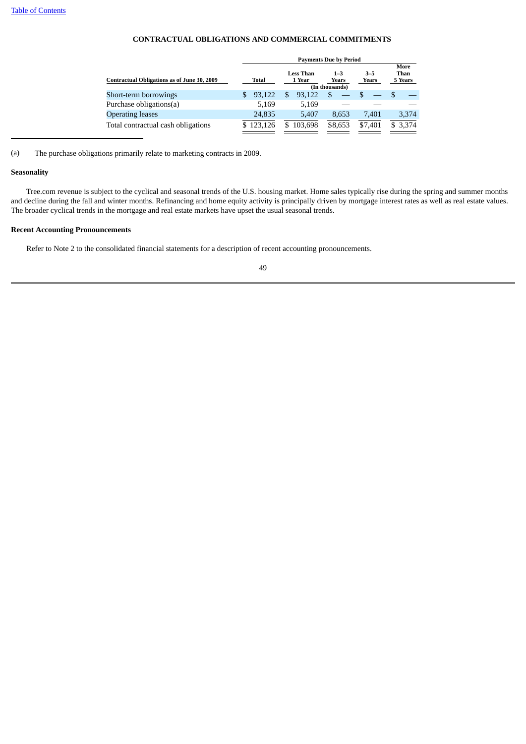## **CONTRACTUAL OBLIGATIONS AND COMMERCIAL COMMITMENTS**

|                                             | <b>Payments Due by Period</b> |                            |                                    |                  |                         |
|---------------------------------------------|-------------------------------|----------------------------|------------------------------------|------------------|-------------------------|
| Contractual Obligations as of June 30, 2009 | Total                         | <b>Less Than</b><br>1 Year | $1 - 3$<br>Years<br>(In thousands) | $3 - 5$<br>Years | More<br>Than<br>5 Years |
| Short-term borrowings                       | 93,122                        | 93.122                     | S                                  |                  |                         |
| Purchase obligations(a)                     | 5,169                         | 5,169                      |                                    |                  |                         |
| <b>Operating leases</b>                     | 24,835                        | 5.407                      | 8.653                              | 7.401            | 3,374                   |
| Total contractual cash obligations          | 123.126                       | 103.698                    | \$8.653                            | \$7,401          | 3.374                   |

(a) The purchase obligations primarily relate to marketing contracts in 2009.

## **Seasonality**

 Tree.com revenue is subject to the cyclical and seasonal trends of the U.S. housing market. Home sales typically rise during the spring and summer months and decline during the fall and winter months. Refinancing and home equity activity is principally driven by mortgage interest rates as well as real estate values. The broader cyclical trends in the mortgage and real estate markets have upset the usual seasonal trends.

#### **Recent Accounting Pronouncements**

Refer to Note 2 to the consolidated financial statements for a description of recent accounting pronouncements.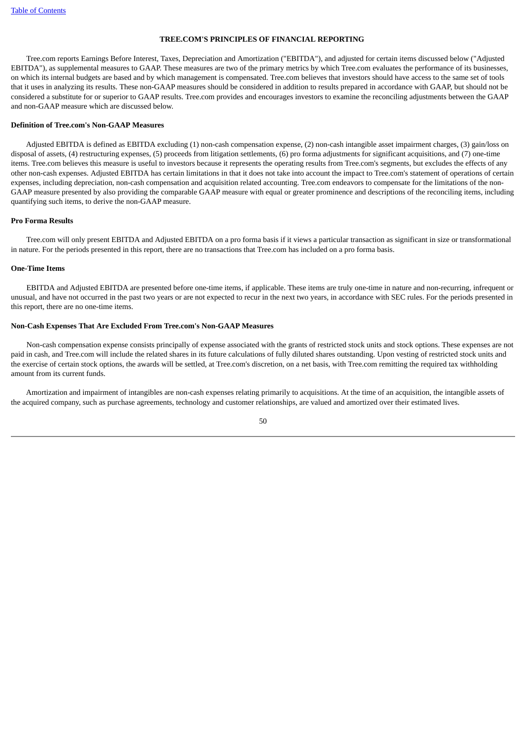#### **TREE.COM'S PRINCIPLES OF FINANCIAL REPORTING**

 Tree.com reports Earnings Before Interest, Taxes, Depreciation and Amortization ("EBITDA"), and adjusted for certain items discussed below ("Adjusted EBITDA"), as supplemental measures to GAAP. These measures are two of the primary metrics by which Tree.com evaluates the performance of its businesses, on which its internal budgets are based and by which management is compensated. Tree.com believes that investors should have access to the same set of tools that it uses in analyzing its results. These non-GAAP measures should be considered in addition to results prepared in accordance with GAAP, but should not be considered a substitute for or superior to GAAP results. Tree.com provides and encourages investors to examine the reconciling adjustments between the GAAP and non-GAAP measure which are discussed below.

## **Definition of Tree.com's Non-GAAP Measures**

 Adjusted EBITDA is defined as EBITDA excluding (1) non-cash compensation expense, (2) non-cash intangible asset impairment charges, (3) gain/loss on disposal of assets, (4) restructuring expenses, (5) proceeds from litigation settlements, (6) pro forma adjustments for significant acquisitions, and (7) one-time items. Tree.com believes this measure is useful to investors because it represents the operating results from Tree.com's segments, but excludes the effects of any other non-cash expenses. Adjusted EBITDA has certain limitations in that it does not take into account the impact to Tree.com's statement of operations of certain expenses, including depreciation, non-cash compensation and acquisition related accounting. Tree.com endeavors to compensate for the limitations of the non-GAAP measure presented by also providing the comparable GAAP measure with equal or greater prominence and descriptions of the reconciling items, including quantifying such items, to derive the non-GAAP measure.

## **Pro Forma Results**

 Tree.com will only present EBITDA and Adjusted EBITDA on a pro forma basis if it views a particular transaction as significant in size or transformational in nature. For the periods presented in this report, there are no transactions that Tree.com has included on a pro forma basis.

## **One-Time Items**

 EBITDA and Adjusted EBITDA are presented before one-time items, if applicable. These items are truly one-time in nature and non-recurring, infrequent or unusual, and have not occurred in the past two years or are not expected to recur in the next two years, in accordance with SEC rules. For the periods presented in this report, there are no one-time items.

## **Non-Cash Expenses That Are Excluded From Tree.com's Non-GAAP Measures**

 Non-cash compensation expense consists principally of expense associated with the grants of restricted stock units and stock options. These expenses are not paid in cash, and Tree.com will include the related shares in its future calculations of fully diluted shares outstanding. Upon vesting of restricted stock units and the exercise of certain stock options, the awards will be settled, at Tree.com's discretion, on a net basis, with Tree.com remitting the required tax withholding amount from its current funds.

 Amortization and impairment of intangibles are non-cash expenses relating primarily to acquisitions. At the time of an acquisition, the intangible assets of the acquired company, such as purchase agreements, technology and customer relationships, are valued and amortized over their estimated lives.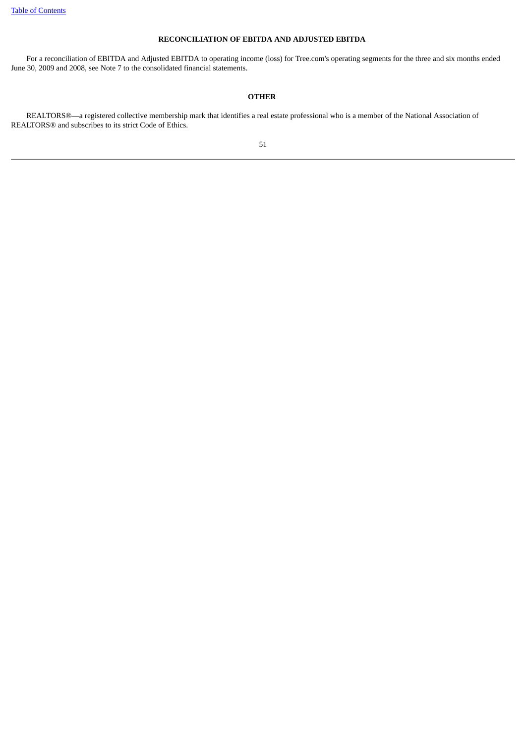## **RECONCILIATION OF EBITDA AND ADJUSTED EBITDA**

 For a reconciliation of EBITDA and Adjusted EBITDA to operating income (loss) for Tree.com's operating segments for the three and six months ended June 30, 2009 and 2008, see Note 7 to the consolidated financial statements.

## **OTHER**

 REALTORS®—a registered collective membership mark that identifies a real estate professional who is a member of the National Association of REALTORS® and subscribes to its strict Code of Ethics.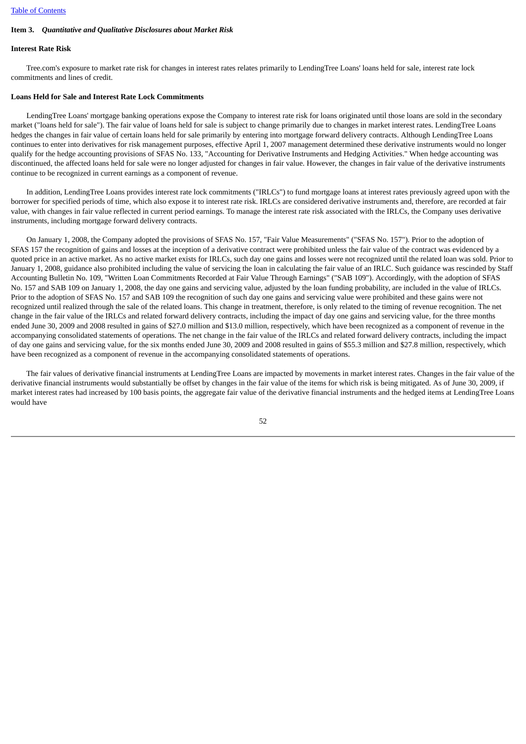#### **Item 3.** *Quantitative and Qualitative Disclosures about Market Risk*

#### **Interest Rate Risk**

 Tree.com's exposure to market rate risk for changes in interest rates relates primarily to LendingTree Loans' loans held for sale, interest rate lock commitments and lines of credit.

## **Loans Held for Sale and Interest Rate Lock Commitments**

 LendingTree Loans' mortgage banking operations expose the Company to interest rate risk for loans originated until those loans are sold in the secondary market ("loans held for sale"). The fair value of loans held for sale is subject to change primarily due to changes in market interest rates. LendingTree Loans hedges the changes in fair value of certain loans held for sale primarily by entering into mortgage forward delivery contracts. Although LendingTree Loans continues to enter into derivatives for risk management purposes, effective April 1, 2007 management determined these derivative instruments would no longer qualify for the hedge accounting provisions of SFAS No. 133, "Accounting for Derivative Instruments and Hedging Activities." When hedge accounting was discontinued, the affected loans held for sale were no longer adjusted for changes in fair value. However, the changes in fair value of the derivative instruments continue to be recognized in current earnings as a component of revenue.

 In addition, LendingTree Loans provides interest rate lock commitments ("IRLCs") to fund mortgage loans at interest rates previously agreed upon with the borrower for specified periods of time, which also expose it to interest rate risk. IRLCs are considered derivative instruments and, therefore, are recorded at fair value, with changes in fair value reflected in current period earnings. To manage the interest rate risk associated with the IRLCs, the Company uses derivative instruments, including mortgage forward delivery contracts.

 On January 1, 2008, the Company adopted the provisions of SFAS No. 157, "Fair Value Measurements" ("SFAS No. 157"). Prior to the adoption of SFAS 157 the recognition of gains and losses at the inception of a derivative contract were prohibited unless the fair value of the contract was evidenced by a quoted price in an active market. As no active market exists for IRLCs, such day one gains and losses were not recognized until the related loan was sold. Prior to January 1, 2008, guidance also prohibited including the value of servicing the loan in calculating the fair value of an IRLC. Such guidance was rescinded by Staff Accounting Bulletin No. 109, "Written Loan Commitments Recorded at Fair Value Through Earnings" ("SAB 109"). Accordingly, with the adoption of SFAS No. 157 and SAB 109 on January 1, 2008, the day one gains and servicing value, adjusted by the loan funding probability, are included in the value of IRLCs. Prior to the adoption of SFAS No. 157 and SAB 109 the recognition of such day one gains and servicing value were prohibited and these gains were not recognized until realized through the sale of the related loans. This change in treatment, therefore, is only related to the timing of revenue recognition. The net change in the fair value of the IRLCs and related forward delivery contracts, including the impact of day one gains and servicing value, for the three months ended June 30, 2009 and 2008 resulted in gains of \$27.0 million and \$13.0 million, respectively, which have been recognized as a component of revenue in the accompanying consolidated statements of operations. The net change in the fair value of the IRLCs and related forward delivery contracts, including the impact of day one gains and servicing value, for the six months ended June 30, 2009 and 2008 resulted in gains of \$55.3 million and \$27.8 million, respectively, which have been recognized as a component of revenue in the accompanying consolidated statements of operations.

 The fair values of derivative financial instruments at LendingTree Loans are impacted by movements in market interest rates. Changes in the fair value of the derivative financial instruments would substantially be offset by changes in the fair value of the items for which risk is being mitigated. As of June 30, 2009, if market interest rates had increased by 100 basis points, the aggregate fair value of the derivative financial instruments and the hedged items at LendingTree Loans would have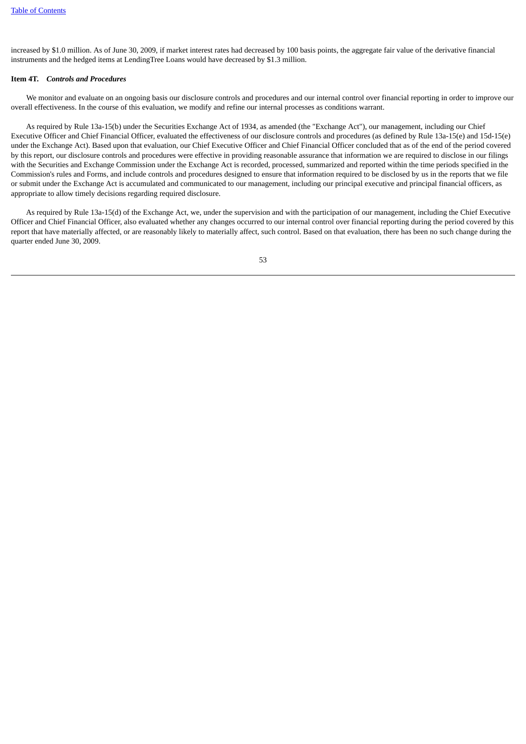increased by \$1.0 million. As of June 30, 2009, if market interest rates had decreased by 100 basis points, the aggregate fair value of the derivative financial instruments and the hedged items at LendingTree Loans would have decreased by \$1.3 million.

#### **Item 4T.** *Controls and Procedures*

 We monitor and evaluate on an ongoing basis our disclosure controls and procedures and our internal control over financial reporting in order to improve our overall effectiveness. In the course of this evaluation, we modify and refine our internal processes as conditions warrant.

 As required by Rule 13a-15(b) under the Securities Exchange Act of 1934, as amended (the "Exchange Act"), our management, including our Chief Executive Officer and Chief Financial Officer, evaluated the effectiveness of our disclosure controls and procedures (as defined by Rule 13a-15(e) and 15d-15(e) under the Exchange Act). Based upon that evaluation, our Chief Executive Officer and Chief Financial Officer concluded that as of the end of the period covered by this report, our disclosure controls and procedures were effective in providing reasonable assurance that information we are required to disclose in our filings with the Securities and Exchange Commission under the Exchange Act is recorded, processed, summarized and reported within the time periods specified in the Commission's rules and Forms, and include controls and procedures designed to ensure that information required to be disclosed by us in the reports that we file or submit under the Exchange Act is accumulated and communicated to our management, including our principal executive and principal financial officers, as appropriate to allow timely decisions regarding required disclosure.

 As required by Rule 13a-15(d) of the Exchange Act, we, under the supervision and with the participation of our management, including the Chief Executive Officer and Chief Financial Officer, also evaluated whether any changes occurred to our internal control over financial reporting during the period covered by this report that have materially affected, or are reasonably likely to materially affect, such control. Based on that evaluation, there has been no such change during the quarter ended June 30, 2009.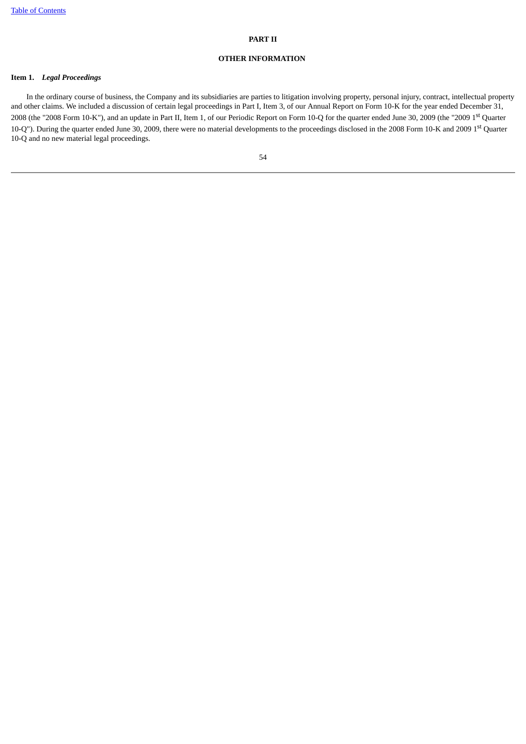## **PART II**

## **OTHER INFORMATION**

## **Item 1.** *Legal Proceedings*

 In the ordinary course of business, the Company and its subsidiaries are parties to litigation involving property, personal injury, contract, intellectual property and other claims. We included a discussion of certain legal proceedings in Part I, Item 3, of our Annual Report on Form 10-K for the year ended December 31, 2008 (the "2008 Form 10-K"), and an update in Part II, Item 1, of our Periodic Report on Form 10-Q for the quarter ended June 30, 2009 (the "2009 1<sup>st</sup> Quarter 10-Q"). During the quarter ended June 30, 2009, there were no material developments to the proceedings disclosed in the 2008 Form 10-K and 2009 1<sup>st</sup> Quarter 10-Q and no new material legal proceedings.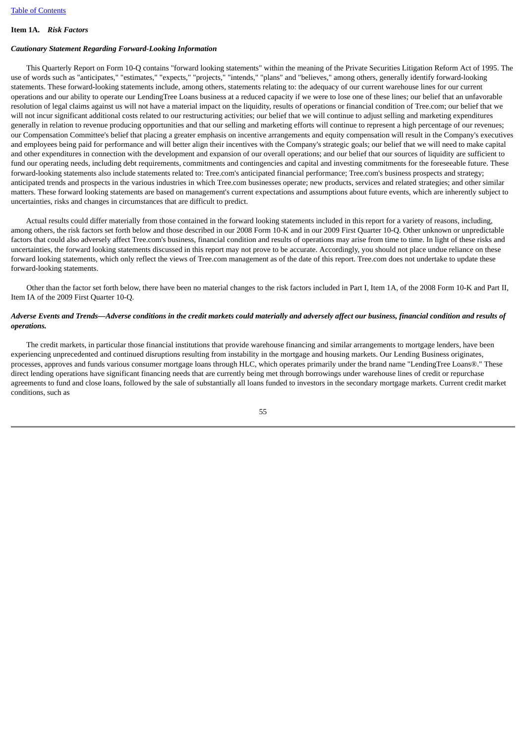## **Item 1A.** *Risk Factors*

#### *Cautionary Statement Regarding Forward-Looking Information*

 This Quarterly Report on Form 10-Q contains "forward looking statements" within the meaning of the Private Securities Litigation Reform Act of 1995. The use of words such as "anticipates," "estimates," "expects," "projects," "intends," "plans" and "believes," among others, generally identify forward-looking statements. These forward-looking statements include, among others, statements relating to: the adequacy of our current warehouse lines for our current operations and our ability to operate our LendingTree Loans business at a reduced capacity if we were to lose one of these lines; our belief that an unfavorable resolution of legal claims against us will not have a material impact on the liquidity, results of operations or financial condition of Tree.com; our belief that we will not incur significant additional costs related to our restructuring activities; our belief that we will continue to adjust selling and marketing expenditures generally in relation to revenue producing opportunities and that our selling and marketing efforts will continue to represent a high percentage of our revenues; our Compensation Committee's belief that placing a greater emphasis on incentive arrangements and equity compensation will result in the Company's executives and employees being paid for performance and will better align their incentives with the Company's strategic goals; our belief that we will need to make capital and other expenditures in connection with the development and expansion of our overall operations; and our belief that our sources of liquidity are sufficient to fund our operating needs, including debt requirements, commitments and contingencies and capital and investing commitments for the foreseeable future. These forward-looking statements also include statements related to: Tree.com's anticipated financial performance; Tree.com's business prospects and strategy; anticipated trends and prospects in the various industries in which Tree.com businesses operate; new products, services and related strategies; and other similar matters. These forward looking statements are based on management's current expectations and assumptions about future events, which are inherently subject to uncertainties, risks and changes in circumstances that are difficult to predict.

 Actual results could differ materially from those contained in the forward looking statements included in this report for a variety of reasons, including, among others, the risk factors set forth below and those described in our 2008 Form 10-K and in our 2009 First Quarter 10-Q. Other unknown or unpredictable factors that could also adversely affect Tree.com's business, financial condition and results of operations may arise from time to time. In light of these risks and uncertainties, the forward looking statements discussed in this report may not prove to be accurate. Accordingly, you should not place undue reliance on these forward looking statements, which only reflect the views of Tree.com management as of the date of this report. Tree.com does not undertake to update these forward-looking statements.

 Other than the factor set forth below, there have been no material changes to the risk factors included in Part I, Item 1A, of the 2008 Form 10-K and Part II, Item IA of the 2009 First Quarter 10-Q.

## *Adverse Events and Trends—Adverse conditions in the credit markets could materially and adversely affect our business, financial condition and results of operations.*

 The credit markets, in particular those financial institutions that provide warehouse financing and similar arrangements to mortgage lenders, have been experiencing unprecedented and continued disruptions resulting from instability in the mortgage and housing markets. Our Lending Business originates, processes, approves and funds various consumer mortgage loans through HLC, which operates primarily under the brand name "LendingTree Loans®." These direct lending operations have significant financing needs that are currently being met through borrowings under warehouse lines of credit or repurchase agreements to fund and close loans, followed by the sale of substantially all loans funded to investors in the secondary mortgage markets. Current credit market conditions, such as

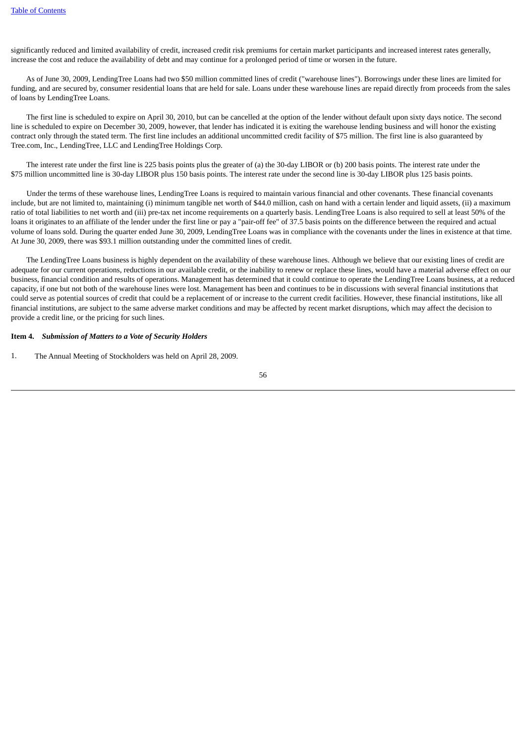significantly reduced and limited availability of credit, increased credit risk premiums for certain market participants and increased interest rates generally, increase the cost and reduce the availability of debt and may continue for a prolonged period of time or worsen in the future.

 As of June 30, 2009, LendingTree Loans had two \$50 million committed lines of credit ("warehouse lines"). Borrowings under these lines are limited for funding, and are secured by, consumer residential loans that are held for sale. Loans under these warehouse lines are repaid directly from proceeds from the sales of loans by LendingTree Loans.

 The first line is scheduled to expire on April 30, 2010, but can be cancelled at the option of the lender without default upon sixty days notice. The second line is scheduled to expire on December 30, 2009, however, that lender has indicated it is exiting the warehouse lending business and will honor the existing contract only through the stated term. The first line includes an additional uncommitted credit facility of \$75 million. The first line is also guaranteed by Tree.com, Inc., LendingTree, LLC and LendingTree Holdings Corp.

 The interest rate under the first line is 225 basis points plus the greater of (a) the 30-day LIBOR or (b) 200 basis points. The interest rate under the \$75 million uncommitted line is 30-day LIBOR plus 150 basis points. The interest rate under the second line is 30-day LIBOR plus 125 basis points.

 Under the terms of these warehouse lines, LendingTree Loans is required to maintain various financial and other covenants. These financial covenants include, but are not limited to, maintaining (i) minimum tangible net worth of \$44.0 million, cash on hand with a certain lender and liquid assets, (ii) a maximum ratio of total liabilities to net worth and (iii) pre-tax net income requirements on a quarterly basis. LendingTree Loans is also required to sell at least 50% of the loans it originates to an affiliate of the lender under the first line or pay a "pair-off fee" of 37.5 basis points on the difference between the required and actual volume of loans sold. During the quarter ended June 30, 2009, LendingTree Loans was in compliance with the covenants under the lines in existence at that time. At June 30, 2009, there was \$93.1 million outstanding under the committed lines of credit.

 The LendingTree Loans business is highly dependent on the availability of these warehouse lines. Although we believe that our existing lines of credit are adequate for our current operations, reductions in our available credit, or the inability to renew or replace these lines, would have a material adverse effect on our business, financial condition and results of operations. Management has determined that it could continue to operate the LendingTree Loans business, at a reduced capacity, if one but not both of the warehouse lines were lost. Management has been and continues to be in discussions with several financial institutions that could serve as potential sources of credit that could be a replacement of or increase to the current credit facilities. However, these financial institutions, like all financial institutions, are subject to the same adverse market conditions and may be affected by recent market disruptions, which may affect the decision to provide a credit line, or the pricing for such lines.

#### **Item 4.** *Submission of Matters to a Vote of Security Holders*

1. The Annual Meeting of Stockholders was held on April 28, 2009.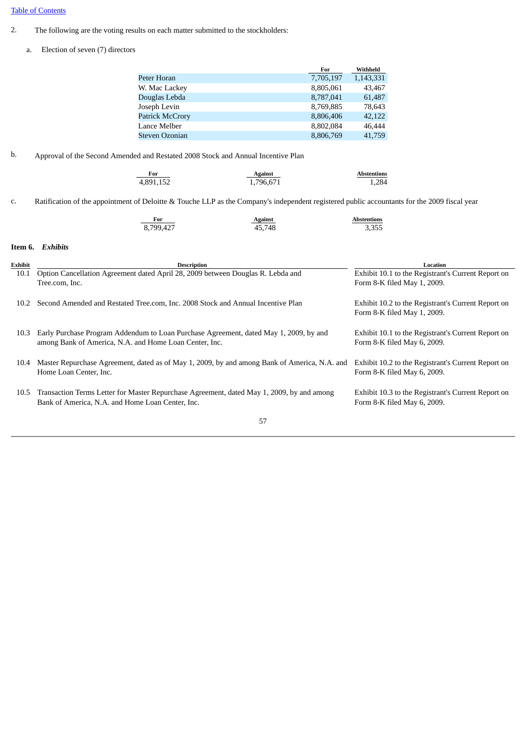## [Table of Contents](#page-2-0)

- 2. The following are the voting results on each matter submitted to the stockholders:
	- a. Election of seven (7) directors

|                 | For       | Withheld  |
|-----------------|-----------|-----------|
| Peter Horan     | 7,705,197 | 1,143,331 |
| W. Mac Lackey   | 8,805,061 | 43,467    |
| Douglas Lebda   | 8,787,041 | 61,487    |
| Joseph Levin    | 8,769,885 | 78,643    |
| Patrick McCrory | 8,806,406 | 42,122    |
| Lance Melber    | 8,802,084 | 46,444    |
| Steven Ozonian  | 8,806,769 | 41,759    |

b. Approval of the Second Amended and Restated 2008 Stock and Annual Incentive Plan

| For       | <b>Against</b> | <b>Abstentions</b> |
|-----------|----------------|--------------------|
| 4,891,152 | 1,796,671      | 1.284              |

c. Ratification of the appointment of Deloitte & Touche LLP as the Company's independent registered public accountants for the 2009 fiscal year

| For       | <b>Against</b> | <b>Abstentions</b> |
|-----------|----------------|--------------------|
| 8,799,427 | 45,748         | 3.355              |

## **Item 6.** *Exhibits*

| Exhibit | <b>Description</b>                                                                           | Location                                                                          |
|---------|----------------------------------------------------------------------------------------------|-----------------------------------------------------------------------------------|
| 10.1    | Option Cancellation Agreement dated April 28, 2009 between Douglas R. Lebda and              | Exhibit 10.1 to the Registrant's Current Report on                                |
|         | Tree.com, Inc.                                                                               | Form 8-K filed May 1, 2009.                                                       |
| 10.2    | Second Amended and Restated Tree.com, Inc. 2008 Stock and Annual Incentive Plan              | Exhibit 10.2 to the Registrant's Current Report on<br>Form 8-K filed May 1, 2009. |
|         |                                                                                              |                                                                                   |
| 10.3    | Early Purchase Program Addendum to Loan Purchase Agreement, dated May 1, 2009, by and        | Exhibit 10.1 to the Registrant's Current Report on                                |
|         | among Bank of America, N.A. and Home Loan Center, Inc.                                       | Form 8-K filed May 6, 2009.                                                       |
| 10.4    | Master Repurchase Agreement, dated as of May 1, 2009, by and among Bank of America, N.A. and | Exhibit 10.2 to the Registrant's Current Report on                                |
|         | Home Loan Center, Inc.                                                                       | Form 8-K filed May 6, 2009.                                                       |
| 10.5    | Transaction Terms Letter for Master Repurchase Agreement, dated May 1, 2009, by and among    | Exhibit 10.3 to the Registrant's Current Report on                                |
|         | Bank of America, N.A. and Home Loan Center, Inc.                                             | Form 8-K filed May 6, 2009.                                                       |
|         |                                                                                              |                                                                                   |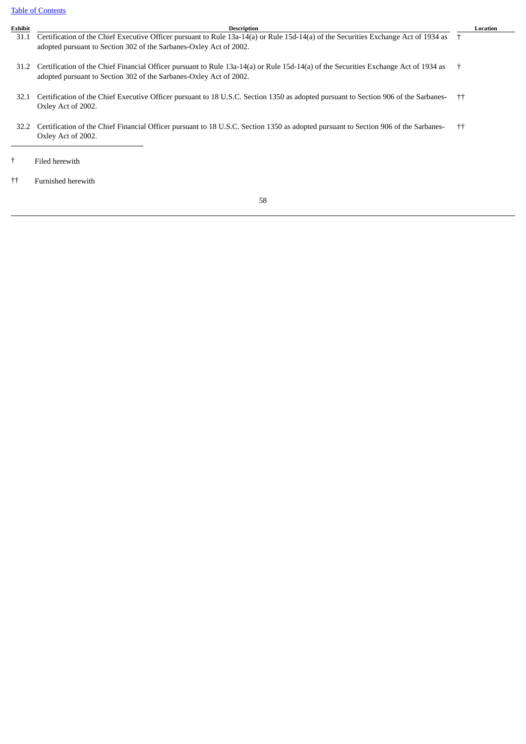## [Table of Contents](#page-2-0)

**Exhibit Description Location** 31.1 Certification of the Chief Executive Officer pursuant to Rule 13a-14(a) or Rule 15d-14(a) of the Securities Exchange Act of 1934 as adopted pursuant to Section 302 of the Sarbanes-Oxley Act of 2002. †

- 31.2 Certification of the Chief Financial Officer pursuant to Rule 13a-14(a) or Rule 15d-14(a) of the Securities Exchange Act of 1934 as adopted pursuant to Section 302 of the Sarbanes-Oxley Act of 2002. †
- 32.1 Certification of the Chief Executive Officer pursuant to 18 U.S.C. Section 1350 as adopted pursuant to Section 906 of the Sarbanes-Oxley Act of 2002. ††
- 32.2 Certification of the Chief Financial Officer pursuant to 18 U.S.C. Section 1350 as adopted pursuant to Section 906 of the Sarbanes-Oxley Act of 2002. ††
- † Filed herewith
- †† Furnished herewith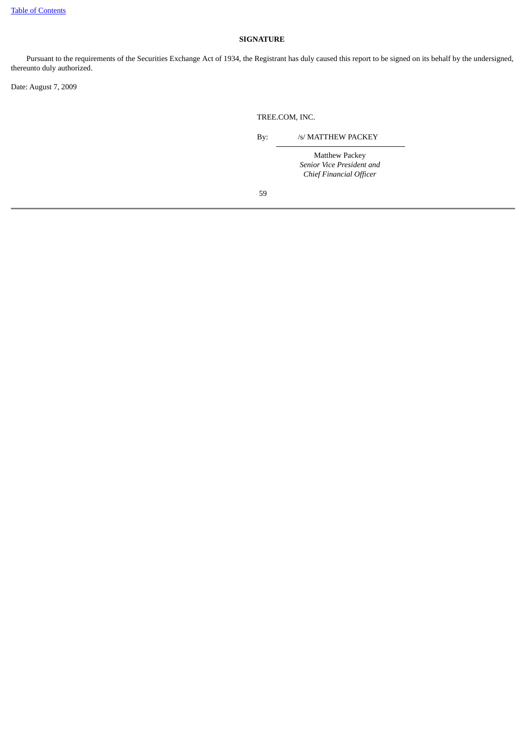## **SIGNATURE**

Pursuant to the requirements of the Securities Exchange Act of 1934, the Registrant has duly caused this report to be signed on its behalf by the undersigned, thereunto duly authorized.

Date: August 7, 2009

TREE.COM, INC.

By: /s/ MATTHEW PACKEY

Matthew Packey *Senior Vice President and Chief Financial Officer*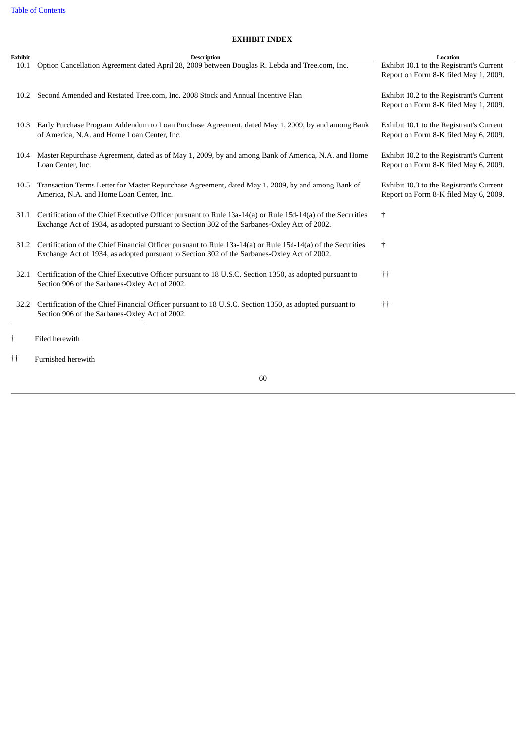# **EXHIBIT INDEX**

| Exhibit | <b>Description</b>                                                                                                                                                                                         | Location                                                                          |
|---------|------------------------------------------------------------------------------------------------------------------------------------------------------------------------------------------------------------|-----------------------------------------------------------------------------------|
| 10.1    | Option Cancellation Agreement dated April 28, 2009 between Douglas R. Lebda and Tree.com, Inc.                                                                                                             | Exhibit 10.1 to the Registrant's Current<br>Report on Form 8-K filed May 1, 2009. |
| 10.2    | Second Amended and Restated Tree.com, Inc. 2008 Stock and Annual Incentive Plan                                                                                                                            | Exhibit 10.2 to the Registrant's Current<br>Report on Form 8-K filed May 1, 2009. |
| 10.3    | Early Purchase Program Addendum to Loan Purchase Agreement, dated May 1, 2009, by and among Bank<br>of America, N.A. and Home Loan Center, Inc.                                                            | Exhibit 10.1 to the Registrant's Current<br>Report on Form 8-K filed May 6, 2009. |
| 10.4    | Master Repurchase Agreement, dated as of May 1, 2009, by and among Bank of America, N.A. and Home<br>Loan Center, Inc.                                                                                     | Exhibit 10.2 to the Registrant's Current<br>Report on Form 8-K filed May 6, 2009. |
| 10.5    | Transaction Terms Letter for Master Repurchase Agreement, dated May 1, 2009, by and among Bank of<br>America, N.A. and Home Loan Center, Inc.                                                              | Exhibit 10.3 to the Registrant's Current<br>Report on Form 8-K filed May 6, 2009. |
| 31.1    | Certification of the Chief Executive Officer pursuant to Rule 13a-14(a) or Rule 15d-14(a) of the Securities<br>Exchange Act of 1934, as adopted pursuant to Section 302 of the Sarbanes-Oxley Act of 2002. | ŧ                                                                                 |
| 31.2    | Certification of the Chief Financial Officer pursuant to Rule 13a-14(a) or Rule 15d-14(a) of the Securities<br>Exchange Act of 1934, as adopted pursuant to Section 302 of the Sarbanes-Oxley Act of 2002. | $^{+}$                                                                            |
| 32.1    | Certification of the Chief Executive Officer pursuant to 18 U.S.C. Section 1350, as adopted pursuant to<br>Section 906 of the Sarbanes-Oxley Act of 2002.                                                  | Ħ                                                                                 |
| 32.2    | Certification of the Chief Financial Officer pursuant to 18 U.S.C. Section 1350, as adopted pursuant to<br>Section 906 of the Sarbanes-Oxley Act of 2002.                                                  | ŤΤ                                                                                |
|         |                                                                                                                                                                                                            |                                                                                   |

- † Filed herewith
- †† Furnished herewith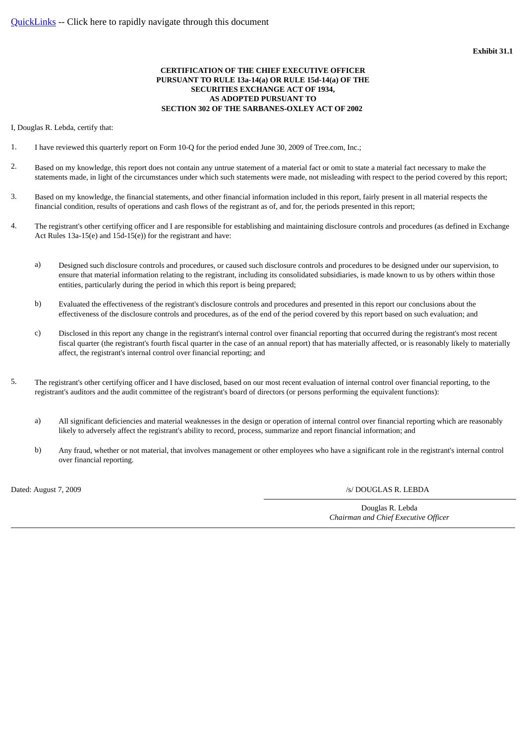## **CERTIFICATION OF THE CHIEF EXECUTIVE OFFICER PURSUANT TO RULE 13a-14(a) OR RULE 15d-14(a) OF THE SECURITIES EXCHANGE ACT OF 1934, AS ADOPTED PURSUANT TO SECTION 302 OF THE SARBANES-OXLEY ACT OF 2002**

<span id="page-64-1"></span><span id="page-64-0"></span>I, Douglas R. Lebda, certify that:

- 1. I have reviewed this quarterly report on Form 10-Q for the period ended June 30, 2009 of Tree.com, Inc.;
- 2. Based on my knowledge, this report does not contain any untrue statement of a material fact or omit to state a material fact necessary to make the statements made, in light of the circumstances under which such statements were made, not misleading with respect to the period covered by this report;
- 3. Based on my knowledge, the financial statements, and other financial information included in this report, fairly present in all material respects the financial condition, results of operations and cash flows of the registrant as of, and for, the periods presented in this report;
- 4. The registrant's other certifying officer and I are responsible for establishing and maintaining disclosure controls and procedures (as defined in Exchange Act Rules 13a-15(e) and 15d-15(e)) for the registrant and have:
	- a) Designed such disclosure controls and procedures, or caused such disclosure controls and procedures to be designed under our supervision, to ensure that material information relating to the registrant, including its consolidated subsidiaries, is made known to us by others within those entities, particularly during the period in which this report is being prepared;
	- b) Evaluated the effectiveness of the registrant's disclosure controls and procedures and presented in this report our conclusions about the effectiveness of the disclosure controls and procedures, as of the end of the period covered by this report based on such evaluation; and
	- c) Disclosed in this report any change in the registrant's internal control over financial reporting that occurred during the registrant's most recent fiscal quarter (the registrant's fourth fiscal quarter in the case of an annual report) that has materially affected, or is reasonably likely to materially affect, the registrant's internal control over financial reporting; and
- 5. The registrant's other certifying officer and I have disclosed, based on our most recent evaluation of internal control over financial reporting, to the registrant's auditors and the audit committee of the registrant's board of directors (or persons performing the equivalent functions):
	- a) All significant deficiencies and material weaknesses in the design or operation of internal control over financial reporting which are reasonably likely to adversely affect the registrant's ability to record, process, summarize and report financial information; and
	- b) Any fraud, whether or not material, that involves management or other employees who have a significant role in the registrant's internal control over financial reporting.

Dated: August 7, 2009 /s/ DOUGLAS R. LEBDA

Douglas R. Lebda *Chairman and Chief Executive Officer*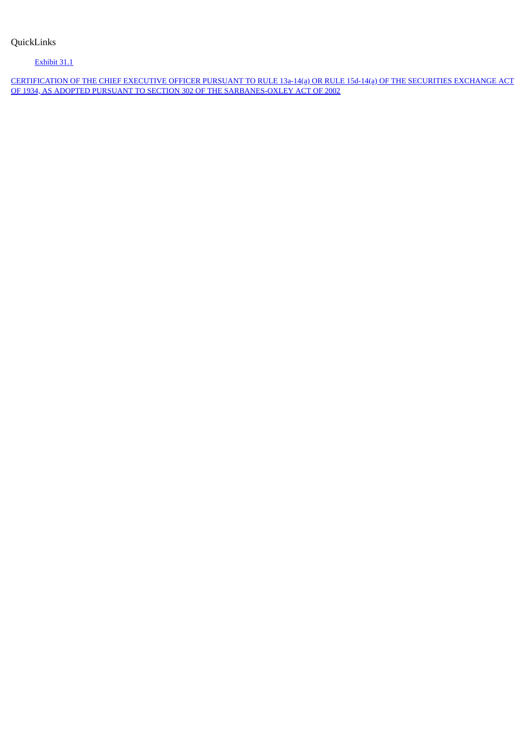# <span id="page-65-0"></span>QuickLinks

## [Exhibit 31.1](#page-64-0)

[CERTIFICATION OF THE CHIEF EXECUTIVE OFFICER PURSUANT TO RULE 13a-14\(a\) OR RULE 15d-14\(a\) OF THE SECURITIES EXCHANGE ACT](#page-64-1) OF 1934, AS ADOPTED PURSUANT TO SECTION 302 OF THE SARBANES-OXLEY ACT OF 2002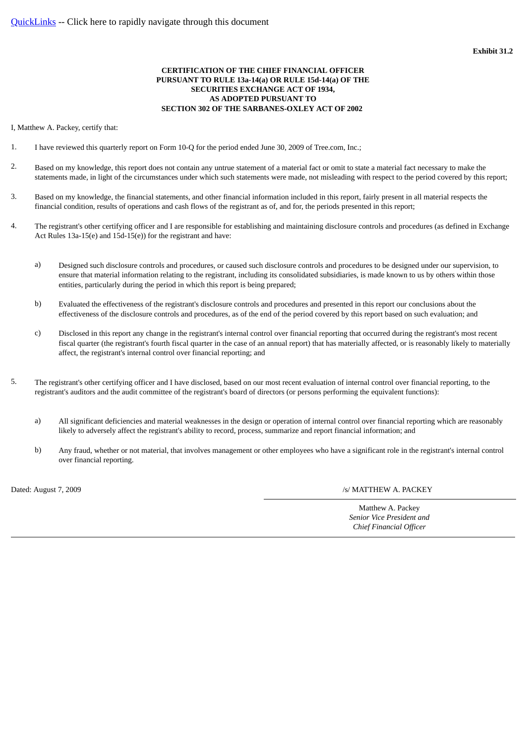## **CERTIFICATION OF THE CHIEF FINANCIAL OFFICER PURSUANT TO RULE 13a-14(a) OR RULE 15d-14(a) OF THE SECURITIES EXCHANGE ACT OF 1934, AS ADOPTED PURSUANT TO SECTION 302 OF THE SARBANES-OXLEY ACT OF 2002**

<span id="page-66-1"></span><span id="page-66-0"></span>I, Matthew A. Packey, certify that:

- 1. I have reviewed this quarterly report on Form 10-Q for the period ended June 30, 2009 of Tree.com, Inc.;
- 2. Based on my knowledge, this report does not contain any untrue statement of a material fact or omit to state a material fact necessary to make the statements made, in light of the circumstances under which such statements were made, not misleading with respect to the period covered by this report;
- 3. Based on my knowledge, the financial statements, and other financial information included in this report, fairly present in all material respects the financial condition, results of operations and cash flows of the registrant as of, and for, the periods presented in this report;
- 4. The registrant's other certifying officer and I are responsible for establishing and maintaining disclosure controls and procedures (as defined in Exchange Act Rules 13a-15(e) and 15d-15(e)) for the registrant and have:
	- a) Designed such disclosure controls and procedures, or caused such disclosure controls and procedures to be designed under our supervision, to ensure that material information relating to the registrant, including its consolidated subsidiaries, is made known to us by others within those entities, particularly during the period in which this report is being prepared;
	- b) Evaluated the effectiveness of the registrant's disclosure controls and procedures and presented in this report our conclusions about the effectiveness of the disclosure controls and procedures, as of the end of the period covered by this report based on such evaluation; and
	- c) Disclosed in this report any change in the registrant's internal control over financial reporting that occurred during the registrant's most recent fiscal quarter (the registrant's fourth fiscal quarter in the case of an annual report) that has materially affected, or is reasonably likely to materially affect, the registrant's internal control over financial reporting; and
- 5. The registrant's other certifying officer and I have disclosed, based on our most recent evaluation of internal control over financial reporting, to the registrant's auditors and the audit committee of the registrant's board of directors (or persons performing the equivalent functions):
	- a) All significant deficiencies and material weaknesses in the design or operation of internal control over financial reporting which are reasonably likely to adversely affect the registrant's ability to record, process, summarize and report financial information; and
	- b) Any fraud, whether or not material, that involves management or other employees who have a significant role in the registrant's internal control over financial reporting.

Dated: August 7, 2009 /s/ MATTHEW A. PACKEY

Matthew A. Packey *Senior Vice President and Chief Financial Officer*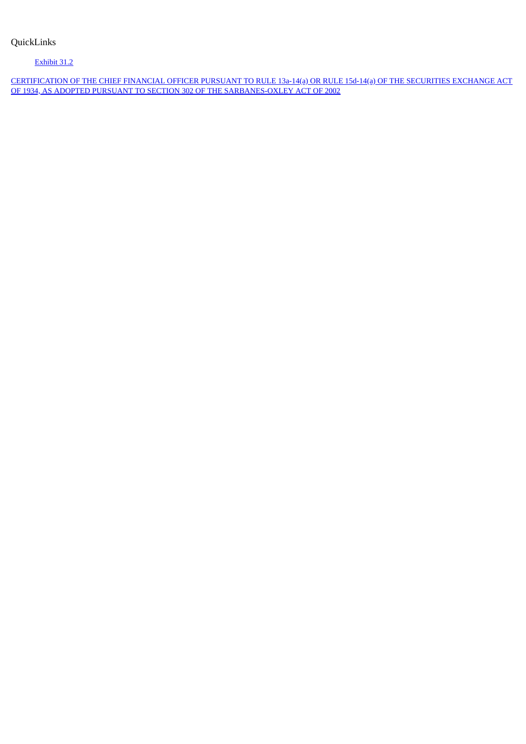# <span id="page-67-0"></span>QuickLinks

## [Exhibit 31.2](#page-66-0)

[CERTIFICATION OF THE CHIEF FINANCIAL OFFICER PURSUANT TO RULE 13a-14\(a\) OR RULE 15d-14\(a\) OF THE SECURITIES EXCHANGE ACT](#page-66-1) OF 1934, AS ADOPTED PURSUANT TO SECTION 302 OF THE SARBANES-OXLEY ACT OF 2002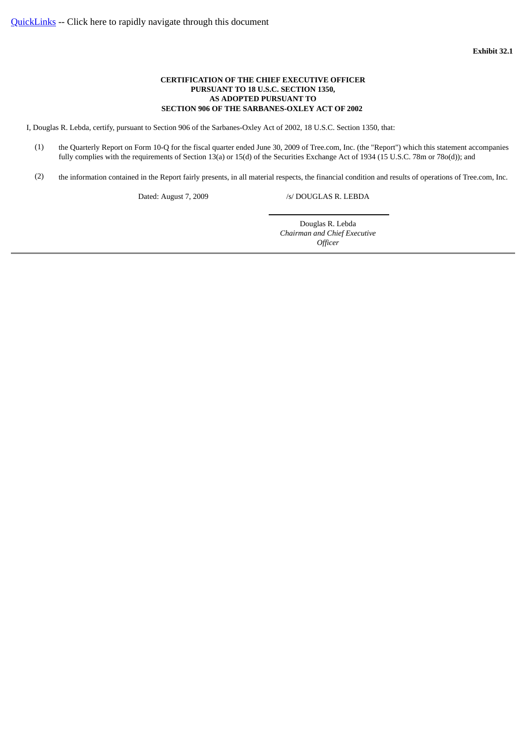## **CERTIFICATION OF THE CHIEF EXECUTIVE OFFICER PURSUANT TO 18 U.S.C. SECTION 1350, AS ADOPTED PURSUANT TO SECTION 906 OF THE SARBANES-OXLEY ACT OF 2002**

<span id="page-68-1"></span><span id="page-68-0"></span>I, Douglas R. Lebda, certify, pursuant to Section 906 of the Sarbanes-Oxley Act of 2002, 18 U.S.C. Section 1350, that:

- (1) the Quarterly Report on Form 10-Q for the fiscal quarter ended June 30, 2009 of Tree.com, Inc. (the "Report") which this statement accompanies fully complies with the requirements of Section 13(a) or 15(d) of the Securities Exchange Act of 1934 (15 U.S.C. 78m or 78o(d)); and
- (2) the information contained in the Report fairly presents, in all material respects, the financial condition and results of operations of Tree.com, Inc.

Dated: August 7, 2009 /s/ DOUGLAS R. LEBDA

Douglas R. Lebda *Chairman and Chief Executive Officer*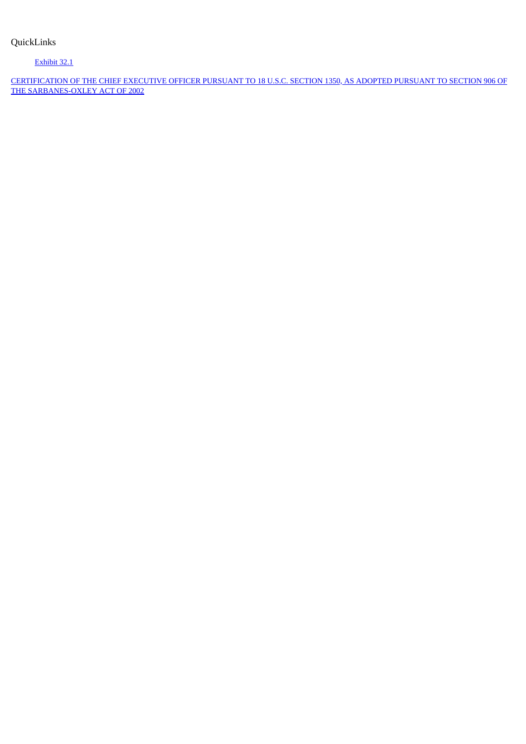# <span id="page-69-0"></span>QuickLinks

## [Exhibit 32.1](#page-68-0)

[CERTIFICATION OF THE CHIEF EXECUTIVE OFFICER PURSUANT TO 18 U.S.C. SECTION 1350, AS ADOPTED PURSUANT TO SECTION 906 OF](#page-68-1) THE SARBANES-OXLEY ACT OF 2002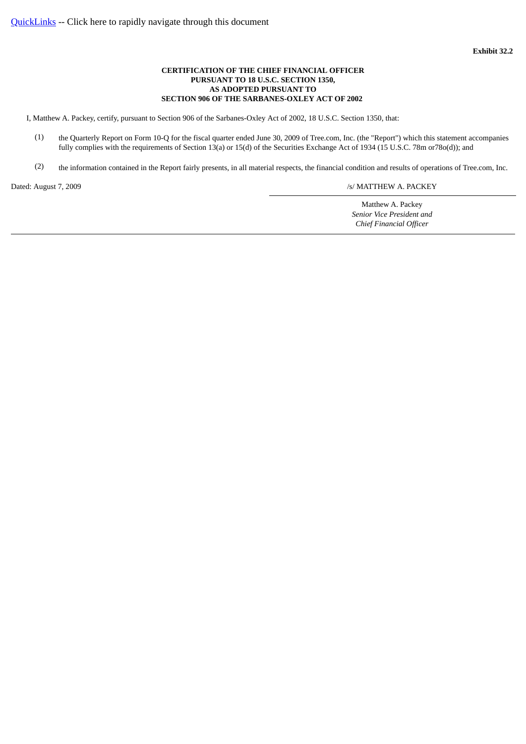## **CERTIFICATION OF THE CHIEF FINANCIAL OFFICER PURSUANT TO 18 U.S.C. SECTION 1350, AS ADOPTED PURSUANT TO SECTION 906 OF THE SARBANES-OXLEY ACT OF 2002**

<span id="page-70-1"></span><span id="page-70-0"></span>I, Matthew A. Packey, certify, pursuant to Section 906 of the Sarbanes-Oxley Act of 2002, 18 U.S.C. Section 1350, that:

- (1) the Quarterly Report on Form 10-Q for the fiscal quarter ended June 30, 2009 of Tree.com, Inc. (the "Report") which this statement accompanies fully complies with the requirements of Section 13(a) or 15(d) of the Securities Exchange Act of 1934 (15 U.S.C. 78m or78o(d)); and
- (2) the information contained in the Report fairly presents, in all material respects, the financial condition and results of operations of Tree.com, Inc.

Dated: August 7, 2009 /s/ MATTHEW A. PACKEY

Matthew A. Packey *Senior Vice President and Chief Financial Officer*